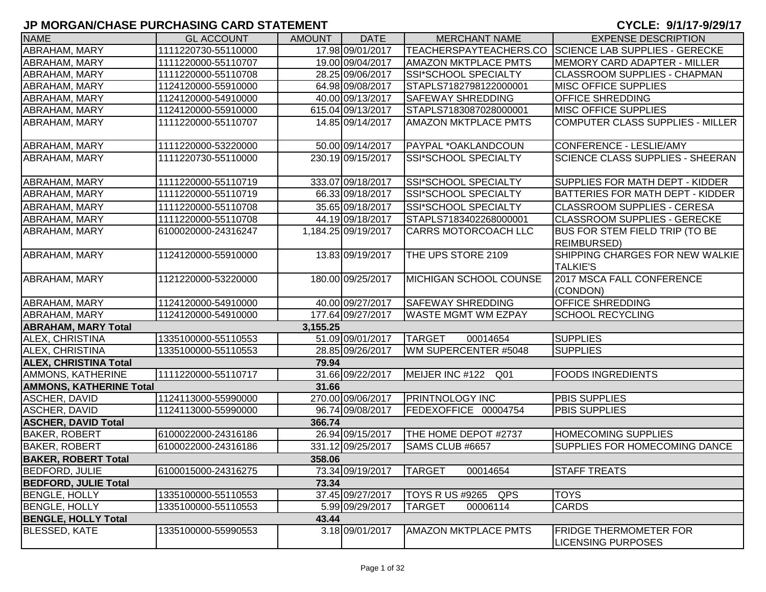| <b>NAME</b>                    | <b>GL ACCOUNT</b>   | <b>AMOUNT</b> | <b>DATE</b>         | <b>MERCHANT NAME</b>          | <b>EXPENSE DESCRIPTION</b>                                 |
|--------------------------------|---------------------|---------------|---------------------|-------------------------------|------------------------------------------------------------|
| ABRAHAM, MARY                  | 1111220730-55110000 |               | 17.98 09/01/2017    | TEACHERSPAYTEACHERS.CO        | <b>SCIENCE LAB SUPPLIES - GERECKE</b>                      |
| <b>ABRAHAM, MARY</b>           | 1111220000-55110707 |               | 19.00 09/04/2017    | <b>AMAZON MKTPLACE PMTS</b>   | MEMORY CARD ADAPTER - MILLER                               |
| ABRAHAM, MARY                  | 1111220000-55110708 |               | 28.25 09/06/2017    | SSI*SCHOOL SPECIALTY          | <b>CLASSROOM SUPPLIES - CHAPMAN</b>                        |
| ABRAHAM, MARY                  | 1124120000-55910000 |               | 64.98 09/08/2017    | STAPLS7182798122000001        | <b>MISC OFFICE SUPPLIES</b>                                |
| ABRAHAM, MARY                  | 1124120000-54910000 |               | 40.00 09/13/2017    | <b>SAFEWAY SHREDDING</b>      | <b>OFFICE SHREDDING</b>                                    |
| ABRAHAM, MARY                  | 1124120000-55910000 |               | 615.04 09/13/2017   | STAPLS7183087028000001        | <b>MISC OFFICE SUPPLIES</b>                                |
| ABRAHAM, MARY                  | 1111220000-55110707 |               | 14.85 09/14/2017    | <b>AMAZON MKTPLACE PMTS</b>   | COMPUTER CLASS SUPPLIES - MILLER                           |
| ABRAHAM, MARY                  | 1111220000-53220000 |               | 50.00 09/14/2017    | PAYPAL *OAKLANDCOUN           | CONFERENCE - LESLIE/AMY                                    |
| ABRAHAM, MARY                  | 1111220730-55110000 |               | 230.19 09/15/2017   | SSI*SCHOOL SPECIALTY          | <b>SCIENCE CLASS SUPPLIES - SHEERAN</b>                    |
| <b>ABRAHAM, MARY</b>           | 1111220000-55110719 |               | 333.07 09/18/2017   | SSI*SCHOOL SPECIALTY          | SUPPLIES FOR MATH DEPT - KIDDER                            |
| ABRAHAM, MARY                  | 1111220000-55110719 |               | 66.33 09/18/2017    | SSI*SCHOOL SPECIALTY          | BATTERIES FOR MATH DEPT - KIDDER                           |
| ABRAHAM, MARY                  | 1111220000-55110708 |               | 35.65 09/18/2017    | SSI*SCHOOL SPECIALTY          | <b>CLASSROOM SUPPLIES - CERESA</b>                         |
| ABRAHAM, MARY                  | 1111220000-55110708 |               | 44.19 09/18/2017    | STAPLS7183402268000001        | <b>CLASSROOM SUPPLIES - GERECKE</b>                        |
| ABRAHAM, MARY                  | 6100020000-24316247 |               | 1,184.25 09/19/2017 | <b>CARRS MOTORCOACH LLC</b>   | BUS FOR STEM FIELD TRIP (TO BE<br><b>REIMBURSED)</b>       |
| <b>ABRAHAM, MARY</b>           | 1124120000-55910000 |               | 13.83 09/19/2017    | THE UPS STORE 2109            | SHIPPING CHARGES FOR NEW WALKIE<br><b>TALKIE'S</b>         |
| <b>ABRAHAM, MARY</b>           | 1121220000-53220000 |               | 180.00 09/25/2017   | MICHIGAN SCHOOL COUNSE        | 2017 MSCA FALL CONFERENCE<br>(CONDON)                      |
| ABRAHAM, MARY                  | 1124120000-54910000 |               | 40.00 09/27/2017    | <b>SAFEWAY SHREDDING</b>      | <b>OFFICE SHREDDING</b>                                    |
| <b>ABRAHAM, MARY</b>           | 1124120000-54910000 |               | 177.64 09/27/2017   | <b>WASTE MGMT WM EZPAY</b>    | <b>SCHOOL RECYCLING</b>                                    |
| <b>ABRAHAM, MARY Total</b>     |                     | 3,155.25      |                     |                               |                                                            |
| <b>ALEX, CHRISTINA</b>         | 1335100000-55110553 |               | 51.09 09/01/2017    | <b>TARGET</b><br>00014654     | <b>SUPPLIES</b>                                            |
| ALEX, CHRISTINA                | 1335100000-55110553 |               | 28.85 09/26/2017    | WM SUPERCENTER #5048          | <b>SUPPLIES</b>                                            |
| <b>ALEX, CHRISTINA Total</b>   |                     | 79.94         |                     |                               |                                                            |
| AMMONS, KATHERINE              | 1111220000-55110717 |               | 31.66 09/22/2017    | MEIJER INC #122 Q01           | <b>FOODS INGREDIENTS</b>                                   |
| <b>AMMONS, KATHERINE Total</b> |                     | 31.66         |                     |                               |                                                            |
| ASCHER, DAVID                  | 1124113000-55990000 |               | 270.00 09/06/2017   | <b>PRINTNOLOGY INC</b>        | <b>PBIS SUPPLIES</b>                                       |
| ASCHER, DAVID                  | 1124113000-55990000 |               | 96.74 09/08/2017    | FEDEXOFFICE 00004754          | <b>PBIS SUPPLIES</b>                                       |
| <b>ASCHER, DAVID Total</b>     |                     | 366.74        |                     |                               |                                                            |
| <b>BAKER, ROBERT</b>           | 6100022000-24316186 |               | 26.94 09/15/2017    | THE HOME DEPOT #2737          | <b>HOMECOMING SUPPLIES</b>                                 |
| <b>BAKER, ROBERT</b>           | 6100022000-24316186 |               | 331.12 09/25/2017   | SAMS CLUB #6657               | <b>SUPPLIES FOR HOMECOMING DANCE</b>                       |
| <b>BAKER, ROBERT Total</b>     |                     | 358.06        |                     |                               |                                                            |
| <b>BEDFORD, JULIE</b>          | 6100015000-24316275 |               | 73.34 09/19/2017    | <b>TARGET</b><br>00014654     | <b>STAFF TREATS</b>                                        |
| <b>BEDFORD, JULIE Total</b>    |                     | 73.34         |                     |                               |                                                            |
| <b>BENGLE, HOLLY</b>           | 1335100000-55110553 |               | 37.45 09/27/2017    | <b>TOYS R US #9265</b><br>QPS | <b>TOYS</b>                                                |
| <b>BENGLE, HOLLY</b>           | 1335100000-55110553 |               | 5.99 09/29/2017     | <b>TARGET</b><br>00006114     | <b>CARDS</b>                                               |
| <b>BENGLE, HOLLY Total</b>     |                     | 43.44         |                     |                               |                                                            |
| <b>BLESSED, KATE</b>           | 1335100000-55990553 |               | 3.18 09/01/2017     | <b>AMAZON MKTPLACE PMTS</b>   | <b>FRIDGE THERMOMETER FOR</b><br><b>LICENSING PURPOSES</b> |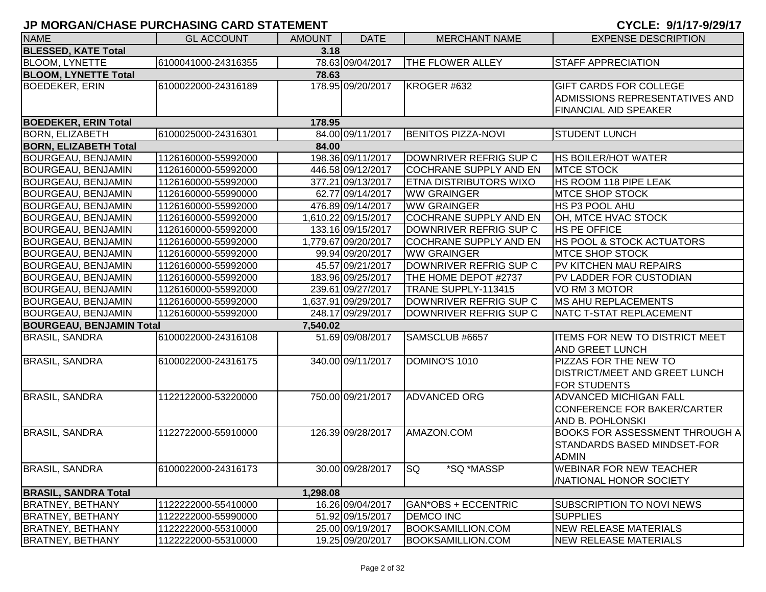| <b>NAME</b>                     | <b>GL ACCOUNT</b>   | <b>AMOUNT</b> | <b>DATE</b>         | <b>MERCHANT NAME</b>          | <b>EXPENSE DESCRIPTION</b>            |
|---------------------------------|---------------------|---------------|---------------------|-------------------------------|---------------------------------------|
| <b>BLESSED, KATE Total</b>      |                     | 3.18          |                     |                               |                                       |
| <b>BLOOM, LYNETTE</b>           | 6100041000-24316355 |               | 78.63 09/04/2017    | <b>THE FLOWER ALLEY</b>       | <b>STAFF APPRECIATION</b>             |
| <b>BLOOM, LYNETTE Total</b>     |                     | 78.63         |                     |                               |                                       |
| <b>BOEDEKER, ERIN</b>           | 6100022000-24316189 |               | 178.95 09/20/2017   | KROGER #632                   | <b>GIFT CARDS FOR COLLEGE</b>         |
|                                 |                     |               |                     |                               | ADMISSIONS REPRESENTATIVES AND        |
|                                 |                     |               |                     |                               | <b>FINANCIAL AID SPEAKER</b>          |
| <b>BOEDEKER, ERIN Total</b>     |                     | 178.95        |                     |                               |                                       |
| <b>BORN, ELIZABETH</b>          | 6100025000-24316301 |               | 84.00 09/11/2017    | <b>BENITOS PIZZA-NOVI</b>     | <b>STUDENT LUNCH</b>                  |
| <b>BORN, ELIZABETH Total</b>    |                     | 84.00         |                     |                               |                                       |
| <b>BOURGEAU, BENJAMIN</b>       | 1126160000-55992000 |               | 198.36 09/11/2017   | DOWNRIVER REFRIG SUP C        | <b>HS BOILER/HOT WATER</b>            |
| <b>BOURGEAU, BENJAMIN</b>       | 1126160000-55992000 |               | 446.58 09/12/2017   | COCHRANE SUPPLY AND EN        | <b>MTCE STOCK</b>                     |
| <b>BOURGEAU, BENJAMIN</b>       | 1126160000-55992000 |               | 377.21 09/13/2017   | <b>ETNA DISTRIBUTORS WIXO</b> | <b>HS ROOM 118 PIPE LEAK</b>          |
| <b>BOURGEAU, BENJAMIN</b>       | 1126160000-55990000 |               | 62.77 09/14/2017    | <b>WW GRAINGER</b>            | <b>MTCE SHOP STOCK</b>                |
| <b>BOURGEAU, BENJAMIN</b>       | 1126160000-55992000 |               | 476.89 09/14/2017   | <b>WW GRAINGER</b>            | <b>HS P3 POOL AHU</b>                 |
| BOURGEAU, BENJAMIN              | 1126160000-55992000 |               | 1,610.22 09/15/2017 | COCHRANE SUPPLY AND EN        | OH, MTCE HVAC STOCK                   |
| <b>BOURGEAU, BENJAMIN</b>       | 1126160000-55992000 |               | 133.16 09/15/2017   | DOWNRIVER REFRIG SUP C        | <b>HS PE OFFICE</b>                   |
| <b>BOURGEAU, BENJAMIN</b>       | 1126160000-55992000 |               | 1,779.67 09/20/2017 | COCHRANE SUPPLY AND EN        | <b>HS POOL &amp; STOCK ACTUATORS</b>  |
| <b>BOURGEAU, BENJAMIN</b>       | 1126160000-55992000 |               | 99.94 09/20/2017    | <b>WW GRAINGER</b>            | <b>MTCE SHOP STOCK</b>                |
| BOURGEAU, BENJAMIN              | 1126160000-55992000 |               | 45.57 09/21/2017    | DOWNRIVER REFRIG SUP C        | <b>PV KITCHEN MAU REPAIRS</b>         |
| <b>BOURGEAU, BENJAMIN</b>       | 1126160000-55992000 |               | 183.96 09/25/2017   | THE HOME DEPOT #2737          | PV LADDER FOR CUSTODIAN               |
| <b>BOURGEAU, BENJAMIN</b>       | 1126160000-55992000 |               | 239.61 09/27/2017   | TRANE SUPPLY-113415           | VO RM 3 MOTOR                         |
| <b>BOURGEAU, BENJAMIN</b>       | 1126160000-55992000 |               | 1,637.91 09/29/2017 | DOWNRIVER REFRIG SUP C        | <b>MS AHU REPLACEMENTS</b>            |
| <b>BOURGEAU, BENJAMIN</b>       | 1126160000-55992000 |               | 248.17 09/29/2017   | DOWNRIVER REFRIG SUP C        | NATC T-STAT REPLACEMENT               |
| <b>BOURGEAU, BENJAMIN Total</b> |                     | 7,540.02      |                     |                               |                                       |
| <b>BRASIL, SANDRA</b>           | 6100022000-24316108 |               | 51.69 09/08/2017    | SAMSCLUB #6657                | <b>ITEMS FOR NEW TO DISTRICT MEET</b> |
|                                 |                     |               |                     |                               | <b>AND GREET LUNCH</b>                |
| <b>BRASIL, SANDRA</b>           | 6100022000-24316175 |               | 340.00 09/11/2017   | DOMINO'S 1010                 | PIZZAS FOR THE NEW TO                 |
|                                 |                     |               |                     |                               | <b>DISTRICT/MEET AND GREET LUNCH</b>  |
|                                 |                     |               |                     |                               | <b>FOR STUDENTS</b>                   |
| <b>BRASIL, SANDRA</b>           | 1122122000-53220000 |               | 750.00 09/21/2017   | <b>ADVANCED ORG</b>           | <b>ADVANCED MICHIGAN FALL</b>         |
|                                 |                     |               |                     |                               | CONFERENCE FOR BAKER/CARTER           |
|                                 |                     |               |                     |                               | <b>AND B. POHLONSKI</b>               |
| <b>BRASIL, SANDRA</b>           | 1122722000-55910000 |               | 126.39 09/28/2017   | AMAZON.COM                    | <b>BOOKS FOR ASSESSMENT THROUGH A</b> |
|                                 |                     |               |                     |                               | <b>STANDARDS BASED MINDSET-FOR</b>    |
|                                 |                     |               |                     |                               | <b>ADMIN</b>                          |
| <b>BRASIL, SANDRA</b>           | 6100022000-24316173 |               | 30.00 09/28/2017 SQ | *SQ *MASSP                    | <b>WEBINAR FOR NEW TEACHER</b>        |
|                                 |                     |               |                     |                               | <b>/NATIONAL HONOR SOCIETY</b>        |
| <b>BRASIL, SANDRA Total</b>     |                     | 1,298.08      |                     |                               |                                       |
| <b>BRATNEY, BETHANY</b>         | 1122222000-55410000 |               | 16.26 09/04/2017    | GAN*OBS + ECCENTRIC           | <b>SUBSCRIPTION TO NOVI NEWS</b>      |
| <b>BRATNEY, BETHANY</b>         | 1122222000-55990000 |               | 51.92 09/15/2017    | <b>DEMCO INC</b>              | <b>SUPPLIES</b>                       |
| <b>BRATNEY, BETHANY</b>         | 1122222000-55310000 |               | 25.00 09/19/2017    | <b>BOOKSAMILLION.COM</b>      | <b>NEW RELEASE MATERIALS</b>          |
| <b>BRATNEY, BETHANY</b>         | 1122222000-55310000 |               | 19.25 09/20/2017    | <b>BOOKSAMILLION.COM</b>      | NEW RELEASE MATERIALS                 |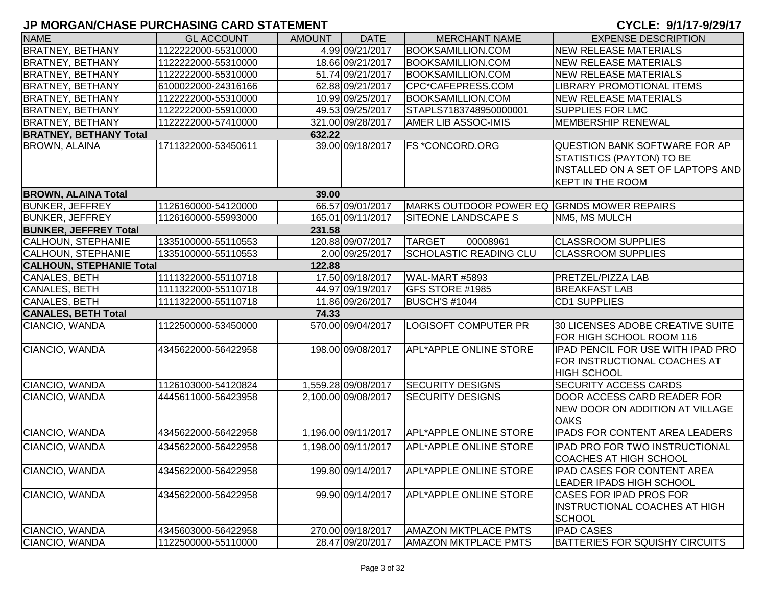| <b>NAME</b>                     | <b>GL ACCOUNT</b>   | <b>AMOUNT</b> | <b>DATE</b>         | <b>MERCHANT NAME</b>                       | <b>EXPENSE DESCRIPTION</b>                                                                                                               |
|---------------------------------|---------------------|---------------|---------------------|--------------------------------------------|------------------------------------------------------------------------------------------------------------------------------------------|
| <b>BRATNEY, BETHANY</b>         | 1122222000-55310000 |               | 4.99 09/21/2017     | <b>BOOKSAMILLION.COM</b>                   | <b>NEW RELEASE MATERIALS</b>                                                                                                             |
| <b>BRATNEY, BETHANY</b>         | 1122222000-55310000 |               | 18.66 09/21/2017    | <b>BOOKSAMILLION.COM</b>                   | <b>NEW RELEASE MATERIALS</b>                                                                                                             |
| <b>BRATNEY, BETHANY</b>         | 1122222000-55310000 |               | 51.74 09/21/2017    | <b>BOOKSAMILLION.COM</b>                   | <b>NEW RELEASE MATERIALS</b>                                                                                                             |
| <b>BRATNEY, BETHANY</b>         | 6100022000-24316166 |               | 62.88 09/21/2017    | CPC*CAFEPRESS.COM                          | <b>LIBRARY PROMOTIONAL ITEMS</b>                                                                                                         |
| <b>BRATNEY, BETHANY</b>         | 1122222000-55310000 |               | 10.99 09/25/2017    | <b>BOOKSAMILLION.COM</b>                   | <b>NEW RELEASE MATERIALS</b>                                                                                                             |
| <b>BRATNEY, BETHANY</b>         | 1122222000-55910000 |               | 49.53 09/25/2017    | STAPLS7183748950000001                     | <b>SUPPLIES FOR LMC</b>                                                                                                                  |
| <b>BRATNEY, BETHANY</b>         | 1122222000-57410000 |               | 321.00 09/28/2017   | AMER LIB ASSOC-IMIS                        | <b>MEMBERSHIP RENEWAL</b>                                                                                                                |
| <b>BRATNEY, BETHANY Total</b>   |                     | 632.22        |                     |                                            |                                                                                                                                          |
| <b>BROWN, ALAINA</b>            | 1711322000-53450611 |               | 39.00 09/18/2017    | <b>FS *CONCORD.ORG</b>                     | <b>QUESTION BANK SOFTWARE FOR AP</b><br><b>STATISTICS (PAYTON) TO BE</b><br>INSTALLED ON A SET OF LAPTOPS AND<br><b>KEPT IN THE ROOM</b> |
| <b>BROWN, ALAINA Total</b>      |                     | 39.00         |                     |                                            |                                                                                                                                          |
| <b>BUNKER, JEFFREY</b>          | 1126160000-54120000 |               | 66.57 09/01/2017    | MARKS OUTDOOR POWER EQ GRNDS MOWER REPAIRS |                                                                                                                                          |
| <b>BUNKER, JEFFREY</b>          | 1126160000-55993000 |               | 165.01 09/11/2017   | <b>SITEONE LANDSCAPE S</b>                 | NM5, MS MULCH                                                                                                                            |
| <b>BUNKER, JEFFREY Total</b>    |                     | 231.58        |                     |                                            |                                                                                                                                          |
| <b>CALHOUN, STEPHANIE</b>       | 1335100000-55110553 |               | 120.88 09/07/2017   | <b>TARGET</b><br>00008961                  | <b>CLASSROOM SUPPLIES</b>                                                                                                                |
| <b>CALHOUN, STEPHANIE</b>       | 1335100000-55110553 |               | 2.00 09/25/2017     | <b>SCHOLASTIC READING CLU</b>              | <b>CLASSROOM SUPPLIES</b>                                                                                                                |
| <b>CALHOUN, STEPHANIE Total</b> |                     | 122.88        |                     |                                            |                                                                                                                                          |
| CANALES, BETH                   | 1111322000-55110718 |               | 17.50 09/18/2017    | WAL-MART #5893                             | PRETZEL/PIZZA LAB                                                                                                                        |
| CANALES, BETH                   | 1111322000-55110718 |               | 44.97 09/19/2017    | GFS STORE #1985                            | <b>BREAKFAST LAB</b>                                                                                                                     |
| CANALES, BETH                   | 1111322000-55110718 |               | 11.86 09/26/2017    | BUSCH'S #1044                              | <b>CD1 SUPPLIES</b>                                                                                                                      |
| <b>CANALES, BETH Total</b>      |                     | 74.33         |                     |                                            |                                                                                                                                          |
| <b>CIANCIO, WANDA</b>           | 1122500000-53450000 |               | 570.00 09/04/2017   | <b>LOGISOFT COMPUTER PR</b>                | 30 LICENSES ADOBE CREATIVE SUITE<br>FOR HIGH SCHOOL ROOM 116                                                                             |
| CIANCIO, WANDA                  | 4345622000-56422958 |               | 198.00 09/08/2017   | <b>APL*APPLE ONLINE STORE</b>              | IPAD PENCIL FOR USE WITH IPAD PRO<br>FOR INSTRUCTIONAL COACHES AT<br><b>HIGH SCHOOL</b>                                                  |
| CIANCIO, WANDA                  | 1126103000-54120824 |               | 1,559.28 09/08/2017 | <b>SECURITY DESIGNS</b>                    | <b>SECURITY ACCESS CARDS</b>                                                                                                             |
| CIANCIO, WANDA                  | 4445611000-56423958 |               | 2,100.00 09/08/2017 | <b>SECURITY DESIGNS</b>                    | DOOR ACCESS CARD READER FOR<br>NEW DOOR ON ADDITION AT VILLAGE<br><b>OAKS</b>                                                            |
| CIANCIO, WANDA                  | 4345622000-56422958 |               | 1,196.00 09/11/2017 | <b>APL*APPLE ONLINE STORE</b>              | <b>IPADS FOR CONTENT AREA LEADERS</b>                                                                                                    |
| CIANCIO, WANDA                  | 4345622000-56422958 |               | 1,198.00 09/11/2017 | <b>APL*APPLE ONLINE STORE</b>              | IPAD PRO FOR TWO INSTRUCTIONAL<br><b>COACHES AT HIGH SCHOOL</b>                                                                          |
| CIANCIO, WANDA                  | 4345622000-56422958 |               | 199.80 09/14/2017   | <b>APL*APPLE ONLINE STORE</b>              | <b>IPAD CASES FOR CONTENT AREA</b><br><b>LEADER IPADS HIGH SCHOOL</b>                                                                    |
| CIANCIO, WANDA                  | 4345622000-56422958 |               | 99.90 09/14/2017    | <b>APL*APPLE ONLINE STORE</b>              | <b>CASES FOR IPAD PROS FOR</b><br><b>INSTRUCTIONAL COACHES AT HIGH</b><br><b>SCHOOL</b>                                                  |
| CIANCIO, WANDA                  | 4345603000-56422958 |               | 270.00 09/18/2017   | <b>AMAZON MKTPLACE PMTS</b>                | <b>IPAD CASES</b>                                                                                                                        |
| CIANCIO, WANDA                  | 1122500000-55110000 |               | 28.47 09/20/2017    | <b>AMAZON MKTPLACE PMTS</b>                | <b>BATTERIES FOR SQUISHY CIRCUITS</b>                                                                                                    |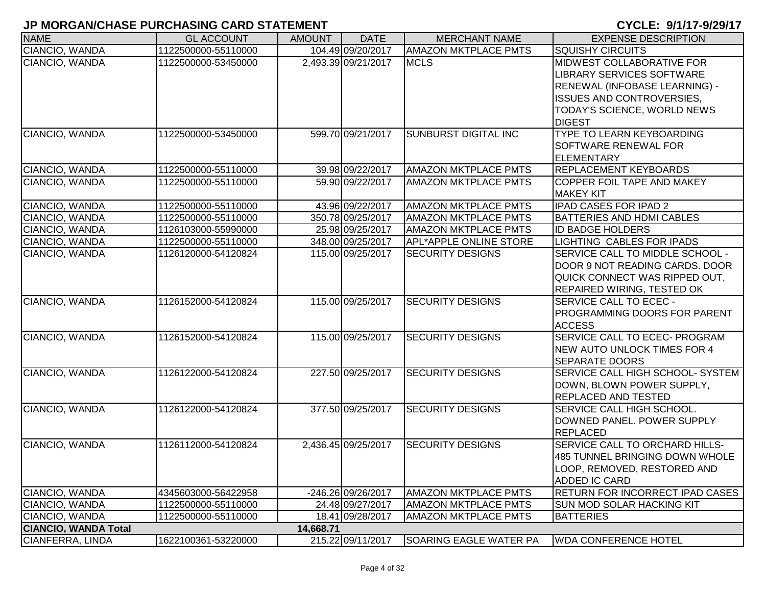| <b>NAME</b>                 | <b>GL ACCOUNT</b>   | <b>AMOUNT</b> | <b>DATE</b>         | <b>MERCHANT NAME</b>          | <b>EXPENSE DESCRIPTION</b>                                                                                                                                                  |
|-----------------------------|---------------------|---------------|---------------------|-------------------------------|-----------------------------------------------------------------------------------------------------------------------------------------------------------------------------|
| CIANCIO, WANDA              | 1122500000-55110000 |               | 104.49 09/20/2017   | <b>AMAZON MKTPLACE PMTS</b>   | <b>SQUISHY CIRCUITS</b>                                                                                                                                                     |
| CIANCIO, WANDA              | 1122500000-53450000 |               | 2,493.39 09/21/2017 | <b>MCLS</b>                   | MIDWEST COLLABORATIVE FOR<br>LIBRARY SERVICES SOFTWARE<br>RENEWAL (INFOBASE LEARNING) -<br><b>ISSUES AND CONTROVERSIES,</b><br>TODAY'S SCIENCE, WORLD NEWS<br><b>DIGEST</b> |
| CIANCIO, WANDA              | 1122500000-53450000 |               | 599.70 09/21/2017   | <b>SUNBURST DIGITAL INC</b>   | TYPE TO LEARN KEYBOARDING<br>SOFTWARE RENEWAL FOR<br><b>ELEMENTARY</b>                                                                                                      |
| CIANCIO, WANDA              | 1122500000-55110000 |               | 39.98 09/22/2017    | <b>AMAZON MKTPLACE PMTS</b>   | <b>REPLACEMENT KEYBOARDS</b>                                                                                                                                                |
| CIANCIO, WANDA              | 1122500000-55110000 |               | 59.90 09/22/2017    | <b>AMAZON MKTPLACE PMTS</b>   | COPPER FOIL TAPE AND MAKEY<br><b>MAKEY KIT</b>                                                                                                                              |
| CIANCIO, WANDA              | 1122500000-55110000 |               | 43.96 09/22/2017    | <b>AMAZON MKTPLACE PMTS</b>   | <b>IPAD CASES FOR IPAD 2</b>                                                                                                                                                |
| CIANCIO, WANDA              | 1122500000-55110000 |               | 350.78 09/25/2017   | <b>AMAZON MKTPLACE PMTS</b>   | <b>BATTERIES AND HDMI CABLES</b>                                                                                                                                            |
| CIANCIO, WANDA              | 1126103000-55990000 |               | 25.98 09/25/2017    | <b>AMAZON MKTPLACE PMTS</b>   | <b>ID BADGE HOLDERS</b>                                                                                                                                                     |
| CIANCIO, WANDA              | 1122500000-55110000 |               | 348.00 09/25/2017   | <b>APL*APPLE ONLINE STORE</b> | LIGHTING CABLES FOR IPADS                                                                                                                                                   |
| CIANCIO, WANDA              | 1126120000-54120824 |               | 115.00 09/25/2017   | <b>SECURITY DESIGNS</b>       | SERVICE CALL TO MIDDLE SCHOOL -<br>DOOR 9 NOT READING CARDS. DOOR<br>QUICK CONNECT WAS RIPPED OUT,<br><b>REPAIRED WIRING, TESTED OK</b>                                     |
| CIANCIO, WANDA              | 1126152000-54120824 |               | 115.00 09/25/2017   | <b>SECURITY DESIGNS</b>       | <b>SERVICE CALL TO ECEC -</b><br>PROGRAMMING DOORS FOR PARENT<br><b>ACCESS</b>                                                                                              |
| CIANCIO, WANDA              | 1126152000-54120824 |               | 115.00 09/25/2017   | <b>SECURITY DESIGNS</b>       | SERVICE CALL TO ECEC- PROGRAM<br><b>NEW AUTO UNLOCK TIMES FOR 4</b><br><b>SEPARATE DOORS</b>                                                                                |
| CIANCIO, WANDA              | 1126122000-54120824 |               | 227.50 09/25/2017   | <b>SECURITY DESIGNS</b>       | <b>SERVICE CALL HIGH SCHOOL- SYSTEM</b><br>DOWN, BLOWN POWER SUPPLY,<br><b>REPLACED AND TESTED</b>                                                                          |
| CIANCIO, WANDA              | 1126122000-54120824 |               | 377.50 09/25/2017   | <b>SECURITY DESIGNS</b>       | <b>SERVICE CALL HIGH SCHOOL.</b><br>DOWNED PANEL. POWER SUPPLY<br><b>REPLACED</b>                                                                                           |
| CIANCIO, WANDA              | 1126112000-54120824 |               | 2,436.45 09/25/2017 | <b>SECURITY DESIGNS</b>       | SERVICE CALL TO ORCHARD HILLS-<br>485 TUNNEL BRINGING DOWN WHOLE<br>LOOP, REMOVED, RESTORED AND<br>ADDED IC CARD                                                            |
| CIANCIO, WANDA              | 4345603000-56422958 |               | -246.26 09/26/2017  | <b>AMAZON MKTPLACE PMTS</b>   | <b>RETURN FOR INCORRECT IPAD CASES</b>                                                                                                                                      |
| CIANCIO, WANDA              | 1122500000-55110000 |               | 24.48 09/27/2017    | <b>AMAZON MKTPLACE PMTS</b>   | SUN MOD SOLAR HACKING KIT                                                                                                                                                   |
| CIANCIO, WANDA              | 1122500000-55110000 |               | 18.41 09/28/2017    | <b>AMAZON MKTPLACE PMTS</b>   | <b>BATTERIES</b>                                                                                                                                                            |
| <b>CIANCIO, WANDA Total</b> |                     | 14,668.71     |                     |                               |                                                                                                                                                                             |
| CIANFERRA, LINDA            | 1622100361-53220000 |               | 215.22 09/11/2017   | SOARING EAGLE WATER PA        | <b>WDA CONFERENCE HOTEL</b>                                                                                                                                                 |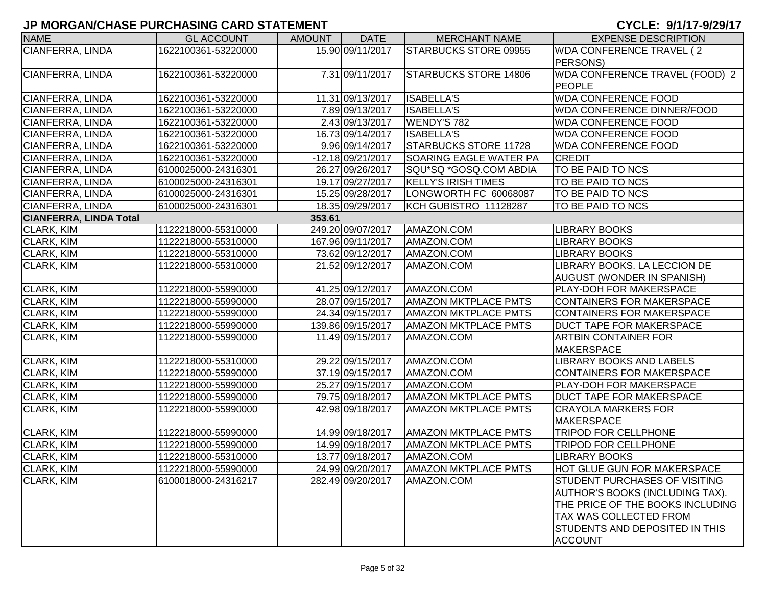| <b>NAME</b>                   | <b>GL ACCOUNT</b>   | <b>AMOUNT</b> | <b>DATE</b>       | <b>MERCHANT NAME</b>          | <b>EXPENSE DESCRIPTION</b>           |
|-------------------------------|---------------------|---------------|-------------------|-------------------------------|--------------------------------------|
| CIANFERRA, LINDA              | 1622100361-53220000 |               | 15.90 09/11/2017  | <b>STARBUCKS STORE 09955</b>  | WDA CONFERENCE TRAVEL (2)            |
|                               |                     |               |                   |                               | PERSONS)                             |
| CIANFERRA, LINDA              | 1622100361-53220000 |               | 7.31 09/11/2017   | <b>STARBUCKS STORE 14806</b>  | WDA CONFERENCE TRAVEL (FOOD) 2       |
|                               |                     |               |                   |                               | PEOPLE                               |
| CIANFERRA, LINDA              | 1622100361-53220000 |               | 11.31 09/13/2017  | <b>ISABELLA'S</b>             | <b>WDA CONFERENCE FOOD</b>           |
| <b>CIANFERRA, LINDA</b>       | 1622100361-53220000 |               | 7.89 09/13/2017   | <b>ISABELLA'S</b>             | <b>WDA CONFERENCE DINNER/FOOD</b>    |
| <b>CIANFERRA, LINDA</b>       | 1622100361-53220000 |               | 2.43 09/13/2017   | <b>WENDY'S 782</b>            | <b>WDA CONFERENCE FOOD</b>           |
| <b>CIANFERRA, LINDA</b>       | 1622100361-53220000 |               | 16.73 09/14/2017  | <b>ISABELLA'S</b>             | <b>WDA CONFERENCE FOOD</b>           |
| <b>CIANFERRA, LINDA</b>       | 1622100361-53220000 |               | 9.96 09/14/2017   | <b>STARBUCKS STORE 11728</b>  | <b>WDA CONFERENCE FOOD</b>           |
| CIANFERRA, LINDA              | 1622100361-53220000 |               | -12.18 09/21/2017 | <b>SOARING EAGLE WATER PA</b> | <b>CREDIT</b>                        |
| <b>CIANFERRA, LINDA</b>       | 6100025000-24316301 |               | 26.27 09/26/2017  | SQU*SQ *GOSQ.COM ABDIA        | TO BE PAID TO NCS                    |
| <b>CIANFERRA, LINDA</b>       | 6100025000-24316301 |               | 19.17 09/27/2017  | <b>KELLY'S IRISH TIMES</b>    | TO BE PAID TO NCS                    |
| CIANFERRA, LINDA              | 6100025000-24316301 |               | 15.25 09/28/2017  | LONGWORTH FC 60068087         | TO BE PAID TO NCS                    |
| CIANFERRA, LINDA              | 6100025000-24316301 |               | 18.35 09/29/2017  | KCH GUBISTRO 11128287         | TO BE PAID TO NCS                    |
| <b>CIANFERRA, LINDA Total</b> |                     | 353.61        |                   |                               |                                      |
| <b>CLARK, KIM</b>             | 1122218000-55310000 |               | 249.20 09/07/2017 | AMAZON.COM                    | <b>LIBRARY BOOKS</b>                 |
| <b>CLARK, KIM</b>             | 1122218000-55310000 |               | 167.96 09/11/2017 | AMAZON.COM                    | <b>LIBRARY BOOKS</b>                 |
| CLARK, KIM                    | 1122218000-55310000 |               | 73.62 09/12/2017  | AMAZON.COM                    | <b>LIBRARY BOOKS</b>                 |
| <b>CLARK, KIM</b>             | 1122218000-55310000 |               | 21.52 09/12/2017  | AMAZON.COM                    | LIBRARY BOOKS. LA LECCION DE         |
|                               |                     |               |                   |                               | <b>AUGUST (WONDER IN SPANISH)</b>    |
| CLARK, KIM                    | 1122218000-55990000 |               | 41.25 09/12/2017  | AMAZON.COM                    | <b>PLAY-DOH FOR MAKERSPACE</b>       |
| <b>CLARK, KIM</b>             | 1122218000-55990000 |               | 28.07 09/15/2017  | <b>AMAZON MKTPLACE PMTS</b>   | CONTAINERS FOR MAKERSPACE            |
| CLARK, KIM                    | 1122218000-55990000 |               | 24.34 09/15/2017  | <b>AMAZON MKTPLACE PMTS</b>   | CONTAINERS FOR MAKERSPACE            |
| CLARK, KIM                    | 1122218000-55990000 |               | 139.86 09/15/2017 | <b>AMAZON MKTPLACE PMTS</b>   | <b>DUCT TAPE FOR MAKERSPACE</b>      |
| CLARK, KIM                    | 1122218000-55990000 |               | 11.49 09/15/2017  | AMAZON.COM                    | <b>ARTBIN CONTAINER FOR</b>          |
|                               |                     |               |                   |                               | <b>MAKERSPACE</b>                    |
| CLARK, KIM                    | 1122218000-55310000 |               | 29.22 09/15/2017  | AMAZON.COM                    | <b>LIBRARY BOOKS AND LABELS</b>      |
| <b>CLARK, KIM</b>             | 1122218000-55990000 |               | 37.19 09/15/2017  | AMAZON.COM                    | <b>CONTAINERS FOR MAKERSPACE</b>     |
| CLARK, KIM                    | 1122218000-55990000 |               | 25.27 09/15/2017  | AMAZON.COM                    | PLAY-DOH FOR MAKERSPACE              |
| <b>CLARK, KIM</b>             | 1122218000-55990000 |               | 79.75 09/18/2017  | <b>AMAZON MKTPLACE PMTS</b>   | <b>DUCT TAPE FOR MAKERSPACE</b>      |
| <b>CLARK, KIM</b>             | 1122218000-55990000 |               | 42.98 09/18/2017  | <b>AMAZON MKTPLACE PMTS</b>   | <b>CRAYOLA MARKERS FOR</b>           |
|                               |                     |               |                   |                               | <b>MAKERSPACE</b>                    |
| CLARK, KIM                    | 1122218000-55990000 |               | 14.99 09/18/2017  | <b>AMAZON MKTPLACE PMTS</b>   | <b>TRIPOD FOR CELLPHONE</b>          |
| <b>CLARK, KIM</b>             | 1122218000-55990000 |               | 14.99 09/18/2017  | <b>AMAZON MKTPLACE PMTS</b>   | <b>TRIPOD FOR CELLPHONE</b>          |
| CLARK, KIM                    | 1122218000-55310000 |               | 13.77 09/18/2017  | AMAZON.COM                    | <b>LIBRARY BOOKS</b>                 |
| <b>CLARK, KIM</b>             | 1122218000-55990000 |               | 24.99 09/20/2017  | <b>AMAZON MKTPLACE PMTS</b>   | <b>HOT GLUE GUN FOR MAKERSPACE</b>   |
| CLARK, KIM                    | 6100018000-24316217 |               | 282.49 09/20/2017 | AMAZON.COM                    | <b>STUDENT PURCHASES OF VISITING</b> |
|                               |                     |               |                   |                               | AUTHOR'S BOOKS (INCLUDING TAX).      |
|                               |                     |               |                   |                               | THE PRICE OF THE BOOKS INCLUDING     |
|                               |                     |               |                   |                               | <b>TAX WAS COLLECTED FROM</b>        |
|                               |                     |               |                   |                               | STUDENTS AND DEPOSITED IN THIS       |
|                               |                     |               |                   |                               | <b>ACCOUNT</b>                       |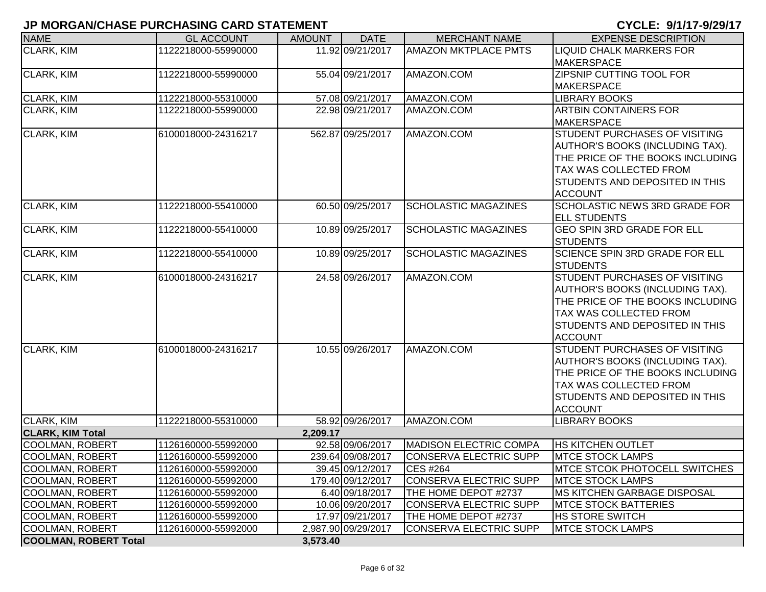| <b>NAME</b>                  | <b>GL ACCOUNT</b>   | <b>AMOUNT</b> | <b>DATE</b>         | <b>MERCHANT NAME</b>          | <b>EXPENSE DESCRIPTION</b>                                       |
|------------------------------|---------------------|---------------|---------------------|-------------------------------|------------------------------------------------------------------|
| <b>CLARK, KIM</b>            | 1122218000-55990000 |               | 11.92 09/21/2017    | <b>AMAZON MKTPLACE PMTS</b>   | <b>LIQUID CHALK MARKERS FOR</b>                                  |
|                              |                     |               |                     |                               | <b>MAKERSPACE</b>                                                |
| <b>CLARK, KIM</b>            | 1122218000-55990000 |               | 55.04 09/21/2017    | AMAZON.COM                    | ZIPSNIP CUTTING TOOL FOR                                         |
|                              |                     |               |                     |                               | <b>MAKERSPACE</b>                                                |
| CLARK, KIM                   | 1122218000-55310000 |               | 57.08 09/21/2017    | AMAZON.COM                    | LIBRARY BOOKS                                                    |
| <b>CLARK, KIM</b>            | 1122218000-55990000 |               | 22.98 09/21/2017    | AMAZON.COM                    | <b>ARTBIN CONTAINERS FOR</b>                                     |
|                              |                     |               |                     |                               | <b>MAKERSPACE</b>                                                |
| CLARK, KIM                   | 6100018000-24316217 |               | 562.87 09/25/2017   | AMAZON.COM                    | <b>STUDENT PURCHASES OF VISITING</b>                             |
|                              |                     |               |                     |                               | AUTHOR'S BOOKS (INCLUDING TAX).                                  |
|                              |                     |               |                     |                               | THE PRICE OF THE BOOKS INCLUDING                                 |
|                              |                     |               |                     |                               | TAX WAS COLLECTED FROM                                           |
|                              |                     |               |                     |                               | STUDENTS AND DEPOSITED IN THIS                                   |
|                              |                     |               |                     |                               | <b>ACCOUNT</b>                                                   |
| <b>CLARK, KIM</b>            | 1122218000-55410000 |               | 60.50 09/25/2017    | <b>SCHOLASTIC MAGAZINES</b>   | <b>SCHOLASTIC NEWS 3RD GRADE FOR</b>                             |
|                              |                     |               |                     |                               | <b>ELL STUDENTS</b>                                              |
| CLARK, KIM                   | 1122218000-55410000 |               | 10.89 09/25/2017    | <b>SCHOLASTIC MAGAZINES</b>   | <b>GEO SPIN 3RD GRADE FOR ELL</b>                                |
|                              |                     |               |                     |                               | <b>STUDENTS</b>                                                  |
| <b>CLARK, KIM</b>            | 1122218000-55410000 |               | 10.89 09/25/2017    | <b>SCHOLASTIC MAGAZINES</b>   | <b>SCIENCE SPIN 3RD GRADE FOR ELL</b>                            |
|                              |                     |               |                     |                               | <b>STUDENTS</b>                                                  |
| <b>CLARK, KIM</b>            | 6100018000-24316217 |               | 24.58 09/26/2017    | AMAZON.COM                    | STUDENT PURCHASES OF VISITING<br>AUTHOR'S BOOKS (INCLUDING TAX). |
|                              |                     |               |                     |                               | THE PRICE OF THE BOOKS INCLUDING                                 |
|                              |                     |               |                     |                               | TAX WAS COLLECTED FROM                                           |
|                              |                     |               |                     |                               | STUDENTS AND DEPOSITED IN THIS                                   |
|                              |                     |               |                     |                               | <b>ACCOUNT</b>                                                   |
| <b>CLARK, KIM</b>            | 6100018000-24316217 |               | 10.55 09/26/2017    | AMAZON.COM                    | STUDENT PURCHASES OF VISITING                                    |
|                              |                     |               |                     |                               | AUTHOR'S BOOKS (INCLUDING TAX).                                  |
|                              |                     |               |                     |                               | THE PRICE OF THE BOOKS INCLUDING                                 |
|                              |                     |               |                     |                               | TAX WAS COLLECTED FROM                                           |
|                              |                     |               |                     |                               | STUDENTS AND DEPOSITED IN THIS                                   |
|                              |                     |               |                     |                               | <b>ACCOUNT</b>                                                   |
| <b>CLARK, KIM</b>            | 1122218000-55310000 |               | 58.92 09/26/2017    | AMAZON.COM                    | <b>LIBRARY BOOKS</b>                                             |
| <b>CLARK, KIM Total</b>      |                     | 2,209.17      |                     |                               |                                                                  |
| <b>COOLMAN, ROBERT</b>       | 1126160000-55992000 |               | 92.58 09/06/2017    | <b>MADISON ELECTRIC COMPA</b> | <b>HS KITCHEN OUTLET</b>                                         |
| <b>COOLMAN, ROBERT</b>       | 1126160000-55992000 |               | 239.64 09/08/2017   | CONSERVA ELECTRIC SUPP        | <b>MTCE STOCK LAMPS</b>                                          |
| <b>COOLMAN, ROBERT</b>       | 1126160000-55992000 |               | 39.45 09/12/2017    | CES #264                      | <b>MTCE STCOK PHOTOCELL SWITCHES</b>                             |
| COOLMAN, ROBERT              | 1126160000-55992000 |               | 179.40 09/12/2017   | <b>CONSERVA ELECTRIC SUPP</b> | <b>MTCE STOCK LAMPS</b>                                          |
| <b>COOLMAN, ROBERT</b>       | 1126160000-55992000 |               | 6.40 09/18/2017     | THE HOME DEPOT #2737          | <b>MS KITCHEN GARBAGE DISPOSAL</b>                               |
| <b>COOLMAN, ROBERT</b>       | 1126160000-55992000 |               | 10.06 09/20/2017    | <b>CONSERVA ELECTRIC SUPP</b> | <b>MTCE STOCK BATTERIES</b>                                      |
| <b>COOLMAN, ROBERT</b>       | 1126160000-55992000 |               | 17.97 09/21/2017    | THE HOME DEPOT #2737          | <b>HS STORE SWITCH</b>                                           |
| <b>COOLMAN, ROBERT</b>       | 1126160000-55992000 |               | 2,987.90 09/29/2017 | <b>CONSERVA ELECTRIC SUPP</b> | <b>MTCE STOCK LAMPS</b>                                          |
| <b>COOLMAN, ROBERT Total</b> |                     | 3,573.40      |                     |                               |                                                                  |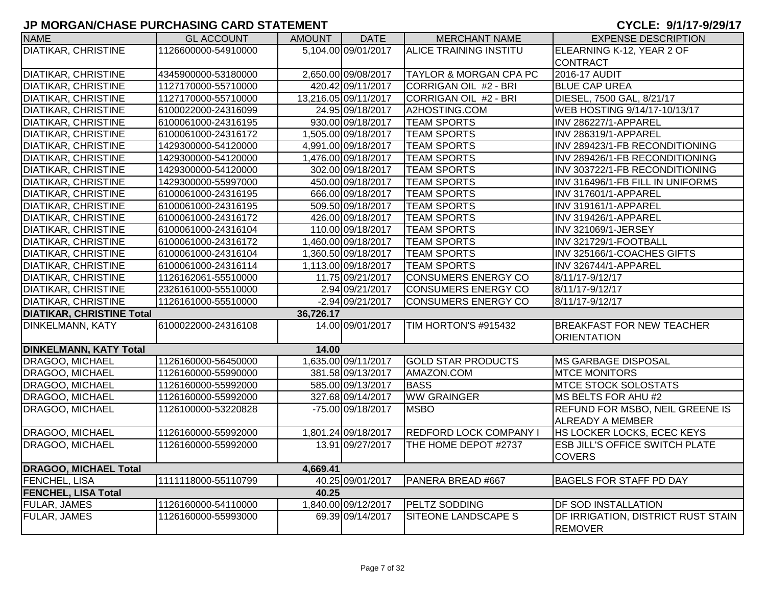| <b>NAME</b>                      | <b>GL ACCOUNT</b>   | <b>AMOUNT</b> | <b>DATE</b>          | <b>MERCHANT NAME</b>              | <b>EXPENSE DESCRIPTION</b>            |
|----------------------------------|---------------------|---------------|----------------------|-----------------------------------|---------------------------------------|
| <b>DIATIKAR, CHRISTINE</b>       | 1126600000-54910000 |               | 5,104.00 09/01/2017  | <b>ALICE TRAINING INSTITU</b>     | ELEARNING K-12, YEAR 2 OF             |
|                                  |                     |               |                      |                                   | <b>CONTRACT</b>                       |
| <b>DIATIKAR, CHRISTINE</b>       | 4345900000-53180000 |               | 2,650.00 09/08/2017  | <b>TAYLOR &amp; MORGAN CPA PC</b> | 2016-17 AUDIT                         |
| <b>DIATIKAR, CHRISTINE</b>       | 1127170000-55710000 |               | 420.42 09/11/2017    | CORRIGAN OIL #2 - BRI             | <b>BLUE CAP UREA</b>                  |
| <b>DIATIKAR, CHRISTINE</b>       | 1127170000-55710000 |               | 13,216.05 09/11/2017 | CORRIGAN OIL #2 - BRI             | DIESEL, 7500 GAL, 8/21/17             |
| <b>DIATIKAR, CHRISTINE</b>       | 6100022000-24316099 |               | 24.95 09/18/2017     | A2HOSTING.COM                     | WEB HOSTING 9/14/17-10/13/17          |
| <b>DIATIKAR, CHRISTINE</b>       | 6100061000-24316195 |               | 930.00 09/18/2017    | <b>TEAM SPORTS</b>                | INV 286227/1-APPAREL                  |
| <b>DIATIKAR, CHRISTINE</b>       | 6100061000-24316172 |               | 1,505.00 09/18/2017  | <b>TEAM SPORTS</b>                | INV 286319/1-APPAREL                  |
| <b>DIATIKAR, CHRISTINE</b>       | 1429300000-54120000 |               | 4,991.00 09/18/2017  | <b>TEAM SPORTS</b>                | INV 289423/1-FB RECONDITIONING        |
| <b>DIATIKAR, CHRISTINE</b>       | 1429300000-54120000 |               | 1,476.00 09/18/2017  | <b>TEAM SPORTS</b>                | INV 289426/1-FB RECONDITIONING        |
| <b>DIATIKAR, CHRISTINE</b>       | 1429300000-54120000 |               | 302.00 09/18/2017    | <b>TEAM SPORTS</b>                | INV 303722/1-FB RECONDITIONING        |
| <b>DIATIKAR, CHRISTINE</b>       | 1429300000-55997000 |               | 450.00 09/18/2017    | <b>TEAM SPORTS</b>                | INV 316496/1-FB FILL IN UNIFORMS      |
| <b>DIATIKAR, CHRISTINE</b>       | 6100061000-24316195 |               | 666.00 09/18/2017    | <b>TEAM SPORTS</b>                | INV 317601/1-APPAREL                  |
| <b>DIATIKAR, CHRISTINE</b>       | 6100061000-24316195 |               | 509.50 09/18/2017    | <b>TEAM SPORTS</b>                | INV 319161/1-APPAREL                  |
| <b>DIATIKAR, CHRISTINE</b>       | 6100061000-24316172 |               | 426.00 09/18/2017    | <b>TEAM SPORTS</b>                | INV 319426/1-APPAREL                  |
| <b>DIATIKAR, CHRISTINE</b>       | 6100061000-24316104 |               | 110.00 09/18/2017    | <b>TEAM SPORTS</b>                | INV 321069/1-JERSEY                   |
| <b>DIATIKAR, CHRISTINE</b>       | 6100061000-24316172 |               | 1,460.00 09/18/2017  | <b>TEAM SPORTS</b>                | INV 321729/1-FOOTBALL                 |
| <b>DIATIKAR, CHRISTINE</b>       | 6100061000-24316104 |               | 1,360.50 09/18/2017  | <b>TEAM SPORTS</b>                | INV 325166/1-COACHES GIFTS            |
| <b>DIATIKAR, CHRISTINE</b>       | 6100061000-24316114 |               | 1,113.00 09/18/2017  | <b>TEAM SPORTS</b>                | INV 326744/1-APPAREL                  |
| <b>DIATIKAR, CHRISTINE</b>       | 1126162061-55510000 |               | 11.75 09/21/2017     | CONSUMERS ENERGY CO               | 8/11/17-9/12/17                       |
| <b>DIATIKAR, CHRISTINE</b>       | 2326161000-55510000 |               | 2.94 09/21/2017      | CONSUMERS ENERGY CO               | 8/11/17-9/12/17                       |
| <b>DIATIKAR, CHRISTINE</b>       | 1126161000-55510000 |               | -2.94 09/21/2017     | CONSUMERS ENERGY CO               | 8/11/17-9/12/17                       |
| <b>DIATIKAR, CHRISTINE Total</b> |                     | 36,726.17     |                      |                                   |                                       |
| DINKELMANN, KATY                 | 6100022000-24316108 |               | 14.00 09/01/2017     | TIM HORTON'S #915432              | <b>BREAKFAST FOR NEW TEACHER</b>      |
|                                  |                     |               |                      |                                   | <b>ORIENTATION</b>                    |
| <b>DINKELMANN, KATY Total</b>    |                     | 14.00         |                      |                                   |                                       |
| DRAGOO, MICHAEL                  | 1126160000-56450000 |               | 1,635.00 09/11/2017  | <b>GOLD STAR PRODUCTS</b>         | <b>IMS GARBAGE DISPOSAL</b>           |
| DRAGOO, MICHAEL                  | 1126160000-55990000 |               | 381.58 09/13/2017    | AMAZON.COM                        | <b>MTCE MONITORS</b>                  |
| DRAGOO, MICHAEL                  | 1126160000-55992000 |               | 585.00 09/13/2017    | <b>BASS</b>                       | <b>MTCE STOCK SOLOSTATS</b>           |
| DRAGOO, MICHAEL                  | 1126160000-55992000 |               | 327.68 09/14/2017    | <b>WW GRAINGER</b>                | MS BELTS FOR AHU #2                   |
| DRAGOO, MICHAEL                  | 1126100000-53220828 |               | -75.00 09/18/2017    | <b>MSBO</b>                       | REFUND FOR MSBO, NEIL GREENE IS       |
|                                  |                     |               |                      |                                   | <b>ALREADY A MEMBER</b>               |
| DRAGOO, MICHAEL                  | 1126160000-55992000 |               | 1,801.24 09/18/2017  | <b>REDFORD LOCK COMPANY I</b>     | HS LOCKER LOCKS, ECEC KEYS            |
| DRAGOO, MICHAEL                  | 1126160000-55992000 |               | 13.91 09/27/2017     | THE HOME DEPOT #2737              | <b>ESB JILL'S OFFICE SWITCH PLATE</b> |
|                                  |                     |               |                      |                                   | <b>COVERS</b>                         |
| <b>DRAGOO, MICHAEL Total</b>     |                     | 4,669.41      |                      |                                   |                                       |
| FENCHEL, LISA                    | 1111118000-55110799 |               | 40.25 09/01/2017     | PANERA BREAD #667                 | <b>BAGELS FOR STAFF PD DAY</b>        |
| <b>FENCHEL, LISA Total</b>       |                     | 40.25         |                      |                                   |                                       |
| FULAR, JAMES                     | 1126160000-54110000 |               | 1,840.00 09/12/2017  | PELTZ SODDING                     | DF SOD INSTALLATION                   |
| FULAR, JAMES                     | 1126160000-55993000 |               | 69.39 09/14/2017     | SITEONE LANDSCAPE S               | DF IRRIGATION, DISTRICT RUST STAIN    |
|                                  |                     |               |                      |                                   | <b>REMOVER</b>                        |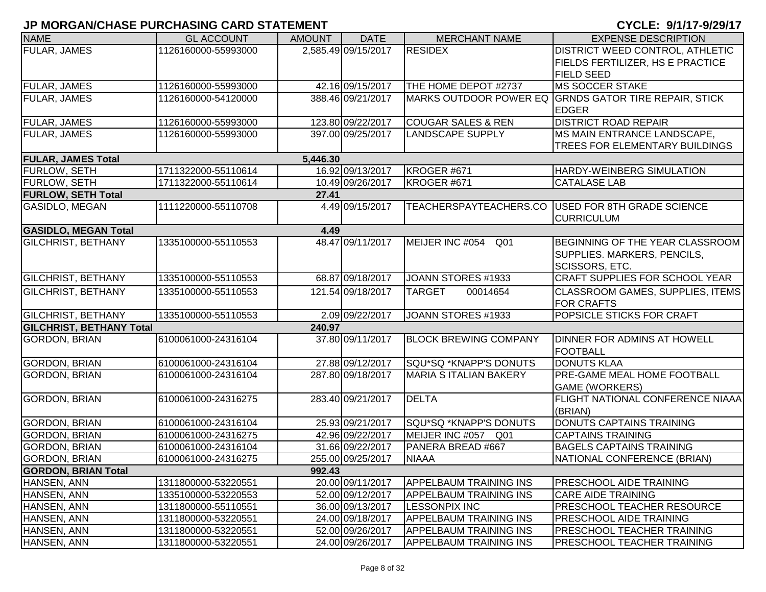| <b>NAME</b>                     | <b>GL ACCOUNT</b>   | <b>AMOUNT</b> | <b>DATE</b>         | <b>MERCHANT NAME</b>          | <b>EXPENSE DESCRIPTION</b>                            |
|---------------------------------|---------------------|---------------|---------------------|-------------------------------|-------------------------------------------------------|
| <b>FULAR, JAMES</b>             | 1126160000-55993000 |               | 2,585.49 09/15/2017 | <b>RESIDEX</b>                | DISTRICT WEED CONTROL, ATHLETIC                       |
|                                 |                     |               |                     |                               | FIELDS FERTILIZER, HS E PRACTICE                      |
|                                 |                     |               |                     |                               | <b>FIELD SEED</b>                                     |
| <b>FULAR, JAMES</b>             | 1126160000-55993000 |               | 42.16 09/15/2017    | THE HOME DEPOT #2737          | <b>MS SOCCER STAKE</b>                                |
| <b>FULAR, JAMES</b>             | 1126160000-54120000 |               | 388.46 09/21/2017   |                               | MARKS OUTDOOR POWER EQ GRNDS GATOR TIRE REPAIR, STICK |
|                                 |                     |               |                     |                               | <b>EDGER</b>                                          |
| <b>FULAR, JAMES</b>             | 1126160000-55993000 |               | 123.80 09/22/2017   | <b>COUGAR SALES &amp; REN</b> | <b>DISTRICT ROAD REPAIR</b>                           |
| <b>FULAR, JAMES</b>             | 1126160000-55993000 |               | 397.00 09/25/2017   | <b>LANDSCAPE SUPPLY</b>       | MS MAIN ENTRANCE LANDSCAPE,                           |
|                                 |                     |               |                     |                               | TREES FOR ELEMENTARY BUILDINGS                        |
| <b>FULAR, JAMES Total</b>       |                     | 5,446.30      |                     |                               |                                                       |
| <b>FURLOW, SETH</b>             | 1711322000-55110614 |               | 16.92 09/13/2017    | KROGER #671                   | HARDY-WEINBERG SIMULATION                             |
| <b>FURLOW, SETH</b>             | 1711322000-55110614 |               | 10.49 09/26/2017    | KROGER #671                   | <b>CATALASE LAB</b>                                   |
| <b>FURLOW, SETH Total</b>       |                     | 27.41         |                     |                               |                                                       |
| GASIDLO, MEGAN                  | 1111220000-55110708 |               | 4.49 09/15/2017     |                               | TEACHERSPAYTEACHERS.CO USED FOR 8TH GRADE SCIENCE     |
|                                 |                     |               |                     |                               | <b>CURRICULUM</b>                                     |
| <b>GASIDLO, MEGAN Total</b>     |                     | 4.49          |                     |                               |                                                       |
| <b>GILCHRIST, BETHANY</b>       | 1335100000-55110553 |               | 48.47 09/11/2017    | MEIJER INC #054<br>Q01        | BEGINNING OF THE YEAR CLASSROOM                       |
|                                 |                     |               |                     |                               | SUPPLIES. MARKERS, PENCILS,                           |
|                                 |                     |               |                     |                               | <b>SCISSORS, ETC.</b>                                 |
| <b>GILCHRIST, BETHANY</b>       | 1335100000-55110553 |               | 68.87 09/18/2017    | JOANN STORES #1933            | CRAFT SUPPLIES FOR SCHOOL YEAR                        |
| <b>GILCHRIST, BETHANY</b>       | 1335100000-55110553 |               | 121.54 09/18/2017   | <b>TARGET</b><br>00014654     | CLASSROOM GAMES, SUPPLIES, ITEMS                      |
|                                 |                     |               |                     |                               | <b>FOR CRAFTS</b>                                     |
| <b>GILCHRIST, BETHANY</b>       | 1335100000-55110553 |               | 2.09 09/22/2017     | JOANN STORES #1933            | POPSICLE STICKS FOR CRAFT                             |
| <b>GILCHRIST, BETHANY Total</b> |                     | 240.97        |                     |                               |                                                       |
| <b>GORDON, BRIAN</b>            | 6100061000-24316104 |               | 37.80 09/11/2017    | <b>BLOCK BREWING COMPANY</b>  | <b>DINNER FOR ADMINS AT HOWELL</b>                    |
|                                 |                     |               |                     |                               | <b>FOOTBALL</b>                                       |
| <b>GORDON, BRIAN</b>            | 6100061000-24316104 |               | 27.88 09/12/2017    | SQU*SQ *KNAPP'S DONUTS        | <b>DONUTS KLAA</b>                                    |
| <b>GORDON, BRIAN</b>            | 6100061000-24316104 |               | 287.80 09/18/2017   | <b>MARIA S ITALIAN BAKERY</b> | PRE-GAME MEAL HOME FOOTBALL                           |
|                                 |                     |               |                     |                               | <b>GAME (WORKERS)</b>                                 |
| <b>GORDON, BRIAN</b>            | 6100061000-24316275 |               | 283.40 09/21/2017   | <b>DELTA</b>                  | <b>FLIGHT NATIONAL CONFERENCE NIAAA</b>               |
|                                 |                     |               |                     |                               | (BRIAN)                                               |
| <b>GORDON, BRIAN</b>            | 6100061000-24316104 |               | 25.93 09/21/2017    | SQU*SQ *KNAPP'S DONUTS        | DONUTS CAPTAINS TRAINING                              |
| <b>GORDON, BRIAN</b>            | 6100061000-24316275 |               | 42.96 09/22/2017    | MEIJER INC #057<br>Q01        | <b>CAPTAINS TRAINING</b>                              |
| <b>GORDON, BRIAN</b>            | 6100061000-24316104 |               | 31.66 09/22/2017    | PANERA BREAD #667             | <b>BAGELS CAPTAINS TRAINING</b>                       |
| <b>GORDON, BRIAN</b>            | 6100061000-24316275 |               | 255.00 09/25/2017   | <b>NIAAA</b>                  | NATIONAL CONFERENCE (BRIAN)                           |
| <b>GORDON, BRIAN Total</b>      |                     | 992.43        |                     |                               |                                                       |
| HANSEN, ANN                     | 1311800000-53220551 |               | 20.00 09/11/2017    | <b>APPELBAUM TRAINING INS</b> | <b>PRESCHOOL AIDE TRAINING</b>                        |
| HANSEN, ANN                     | 1335100000-53220553 |               | 52.00 09/12/2017    | <b>APPELBAUM TRAINING INS</b> | <b>CARE AIDE TRAINING</b>                             |
| HANSEN, ANN                     | 1311800000-55110551 |               | 36.00 09/13/2017    | <b>LESSONPIX INC</b>          | PRESCHOOL TEACHER RESOURCE                            |
| HANSEN, ANN                     | 1311800000-53220551 |               | 24.00 09/18/2017    | <b>APPELBAUM TRAINING INS</b> | PRESCHOOL AIDE TRAINING                               |
| HANSEN, ANN                     | 1311800000-53220551 |               | 52.00 09/26/2017    | <b>APPELBAUM TRAINING INS</b> | <b>PRESCHOOL TEACHER TRAINING</b>                     |
| HANSEN, ANN                     | 1311800000-53220551 |               | 24.00 09/26/2017    | <b>APPELBAUM TRAINING INS</b> | <b>PRESCHOOL TEACHER TRAINING</b>                     |
|                                 |                     |               |                     |                               |                                                       |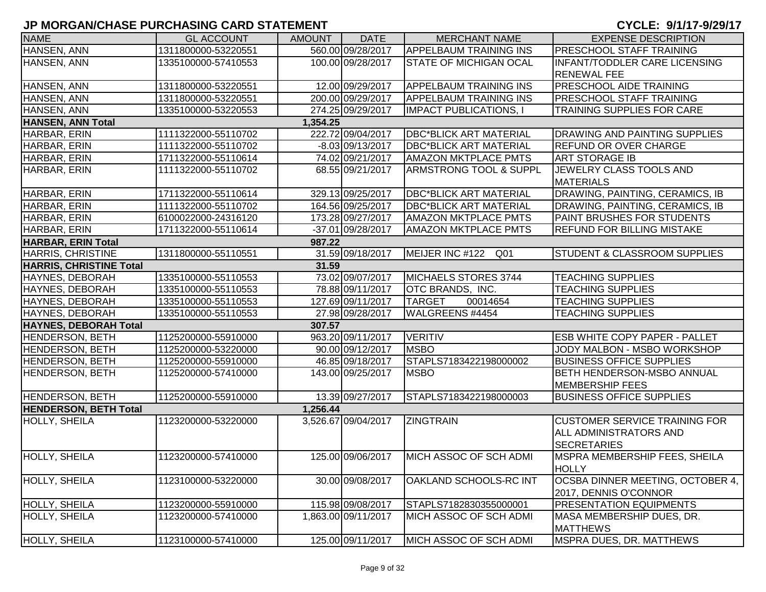| <b>NAME</b>                    | <b>GL ACCOUNT</b>   | <b>AMOUNT</b> | <b>DATE</b>         | <b>MERCHANT NAME</b>               | <b>EXPENSE DESCRIPTION</b>              |
|--------------------------------|---------------------|---------------|---------------------|------------------------------------|-----------------------------------------|
| HANSEN, ANN                    | 1311800000-53220551 |               | 560.00 09/28/2017   | <b>APPELBAUM TRAINING INS</b>      | <b>PRESCHOOL STAFF TRAINING</b>         |
| HANSEN, ANN                    | 1335100000-57410553 |               | 100.00 09/28/2017   | <b>STATE OF MICHIGAN OCAL</b>      | <b>INFANT/TODDLER CARE LICENSING</b>    |
|                                |                     |               |                     |                                    | <b>RENEWAL FEE</b>                      |
| HANSEN, ANN                    | 1311800000-53220551 |               | 12.00 09/29/2017    | <b>APPELBAUM TRAINING INS</b>      | <b>PRESCHOOL AIDE TRAINING</b>          |
| HANSEN, ANN                    | 1311800000-53220551 |               | 200.00 09/29/2017   | <b>APPELBAUM TRAINING INS</b>      | <b>PRESCHOOL STAFF TRAINING</b>         |
| HANSEN, ANN                    | 1335100000-53220553 |               | 274.25 09/29/2017   | <b>IMPACT PUBLICATIONS, I</b>      | <b>TRAINING SUPPLIES FOR CARE</b>       |
| <b>HANSEN, ANN Total</b>       |                     | 1,354.25      |                     |                                    |                                         |
| HARBAR, ERIN                   | 1111322000-55110702 |               | 222.72 09/04/2017   | <b>DBC*BLICK ART MATERIAL</b>      | <b>DRAWING AND PAINTING SUPPLIES</b>    |
| HARBAR, ERIN                   | 1111322000-55110702 |               | $-8.03 09/13/2017$  | <b>DBC*BLICK ART MATERIAL</b>      | <b>REFUND OR OVER CHARGE</b>            |
| HARBAR, ERIN                   | 1711322000-55110614 |               | 74.02 09/21/2017    | <b>AMAZON MKTPLACE PMTS</b>        | <b>ART STORAGE IB</b>                   |
| HARBAR, ERIN                   | 1111322000-55110702 |               | 68.55 09/21/2017    | <b>ARMSTRONG TOOL &amp; SUPPL</b>  | JEWELRY CLASS TOOLS AND                 |
|                                |                     |               |                     |                                    | <b>MATERIALS</b>                        |
| HARBAR, ERIN                   | 1711322000-55110614 |               | 329.13 09/25/2017   | <b>DBC*BLICK ART MATERIAL</b>      | DRAWING, PAINTING, CERAMICS, IB         |
| HARBAR, ERIN                   | 1111322000-55110702 |               | 164.56 09/25/2017   | <b>DBC*BLICK ART MATERIAL</b>      | DRAWING, PAINTING, CERAMICS, IB         |
| HARBAR, ERIN                   | 6100022000-24316120 |               | 173.28 09/27/2017   | <b>AMAZON MKTPLACE PMTS</b>        | PAINT BRUSHES FOR STUDENTS              |
| HARBAR, ERIN                   | 1711322000-55110614 |               | -37.01 09/28/2017   | <b>AMAZON MKTPLACE PMTS</b>        | <b>REFUND FOR BILLING MISTAKE</b>       |
| <b>HARBAR, ERIN Total</b>      |                     | 987.22        |                     |                                    |                                         |
| <b>HARRIS, CHRISTINE</b>       | 1311800000-55110551 |               | 31.59 09/18/2017    | MEIJER INC #122<br>Q <sub>01</sub> | <b>STUDENT &amp; CLASSROOM SUPPLIES</b> |
| <b>HARRIS, CHRISTINE Total</b> |                     | 31.59         |                     |                                    |                                         |
| HAYNES, DEBORAH                | 1335100000-55110553 |               | 73.02 09/07/2017    | MICHAELS STORES 3744               | <b>TEACHING SUPPLIES</b>                |
| <b>HAYNES, DEBORAH</b>         | 1335100000-55110553 |               | 78.88 09/11/2017    | OTC BRANDS, INC.                   | <b>TEACHING SUPPLIES</b>                |
| HAYNES, DEBORAH                | 1335100000-55110553 |               | 127.69 09/11/2017   | <b>TARGET</b><br>00014654          | <b>TEACHING SUPPLIES</b>                |
| HAYNES, DEBORAH                | 1335100000-55110553 |               | 27.98 09/28/2017    | WALGREENS #4454                    | <b>TEACHING SUPPLIES</b>                |
| <b>HAYNES, DEBORAH Total</b>   |                     | 307.57        |                     |                                    |                                         |
| <b>HENDERSON, BETH</b>         | 1125200000-55910000 |               | 963.20 09/11/2017   | <b>VERITIV</b>                     | <b>ESB WHITE COPY PAPER - PALLET</b>    |
| <b>HENDERSON, BETH</b>         | 1125200000-53220000 |               | 90.00 09/12/2017    | <b>MSBO</b>                        | JODY MALBON - MSBO WORKSHOP             |
| <b>HENDERSON, BETH</b>         | 1125200000-55910000 |               | 46.85 09/18/2017    | STAPLS7183422198000002             | <b>BUSINESS OFFICE SUPPLIES</b>         |
| HENDERSON, BETH                | 1125200000-57410000 |               | 143.00 09/25/2017   | <b>MSBO</b>                        | <b>BETH HENDERSON-MSBO ANNUAL</b>       |
|                                |                     |               |                     |                                    | <b>MEMBERSHIP FEES</b>                  |
| HENDERSON, BETH                | 1125200000-55910000 |               | 13.39 09/27/2017    | STAPLS7183422198000003             | <b>BUSINESS OFFICE SUPPLIES</b>         |
| <b>HENDERSON, BETH Total</b>   |                     | 1,256.44      |                     |                                    |                                         |
| <b>HOLLY, SHEILA</b>           | 1123200000-53220000 |               | 3,526.67 09/04/2017 | <b>ZINGTRAIN</b>                   | <b>CUSTOMER SERVICE TRAINING FOR</b>    |
|                                |                     |               |                     |                                    | IALL ADMINISTRATORS AND                 |
|                                |                     |               |                     |                                    | <b>SECRETARIES</b>                      |
| HOLLY, SHEILA                  | 1123200000-57410000 |               | 125.00 09/06/2017   | MICH ASSOC OF SCH ADMI             | MSPRA MEMBERSHIP FEES, SHEILA           |
|                                |                     |               |                     |                                    | <b>HOLLY</b>                            |
| HOLLY, SHEILA                  | 1123100000-53220000 |               | 30.00 09/08/2017    | OAKLAND SCHOOLS-RC INT             | OCSBA DINNER MEETING, OCTOBER 4,        |
|                                |                     |               |                     |                                    | 2017, DENNIS O'CONNOR                   |
| HOLLY, SHEILA                  | 1123200000-55910000 |               | 115.98 09/08/2017   | STAPLS7182830355000001             | <b>PRESENTATION EQUIPMENTS</b>          |
| HOLLY, SHEILA                  | 1123200000-57410000 |               | 1,863.00 09/11/2017 | MICH ASSOC OF SCH ADMI             | MASA MEMBERSHIP DUES, DR.               |
|                                |                     |               |                     |                                    | <b>MATTHEWS</b>                         |
| <b>HOLLY, SHEILA</b>           | 1123100000-57410000 |               | 125.00 09/11/2017   | MICH ASSOC OF SCH ADMI             | <b>MSPRA DUES, DR. MATTHEWS</b>         |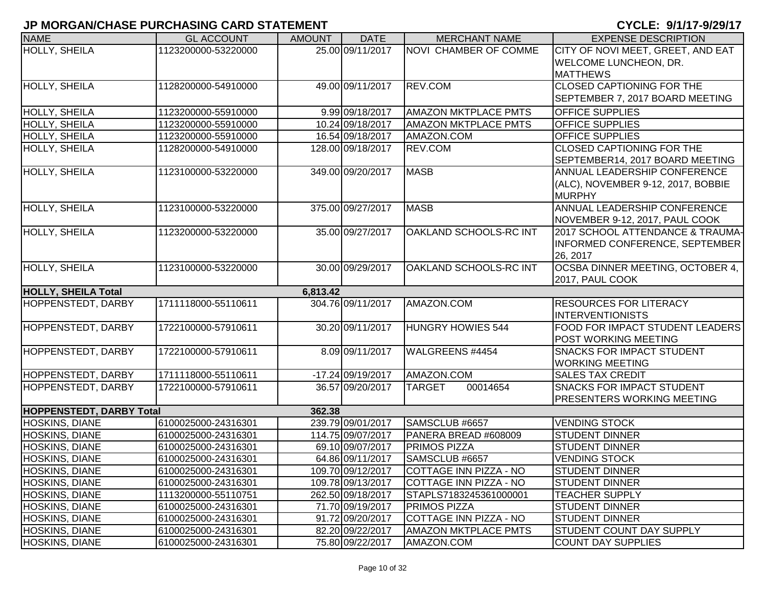| <b>NAME</b>                     | <b>GL ACCOUNT</b>   | <b>AMOUNT</b> | <b>DATE</b>       | <b>MERCHANT NAME</b>        | <b>EXPENSE DESCRIPTION</b>             |
|---------------------------------|---------------------|---------------|-------------------|-----------------------------|----------------------------------------|
| <b>HOLLY, SHEILA</b>            | 1123200000-53220000 |               | 25.00 09/11/2017  | NOVI CHAMBER OF COMME       | CITY OF NOVI MEET, GREET, AND EAT      |
|                                 |                     |               |                   |                             | <b>WELCOME LUNCHEON, DR.</b>           |
|                                 |                     |               |                   |                             | <b>MATTHEWS</b>                        |
| HOLLY, SHEILA                   | 1128200000-54910000 |               | 49.00 09/11/2017  | REV.COM                     | <b>CLOSED CAPTIONING FOR THE</b>       |
|                                 |                     |               |                   |                             | SEPTEMBER 7, 2017 BOARD MEETING        |
| HOLLY, SHEILA                   | 1123200000-55910000 |               | 9.99 09/18/2017   | <b>AMAZON MKTPLACE PMTS</b> | <b>OFFICE SUPPLIES</b>                 |
| HOLLY, SHEILA                   | 1123200000-55910000 |               | 10.24 09/18/2017  | <b>AMAZON MKTPLACE PMTS</b> | <b>OFFICE SUPPLIES</b>                 |
| HOLLY, SHEILA                   | 1123200000-55910000 |               | 16.54 09/18/2017  | AMAZON.COM                  | <b>OFFICE SUPPLIES</b>                 |
| HOLLY, SHEILA                   | 1128200000-54910000 |               | 128.00 09/18/2017 | REV.COM                     | CLOSED CAPTIONING FOR THE              |
|                                 |                     |               |                   |                             | SEPTEMBER14, 2017 BOARD MEETING        |
| HOLLY, SHEILA                   | 1123100000-53220000 |               | 349.00 09/20/2017 | <b>MASB</b>                 | ANNUAL LEADERSHIP CONFERENCE           |
|                                 |                     |               |                   |                             | (ALC), NOVEMBER 9-12, 2017, BOBBIE     |
|                                 |                     |               |                   |                             | <b>MURPHY</b>                          |
| <b>HOLLY, SHEILA</b>            | 1123100000-53220000 |               | 375.00 09/27/2017 | <b>MASB</b>                 | ANNUAL LEADERSHIP CONFERENCE           |
|                                 |                     |               |                   |                             | NOVEMBER 9-12, 2017, PAUL COOK         |
| <b>HOLLY, SHEILA</b>            | 1123200000-53220000 |               | 35.00 09/27/2017  | OAKLAND SCHOOLS-RC INT      | 2017 SCHOOL ATTENDANCE & TRAUMA-       |
|                                 |                     |               |                   |                             | INFORMED CONFERENCE, SEPTEMBER         |
|                                 |                     |               |                   |                             | 26, 2017                               |
| <b>HOLLY, SHEILA</b>            | 1123100000-53220000 |               | 30.00 09/29/2017  | OAKLAND SCHOOLS-RC INT      | OCSBA DINNER MEETING, OCTOBER 4,       |
|                                 |                     |               |                   |                             | 2017, PAUL COOK                        |
| <b>HOLLY, SHEILA Total</b>      |                     | 6,813.42      |                   |                             |                                        |
| HOPPENSTEDT, DARBY              | 1711118000-55110611 |               | 304.76 09/11/2017 | AMAZON.COM                  | <b>RESOURCES FOR LITERACY</b>          |
|                                 |                     |               |                   |                             | <b>INTERVENTIONISTS</b>                |
| HOPPENSTEDT, DARBY              | 1722100000-57910611 |               | 30.20 09/11/2017  | <b>HUNGRY HOWIES 544</b>    | <b>FOOD FOR IMPACT STUDENT LEADERS</b> |
|                                 |                     |               |                   |                             | POST WORKING MEETING                   |
| HOPPENSTEDT, DARBY              | 1722100000-57910611 |               | 8.09 09/11/2017   | WALGREENS #4454             | <b>SNACKS FOR IMPACT STUDENT</b>       |
|                                 |                     |               |                   |                             | <b>WORKING MEETING</b>                 |
| <b>HOPPENSTEDT, DARBY</b>       | 1711118000-55110611 |               | -17.24 09/19/2017 | AMAZON.COM                  | <b>SALES TAX CREDIT</b>                |
| HOPPENSTEDT, DARBY              | 1722100000-57910611 |               | 36.57 09/20/2017  | 00014654<br><b>TARGET</b>   | <b>SNACKS FOR IMPACT STUDENT</b>       |
|                                 |                     |               |                   |                             | <b>PRESENTERS WORKING MEETING</b>      |
| <b>HOPPENSTEDT, DARBY Total</b> |                     | 362.38        |                   |                             |                                        |
| HOSKINS, DIANE                  | 6100025000-24316301 |               | 239.79 09/01/2017 | SAMSCLUB #6657              | <b>VENDING STOCK</b>                   |
| HOSKINS, DIANE                  | 6100025000-24316301 |               | 114.75 09/07/2017 | PANERA BREAD #608009        | <b>STUDENT DINNER</b>                  |
| HOSKINS, DIANE                  | 6100025000-24316301 |               | 69.10 09/07/2017  | PRIMOS PIZZA                | <b>STUDENT DINNER</b>                  |
| <b>HOSKINS, DIANE</b>           | 6100025000-24316301 |               | 64.86 09/11/2017  | SAMSCLUB #6657              | <b>VENDING STOCK</b>                   |
| <b>HOSKINS, DIANE</b>           | 6100025000-24316301 |               | 109.70 09/12/2017 | COTTAGE INN PIZZA - NO      | <b>STUDENT DINNER</b>                  |
| <b>HOSKINS, DIANE</b>           | 6100025000-24316301 |               | 109.78 09/13/2017 | COTTAGE INN PIZZA - NO      | <b>STUDENT DINNER</b>                  |
| <b>HOSKINS, DIANE</b>           | 1113200000-55110751 |               | 262.50 09/18/2017 | STAPLS7183245361000001      | <b>TEACHER SUPPLY</b>                  |
| <b>HOSKINS, DIANE</b>           | 6100025000-24316301 |               | 71.70 09/19/2017  | <b>PRIMOS PIZZA</b>         | <b>STUDENT DINNER</b>                  |
| <b>HOSKINS, DIANE</b>           | 6100025000-24316301 |               | 91.72 09/20/2017  | COTTAGE INN PIZZA - NO      | <b>STUDENT DINNER</b>                  |
| <b>HOSKINS, DIANE</b>           | 6100025000-24316301 |               | 82.20 09/22/2017  | <b>AMAZON MKTPLACE PMTS</b> | <b>STUDENT COUNT DAY SUPPLY</b>        |
| <b>HOSKINS, DIANE</b>           | 6100025000-24316301 |               | 75.80 09/22/2017  | AMAZON.COM                  | <b>COUNT DAY SUPPLIES</b>              |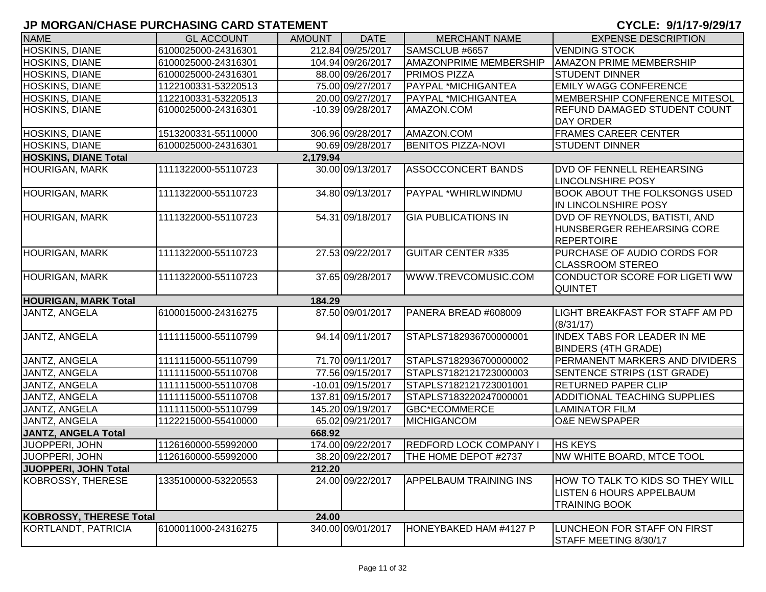| <b>NAME</b>                    | <b>GL ACCOUNT</b>   | <b>AMOUNT</b> | <b>DATE</b>       | <b>MERCHANT NAME</b>          | <b>EXPENSE DESCRIPTION</b>                                                                  |
|--------------------------------|---------------------|---------------|-------------------|-------------------------------|---------------------------------------------------------------------------------------------|
| HOSKINS, DIANE                 | 6100025000-24316301 |               | 212.84 09/25/2017 | SAMSCLUB #6657                | <b>VENDING STOCK</b>                                                                        |
| <b>HOSKINS, DIANE</b>          | 6100025000-24316301 |               | 104.94 09/26/2017 | <b>AMAZONPRIME MEMBERSHIP</b> | <b>AMAZON PRIME MEMBERSHIP</b>                                                              |
| <b>HOSKINS, DIANE</b>          | 6100025000-24316301 |               | 88.00 09/26/2017  | <b>PRIMOS PIZZA</b>           | <b>STUDENT DINNER</b>                                                                       |
| <b>HOSKINS, DIANE</b>          | 1122100331-53220513 |               | 75.00 09/27/2017  | <b>PAYPAL *MICHIGANTEA</b>    | <b>EMILY WAGG CONFERENCE</b>                                                                |
| <b>HOSKINS, DIANE</b>          | 1122100331-53220513 |               | 20.00 09/27/2017  | <b>PAYPAL *MICHIGANTEA</b>    | MEMBERSHIP CONFERENCE MITESOL                                                               |
| <b>HOSKINS, DIANE</b>          | 6100025000-24316301 |               | -10.39 09/28/2017 | AMAZON.COM                    | REFUND DAMAGED STUDENT COUNT                                                                |
|                                |                     |               |                   |                               | <b>DAY ORDER</b>                                                                            |
| HOSKINS, DIANE                 | 1513200331-55110000 |               | 306.96 09/28/2017 | AMAZON.COM                    | <b>FRAMES CAREER CENTER</b>                                                                 |
| HOSKINS, DIANE                 | 6100025000-24316301 |               | 90.69 09/28/2017  | <b>BENITOS PIZZA-NOVI</b>     | <b>STUDENT DINNER</b>                                                                       |
| <b>HOSKINS, DIANE Total</b>    |                     | 2,179.94      |                   |                               |                                                                                             |
| <b>HOURIGAN, MARK</b>          | 1111322000-55110723 |               | 30.00 09/13/2017  | <b>ASSOCCONCERT BANDS</b>     | DVD OF FENNELL REHEARSING<br><b>LINCOLNSHIRE POSY</b>                                       |
| <b>HOURIGAN, MARK</b>          | 1111322000-55110723 |               | 34.80 09/13/2017  | PAYPAL *WHIRLWINDMU           | <b>BOOK ABOUT THE FOLKSONGS USED</b><br>IN LINCOLNSHIRE POSY                                |
| <b>HOURIGAN, MARK</b>          | 1111322000-55110723 |               | 54.31 09/18/2017  | <b>GIA PUBLICATIONS IN</b>    | DVD OF REYNOLDS, BATISTI, AND<br>HUNSBERGER REHEARSING CORE<br><b>REPERTOIRE</b>            |
| <b>HOURIGAN, MARK</b>          | 1111322000-55110723 |               | 27.53 09/22/2017  | <b>GUITAR CENTER #335</b>     | PURCHASE OF AUDIO CORDS FOR<br><b>CLASSROOM STEREO</b>                                      |
| <b>HOURIGAN, MARK</b>          | 1111322000-55110723 |               | 37.65 09/28/2017  | WWW.TREVCOMUSIC.COM           | CONDUCTOR SCORE FOR LIGETI WW<br><b>QUINTET</b>                                             |
| <b>HOURIGAN, MARK Total</b>    |                     | 184.29        |                   |                               |                                                                                             |
| JANTZ, ANGELA                  | 6100015000-24316275 |               | 87.50 09/01/2017  | PANERA BREAD #608009          | LIGHT BREAKFAST FOR STAFF AM PD<br>(8/31/17)                                                |
| <b>JANTZ, ANGELA</b>           | 1111115000-55110799 |               | 94.14 09/11/2017  | STAPLS7182936700000001        | <b>INDEX TABS FOR LEADER IN ME</b><br><b>BINDERS (4TH GRADE)</b>                            |
| JANTZ, ANGELA                  | 1111115000-55110799 |               | 71.70 09/11/2017  | STAPLS7182936700000002        | PERMANENT MARKERS AND DIVIDERS                                                              |
| JANTZ, ANGELA                  | 1111115000-55110708 |               | 77.56 09/15/2017  | STAPLS7182121723000003        | SENTENCE STRIPS (1ST GRADE)                                                                 |
| JANTZ, ANGELA                  | 1111115000-55110708 |               | -10.01 09/15/2017 | STAPLS7182121723001001        | <b>RETURNED PAPER CLIP</b>                                                                  |
| JANTZ, ANGELA                  | 1111115000-55110708 |               | 137.81 09/15/2017 | STAPLS7183220247000001        | ADDITIONAL TEACHING SUPPLIES                                                                |
| JANTZ, ANGELA                  | 1111115000-55110799 |               | 145.20 09/19/2017 | <b>GBC*ECOMMERCE</b>          | LAMINATOR FILM                                                                              |
| JANTZ, ANGELA                  | 1122215000-55410000 |               | 65.02 09/21/2017  | MICHIGANCOM                   | <b>O&amp;E NEWSPAPER</b>                                                                    |
| <b>JANTZ, ANGELA Total</b>     |                     | 668.92        |                   |                               |                                                                                             |
| JUOPPERI, JOHN                 | 1126160000-55992000 |               | 174.00 09/22/2017 | <b>REDFORD LOCK COMPANY I</b> | <b>HS KEYS</b>                                                                              |
| JUOPPERI, JOHN                 | 1126160000-55992000 |               | 38.20 09/22/2017  | THE HOME DEPOT #2737          | NW WHITE BOARD, MTCE TOOL                                                                   |
| JUOPPERI, JOHN Total           |                     | 212.20        |                   |                               |                                                                                             |
| <b>KOBROSSY, THERESE</b>       | 1335100000-53220553 |               | 24.00 09/22/2017  | <b>APPELBAUM TRAINING INS</b> | HOW TO TALK TO KIDS SO THEY WILL<br><b>LISTEN 6 HOURS APPELBAUM</b><br><b>TRAINING BOOK</b> |
| <b>KOBROSSY, THERESE Total</b> |                     | 24.00         |                   |                               |                                                                                             |
| KORTLANDT, PATRICIA            | 6100011000-24316275 |               | 340.00 09/01/2017 | HONEYBAKED HAM #4127 P        | LUNCHEON FOR STAFF ON FIRST<br>STAFF MEETING 8/30/17                                        |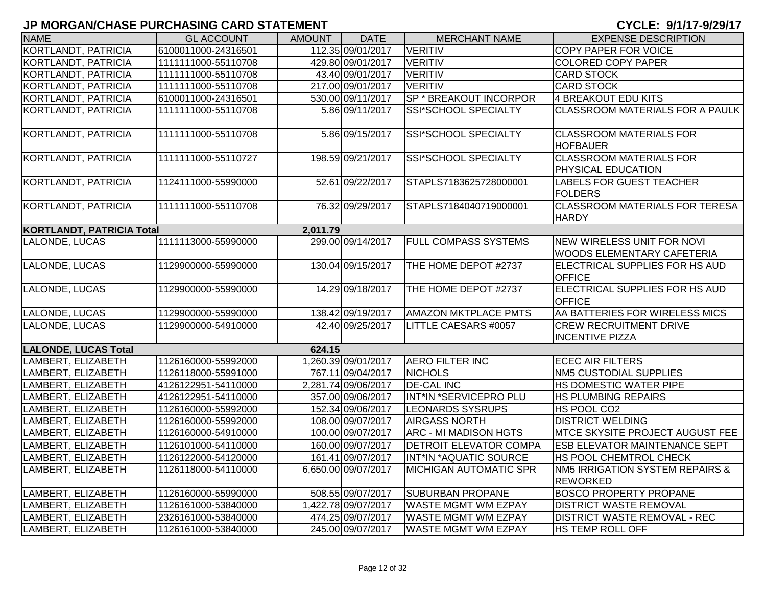| <b>NAME</b>                      | <b>GL ACCOUNT</b>   | <b>AMOUNT</b> | <b>DATE</b>         | <b>MERCHANT NAME</b>          | <b>EXPENSE DESCRIPTION</b>                                  |
|----------------------------------|---------------------|---------------|---------------------|-------------------------------|-------------------------------------------------------------|
| <b>KORTLANDT, PATRICIA</b>       | 6100011000-24316501 |               | 112.35 09/01/2017   | <b>VERITIV</b>                | <b>COPY PAPER FOR VOICE</b>                                 |
| KORTLANDT, PATRICIA              | 1111111000-55110708 |               | 429.80 09/01/2017   | <b>VERITIV</b>                | <b>COLORED COPY PAPER</b>                                   |
| KORTLANDT, PATRICIA              | 1111111000-55110708 |               | 43.40 09/01/2017    | VERITIV                       | <b>CARD STOCK</b>                                           |
| KORTLANDT, PATRICIA              | 1111111000-55110708 |               | 217.00 09/01/2017   | <b>VERITIV</b>                | <b>CARD STOCK</b>                                           |
| KORTLANDT, PATRICIA              | 6100011000-24316501 |               | 530.00 09/11/2017   | SP * BREAKOUT INCORPOR        | 4 BREAKOUT EDU KITS                                         |
| KORTLANDT, PATRICIA              | 1111111000-55110708 |               | 5.86 09/11/2017     | SSI*SCHOOL SPECIALTY          | <b>CLASSROOM MATERIALS FOR A PAULK</b>                      |
| KORTLANDT, PATRICIA              | 1111111000-55110708 |               | 5.86 09/15/2017     | SSI*SCHOOL SPECIALTY          | <b>CLASSROOM MATERIALS FOR</b><br><b>HOFBAUER</b>           |
| <b>KORTLANDT, PATRICIA</b>       | 1111111000-55110727 |               | 198.59 09/21/2017   | <b>SSI*SCHOOL SPECIALTY</b>   | <b>CLASSROOM MATERIALS FOR</b><br><b>PHYSICAL EDUCATION</b> |
| KORTLANDT, PATRICIA              | 1124111000-55990000 |               | 52.61 09/22/2017    | STAPLS7183625728000001        | <b>LABELS FOR GUEST TEACHER</b><br><b>FOLDERS</b>           |
| <b>KORTLANDT, PATRICIA</b>       | 1111111000-55110708 |               | 76.32 09/29/2017    | STAPLS7184040719000001        | <b>CLASSROOM MATERIALS FOR TERESA</b><br><b>HARDY</b>       |
| <b>KORTLANDT, PATRICIA Total</b> |                     | 2,011.79      |                     |                               |                                                             |
| LALONDE, LUCAS                   | 1111113000-55990000 |               | 299.00 09/14/2017   | <b>FULL COMPASS SYSTEMS</b>   | NEW WIRELESS UNIT FOR NOVI<br>WOODS ELEMENTARY CAFETERIA    |
| LALONDE, LUCAS                   | 1129900000-55990000 |               | 130.04 09/15/2017   | THE HOME DEPOT #2737          | ELECTRICAL SUPPLIES FOR HS AUD<br><b>OFFICE</b>             |
| LALONDE, LUCAS                   | 1129900000-55990000 |               | 14.29 09/18/2017    | THE HOME DEPOT #2737          | ELECTRICAL SUPPLIES FOR HS AUD<br><b>OFFICE</b>             |
| LALONDE, LUCAS                   | 1129900000-55990000 |               | 138.42 09/19/2017   | <b>AMAZON MKTPLACE PMTS</b>   | AA BATTERIES FOR WIRELESS MICS                              |
| LALONDE, LUCAS                   | 1129900000-54910000 |               | 42.40 09/25/2017    | LITTLE CAESARS #0057          | <b>CREW RECRUITMENT DRIVE</b><br><b>INCENTIVE PIZZA</b>     |
| <b>LALONDE, LUCAS Total</b>      |                     | 624.15        |                     |                               |                                                             |
| LAMBERT, ELIZABETH               | 1126160000-55992000 |               | 1,260.39 09/01/2017 | <b>AERO FILTER INC</b>        | <b>ECEC AIR FILTERS</b>                                     |
| LAMBERT, ELIZABETH               | 1126118000-55991000 |               | 767.11 09/04/2017   | <b>NICHOLS</b>                | NM5 CUSTODIAL SUPPLIES                                      |
| LAMBERT, ELIZABETH               | 4126122951-54110000 |               | 2,281.74 09/06/2017 | <b>DE-CAL INC</b>             | HS DOMESTIC WATER PIPE                                      |
| LAMBERT, ELIZABETH               | 4126122951-54110000 |               | 357.00 09/06/2017   | INT*IN *SERVICEPRO PLU        | HS PLUMBING REPAIRS                                         |
| LAMBERT, ELIZABETH               | 1126160000-55992000 |               | 152.34 09/06/2017   | <b>LEONARDS SYSRUPS</b>       | HS POOL CO2                                                 |
| LAMBERT, ELIZABETH               | 1126160000-55992000 |               | 108.00 09/07/2017   | <b>AIRGASS NORTH</b>          | <b>DISTRICT WELDING</b>                                     |
| LAMBERT, ELIZABETH               | 1126160000-54910000 |               | 100.00 09/07/2017   | ARC - MI MADISON HGTS         | MTCE SKYSITE PROJECT AUGUST FEE                             |
| LAMBERT, ELIZABETH               | 1126101000-54110000 |               | 160.00 09/07/2017   | <b>DETROIT ELEVATOR COMPA</b> | <b>ESB ELEVATOR MAINTENANCE SEPT</b>                        |
| LAMBERT, ELIZABETH               | 1126122000-54120000 |               | 161.41 09/07/2017   | INT*IN *AQUATIC SOURCE        | HS POOL CHEMTROL CHECK                                      |
| LAMBERT, ELIZABETH               | 1126118000-54110000 |               | 6,650.00 09/07/2017 | <b>MICHIGAN AUTOMATIC SPR</b> | NM5 IRRIGATION SYSTEM REPAIRS &<br><b>REWORKED</b>          |
| LAMBERT, ELIZABETH               | 1126160000-55990000 |               | 508.55 09/07/2017   | <b>SUBURBAN PROPANE</b>       | <b>BOSCO PROPERTY PROPANE</b>                               |
| LAMBERT, ELIZABETH               | 1126161000-53840000 |               | 1,422.78 09/07/2017 | <b>WASTE MGMT WM EZPAY</b>    | <b>DISTRICT WASTE REMOVAL</b>                               |
| LAMBERT, ELIZABETH               | 2326161000-53840000 |               | 474.25 09/07/2017   | <b>WASTE MGMT WM EZPAY</b>    | <b>DISTRICT WASTE REMOVAL - REC</b>                         |
| LAMBERT, ELIZABETH               | 1126161000-53840000 |               | 245.00 09/07/2017   | <b>WASTE MGMT WM EZPAY</b>    | <b>HS TEMP ROLL OFF</b>                                     |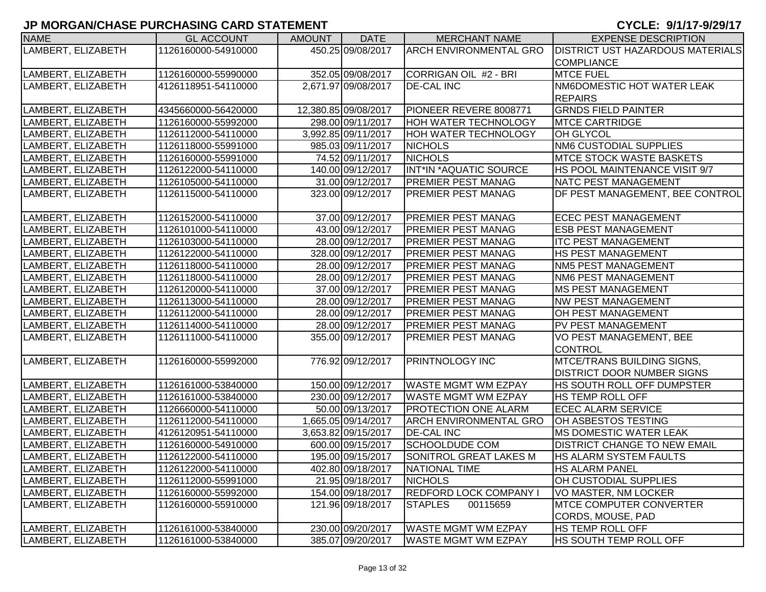| <b>NAME</b>        | <b>GL ACCOUNT</b>   | <b>AMOUNT</b> | <b>DATE</b>          | <b>MERCHANT NAME</b>          | <b>EXPENSE DESCRIPTION</b>              |
|--------------------|---------------------|---------------|----------------------|-------------------------------|-----------------------------------------|
| LAMBERT, ELIZABETH | 1126160000-54910000 |               | 450.25 09/08/2017    | <b>ARCH ENVIRONMENTAL GRO</b> | <b>DISTRICT UST HAZARDOUS MATERIALS</b> |
|                    |                     |               |                      |                               | <b>COMPLIANCE</b>                       |
| LAMBERT, ELIZABETH | 1126160000-55990000 |               | 352.05 09/08/2017    | CORRIGAN OIL #2 - BRI         | <b>MTCE FUEL</b>                        |
| LAMBERT, ELIZABETH | 4126118951-54110000 |               | 2,671.97 09/08/2017  | <b>DE-CAL INC</b>             | NM6DOMESTIC HOT WATER LEAK              |
|                    |                     |               |                      |                               | <b>REPAIRS</b>                          |
| LAMBERT, ELIZABETH | 4345660000-56420000 |               | 12,380.85 09/08/2017 | PIONEER REVERE 8008771        | <b>GRNDS FIELD PAINTER</b>              |
| LAMBERT, ELIZABETH | 1126160000-55992000 |               | 298.00 09/11/2017    | <b>HOH WATER TECHNOLOGY</b>   | <b>MTCE CARTRIDGE</b>                   |
| LAMBERT, ELIZABETH | 1126112000-54110000 |               | 3,992.85 09/11/2017  | <b>HOH WATER TECHNOLOGY</b>   | <b>OH GLYCOL</b>                        |
| LAMBERT, ELIZABETH | 1126118000-55991000 |               | 985.03 09/11/2017    | <b>NICHOLS</b>                | NM6 CUSTODIAL SUPPLIES                  |
| LAMBERT, ELIZABETH | 1126160000-55991000 |               | 74.52 09/11/2017     | <b>NICHOLS</b>                | <b>MTCE STOCK WASTE BASKETS</b>         |
| LAMBERT, ELIZABETH | 1126122000-54110000 |               | 140.00 09/12/2017    | INT*IN *AQUATIC SOURCE        | HS POOL MAINTENANCE VISIT 9/7           |
| LAMBERT, ELIZABETH | 1126105000-54110000 |               | 31.00 09/12/2017     | <b>PREMIER PEST MANAG</b>     | NATC PEST MANAGEMENT                    |
| LAMBERT, ELIZABETH | 1126115000-54110000 |               | 323.00 09/12/2017    | <b>PREMIER PEST MANAG</b>     | DF PEST MANAGEMENT, BEE CONTROL         |
|                    |                     |               |                      |                               |                                         |
| LAMBERT, ELIZABETH | 1126152000-54110000 |               | 37.00 09/12/2017     | <b>PREMIER PEST MANAG</b>     | <b>ECEC PEST MANAGEMENT</b>             |
| LAMBERT, ELIZABETH | 1126101000-54110000 |               | 43.00 09/12/2017     | <b>PREMIER PEST MANAG</b>     | <b>ESB PEST MANAGEMENT</b>              |
| LAMBERT, ELIZABETH | 1126103000-54110000 |               | 28.00 09/12/2017     | <b>PREMIER PEST MANAG</b>     | <b>ITC PEST MANAGEMENT</b>              |
| LAMBERT, ELIZABETH | 1126122000-54110000 |               | 328.00 09/12/2017    | <b>PREMIER PEST MANAG</b>     | HS PEST MANAGEMENT                      |
| LAMBERT, ELIZABETH | 1126118000-54110000 |               | 28.00 09/12/2017     | <b>PREMIER PEST MANAG</b>     | <b>NM5 PEST MANAGEMENT</b>              |
| LAMBERT, ELIZABETH | 1126118000-54110000 |               | 28.00 09/12/2017     | <b>PREMIER PEST MANAG</b>     | <b>NM6 PEST MANAGEMENT</b>              |
| LAMBERT, ELIZABETH | 1126120000-54110000 |               | 37.00 09/12/2017     | <b>PREMIER PEST MANAG</b>     | <b>MS PEST MANAGEMENT</b>               |
| LAMBERT, ELIZABETH | 1126113000-54110000 |               | 28.00 09/12/2017     | <b>PREMIER PEST MANAG</b>     | <b>NW PEST MANAGEMENT</b>               |
| LAMBERT, ELIZABETH | 1126112000-54110000 |               | 28.00 09/12/2017     | <b>PREMIER PEST MANAG</b>     | OH PEST MANAGEMENT                      |
| LAMBERT, ELIZABETH | 1126114000-54110000 |               | 28.00 09/12/2017     | <b>PREMIER PEST MANAG</b>     | PV PEST MANAGEMENT                      |
| LAMBERT, ELIZABETH | 1126111000-54110000 |               | 355.00 09/12/2017    | <b>PREMIER PEST MANAG</b>     | VO PEST MANAGEMENT, BEE                 |
|                    |                     |               |                      |                               | <b>CONTROL</b>                          |
| LAMBERT, ELIZABETH | 1126160000-55992000 |               | 776.92 09/12/2017    | <b>PRINTNOLOGY INC</b>        | <b>MTCE/TRANS BUILDING SIGNS,</b>       |
|                    |                     |               |                      |                               | <b>DISTRICT DOOR NUMBER SIGNS</b>       |
| LAMBERT, ELIZABETH | 1126161000-53840000 |               | 150.00 09/12/2017    | <b>WASTE MGMT WM EZPAY</b>    | HS SOUTH ROLL OFF DUMPSTER              |
| LAMBERT, ELIZABETH | 1126161000-53840000 |               | 230.00 09/12/2017    | <b>WASTE MGMT WM EZPAY</b>    | HS TEMP ROLL OFF                        |
| LAMBERT, ELIZABETH | 1126660000-54110000 |               | 50.00 09/13/2017     | <b>PROTECTION ONE ALARM</b>   | <b>ECEC ALARM SERVICE</b>               |
| LAMBERT, ELIZABETH | 1126112000-54110000 |               | 1,665.05 09/14/2017  | <b>ARCH ENVIRONMENTAL GRO</b> | OH ASBESTOS TESTING                     |
| LAMBERT, ELIZABETH | 4126120951-54110000 |               | 3,653.82 09/15/2017  | <b>DE-CAL INC</b>             | <b>MS DOMESTIC WATER LEAK</b>           |
| LAMBERT, ELIZABETH | 1126160000-54910000 |               | 600.00 09/15/2017    | <b>SCHOOLDUDE COM</b>         | <b>DISTRICT CHANGE TO NEW EMAIL</b>     |
| LAMBERT, ELIZABETH | 1126122000-54110000 |               | 195.00 09/15/2017    | <b>SONITROL GREAT LAKES M</b> | HS ALARM SYSTEM FAULTS                  |
| LAMBERT, ELIZABETH | 1126122000-54110000 |               | 402.80 09/18/2017    | <b>NATIONAL TIME</b>          | <b>HS ALARM PANEL</b>                   |
| LAMBERT, ELIZABETH | 1126112000-55991000 |               | 21.95 09/18/2017     | <b>NICHOLS</b>                | OH CUSTODIAL SUPPLIES                   |
| LAMBERT, ELIZABETH | 1126160000-55992000 |               | 154.00 09/18/2017    | <b>REDFORD LOCK COMPANY I</b> | VO MASTER, NM LOCKER                    |
| LAMBERT, ELIZABETH | 1126160000-55910000 |               | 121.96 09/18/2017    | <b>STAPLES</b><br>00115659    | <b>MTCE COMPUTER CONVERTER</b>          |
|                    |                     |               |                      |                               | CORDS, MOUSE, PAD                       |
| LAMBERT, ELIZABETH | 1126161000-53840000 |               | 230.00 09/20/2017    | <b>WASTE MGMT WM EZPAY</b>    | <b>HS TEMP ROLL OFF</b>                 |
| LAMBERT, ELIZABETH | 1126161000-53840000 |               | 385.07 09/20/2017    | <b>WASTE MGMT WM EZPAY</b>    | HS SOUTH TEMP ROLL OFF                  |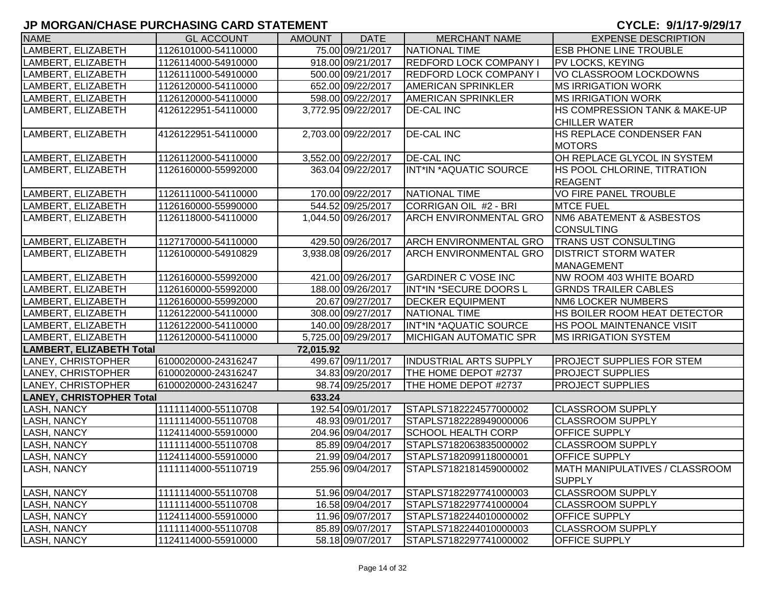| <b>NAME</b>                     | <b>GL ACCOUNT</b>   | <b>AMOUNT</b> | <b>DATE</b>         | <b>MERCHANT NAME</b>          | <b>EXPENSE DESCRIPTION</b>                      |
|---------------------------------|---------------------|---------------|---------------------|-------------------------------|-------------------------------------------------|
| LAMBERT, ELIZABETH              | 1126101000-54110000 |               | 75.00 09/21/2017    | NATIONAL TIME                 | <b>ESB PHONE LINE TROUBLE</b>                   |
| LAMBERT, ELIZABETH              | 1126114000-54910000 |               | 918.00 09/21/2017   | <b>REDFORD LOCK COMPANY I</b> | <b>PV LOCKS, KEYING</b>                         |
| LAMBERT, ELIZABETH              | 1126111000-54910000 |               | 500.00 09/21/2017   | <b>REDFORD LOCK COMPANY I</b> | VO CLASSROOM LOCKDOWNS                          |
| LAMBERT, ELIZABETH              | 1126120000-54110000 |               | 652.00 09/22/2017   | <b>AMERICAN SPRINKLER</b>     | <b>MS IRRIGATION WORK</b>                       |
| LAMBERT, ELIZABETH              | 1126120000-54110000 |               | 598.00 09/22/2017   | <b>AMERICAN SPRINKLER</b>     | <b>MS IRRIGATION WORK</b>                       |
| LAMBERT, ELIZABETH              | 4126122951-54110000 |               | 3,772.95 09/22/2017 | <b>DE-CAL INC</b>             | <b>HS COMPRESSION TANK &amp; MAKE-UP</b>        |
|                                 |                     |               |                     |                               | <b>CHILLER WATER</b>                            |
| LAMBERT, ELIZABETH              | 4126122951-54110000 |               | 2,703.00 09/22/2017 | <b>DE-CAL INC</b>             | <b>IHS REPLACE CONDENSER FAN</b>                |
|                                 |                     |               |                     |                               | <b>MOTORS</b>                                   |
| LAMBERT, ELIZABETH              | 1126112000-54110000 |               | 3,552.00 09/22/2017 | <b>DE-CAL INC</b>             | OH REPLACE GLYCOL IN SYSTEM                     |
| LAMBERT, ELIZABETH              | 1126160000-55992000 |               | 363.04 09/22/2017   | INT*IN *AQUATIC SOURCE        | HS POOL CHLORINE, TITRATION                     |
|                                 |                     |               |                     |                               | <b>REAGENT</b>                                  |
| LAMBERT, ELIZABETH              | 1126111000-54110000 |               | 170.00 09/22/2017   | NATIONAL TIME                 | <b>VO FIRE PANEL TROUBLE</b>                    |
| LAMBERT, ELIZABETH              | 1126160000-55990000 |               | 544.52 09/25/2017   | CORRIGAN OIL #2 - BRI         | <b>MTCE FUEL</b>                                |
| LAMBERT, ELIZABETH              | 1126118000-54110000 |               | 1,044.50 09/26/2017 | ARCH ENVIRONMENTAL GRO        | <b>NM6 ABATEMENT &amp; ASBESTOS</b>             |
|                                 |                     |               |                     |                               | <b>CONSULTING</b>                               |
| LAMBERT, ELIZABETH              | 1127170000-54110000 |               | 429.50 09/26/2017   | <b>ARCH ENVIRONMENTAL GRO</b> | <b>TRANS UST CONSULTING</b>                     |
| LAMBERT, ELIZABETH              | 1126100000-54910829 |               | 3,938.08 09/26/2017 | <b>ARCH ENVIRONMENTAL GRO</b> | <b>DISTRICT STORM WATER</b>                     |
|                                 |                     |               |                     |                               | MANAGEMENT                                      |
| LAMBERT, ELIZABETH              | 1126160000-55992000 |               | 421.00 09/26/2017   | <b>GARDINER C VOSE INC</b>    | NW ROOM 403 WHITE BOARD                         |
| LAMBERT, ELIZABETH              | 1126160000-55992000 |               | 188.00 09/26/2017   | INT*IN *SECURE DOORS L        | <b>GRNDS TRAILER CABLES</b>                     |
| LAMBERT, ELIZABETH              | 1126160000-55992000 |               | 20.67 09/27/2017    | <b>DECKER EQUIPMENT</b>       | <b>NM6 LOCKER NUMBERS</b>                       |
| LAMBERT, ELIZABETH              | 1126122000-54110000 |               | 308.00 09/27/2017   | NATIONAL TIME                 | HS BOILER ROOM HEAT DETECTOR                    |
| LAMBERT, ELIZABETH              | 1126122000-54110000 |               | 140.00 09/28/2017   | INT*IN *AQUATIC SOURCE        | <b>HS POOL MAINTENANCE VISIT</b>                |
| LAMBERT, ELIZABETH              | 1126120000-54110000 |               | 5,725.00 09/29/2017 | <b>MICHIGAN AUTOMATIC SPR</b> | <b>IMS IRRIGATION SYSTEM</b>                    |
| <b>LAMBERT, ELIZABETH Total</b> |                     | 72,015.92     |                     |                               |                                                 |
| LANEY, CHRISTOPHER              | 6100020000-24316247 |               | 499.67 09/11/2017   | <b>INDUSTRIAL ARTS SUPPLY</b> | <b>PROJECT SUPPLIES FOR STEM</b>                |
| LANEY, CHRISTOPHER              | 6100020000-24316247 |               | 34.83 09/20/2017    | THE HOME DEPOT #2737          | <b>PROJECT SUPPLIES</b>                         |
| <b>LANEY, CHRISTOPHER</b>       | 6100020000-24316247 |               | 98.74 09/25/2017    | THE HOME DEPOT #2737          | <b>PROJECT SUPPLIES</b>                         |
| <b>LANEY, CHRISTOPHER Total</b> |                     | 633.24        |                     |                               |                                                 |
| <b>LASH, NANCY</b>              | 1111114000-55110708 |               | 192.54 09/01/2017   | STAPLS7182224577000002        | <b>CLASSROOM SUPPLY</b>                         |
| LASH, NANCY                     | 1111114000-55110708 |               | 48.93 09/01/2017    | STAPLS7182228949000006        | <b>CLASSROOM SUPPLY</b>                         |
| LASH, NANCY                     | 1124114000-55910000 |               | 204.96 09/04/2017   | <b>SCHOOL HEALTH CORP</b>     | <b>OFFICE SUPPLY</b>                            |
| LASH, NANCY                     | 1111114000-55110708 |               | 85.89 09/04/2017    | STAPLS7182063835000002        | <b>CLASSROOM SUPPLY</b>                         |
| LASH, NANCY                     | 1124114000-55910000 |               | 21.99 09/04/2017    | STAPLS7182099118000001        | <b>OFFICE SUPPLY</b>                            |
| <b>LASH, NANCY</b>              | 1111114000-55110719 |               | 255.96 09/04/2017   | STAPLS7182181459000002        | MATH MANIPULATIVES / CLASSROOM<br><b>SUPPLY</b> |
| LASH, NANCY                     | 1111114000-55110708 |               | 51.96 09/04/2017    | STAPLS7182297741000003        | <b>CLASSROOM SUPPLY</b>                         |
| LASH, NANCY                     | 1111114000-55110708 |               | 16.58 09/04/2017    | STAPLS7182297741000004        | <b>CLASSROOM SUPPLY</b>                         |
| <b>LASH, NANCY</b>              | 1124114000-55910000 |               | 11.96 09/07/2017    | STAPLS7182244010000002        | <b>OFFICE SUPPLY</b>                            |
| <b>LASH, NANCY</b>              | 1111114000-55110708 |               | 85.89 09/07/2017    | STAPLS7182244010000003        | <b>CLASSROOM SUPPLY</b>                         |
| <b>LASH, NANCY</b>              | 1124114000-55910000 |               | 58.18 09/07/2017    | STAPLS7182297741000002        | <b>OFFICE SUPPLY</b>                            |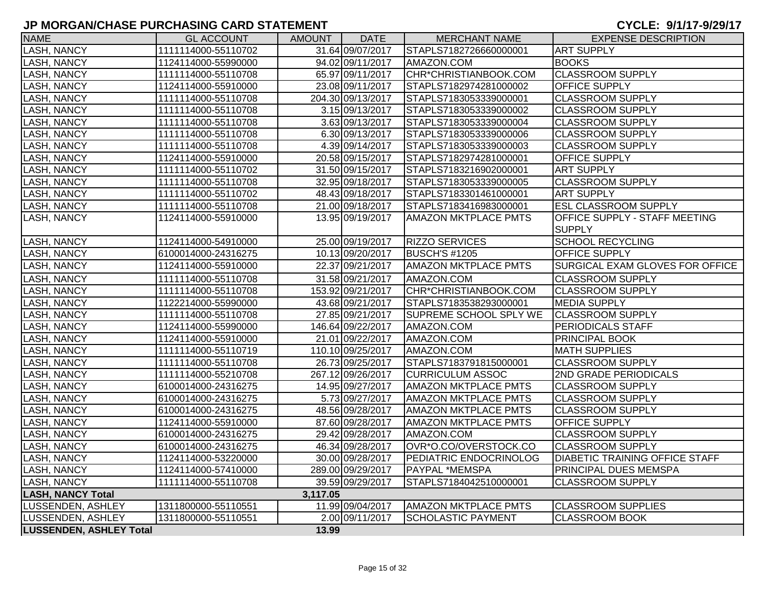| <b>NAME</b>                    | <b>GL ACCOUNT</b>   | AMOUNT   | <b>DATE</b>       | <b>MERCHANT NAME</b>        | <b>EXPENSE DESCRIPTION</b>            |
|--------------------------------|---------------------|----------|-------------------|-----------------------------|---------------------------------------|
| <b>LASH, NANCY</b>             | 1111114000-55110702 |          | 31.64 09/07/2017  | STAPLS7182726660000001      | <b>ART SUPPLY</b>                     |
| <b>LASH, NANCY</b>             | 1124114000-55990000 |          | 94.02 09/11/2017  | AMAZON.COM                  | <b>BOOKS</b>                          |
| <b>LASH, NANCY</b>             | 1111114000-55110708 |          | 65.97 09/11/2017  | CHR*CHRISTIANBOOK.COM       | <b>CLASSROOM SUPPLY</b>               |
| <b>LASH, NANCY</b>             | 1124114000-55910000 |          | 23.08 09/11/2017  | STAPLS7182974281000002      | OFFICE SUPPLY                         |
| <b>LASH, NANCY</b>             | 1111114000-55110708 |          | 204.30 09/13/2017 | STAPLS7183053339000001      | <b>CLASSROOM SUPPLY</b>               |
| <b>LASH, NANCY</b>             | 1111114000-55110708 |          | 3.15 09/13/2017   | STAPLS7183053339000002      | <b>CLASSROOM SUPPLY</b>               |
| <b>LASH, NANCY</b>             | 1111114000-55110708 |          | 3.63 09/13/2017   | STAPLS7183053339000004      | <b>CLASSROOM SUPPLY</b>               |
| <b>LASH, NANCY</b>             | 1111114000-55110708 |          | 6.30 09/13/2017   | STAPLS7183053339000006      | <b>CLASSROOM SUPPLY</b>               |
| <b>LASH, NANCY</b>             | 1111114000-55110708 |          | 4.39 09/14/2017   | STAPLS7183053339000003      | <b>CLASSROOM SUPPLY</b>               |
| <b>LASH, NANCY</b>             | 1124114000-55910000 |          | 20.58 09/15/2017  | STAPLS7182974281000001      | <b>OFFICE SUPPLY</b>                  |
| <b>LASH, NANCY</b>             | 1111114000-55110702 |          | 31.50 09/15/2017  | STAPLS7183216902000001      | <b>ART SUPPLY</b>                     |
| <b>LASH, NANCY</b>             | 1111114000-55110708 |          | 32.95 09/18/2017  | STAPLS7183053339000005      | <b>CLASSROOM SUPPLY</b>               |
| LASH, NANCY                    | 1111114000-55110702 |          | 48.43 09/18/2017  | STAPLS7183301461000001      | <b>ART SUPPLY</b>                     |
| <b>LASH, NANCY</b>             | 1111114000-55110708 |          | 21.00 09/18/2017  | STAPLS7183416983000001      | <b>ESL CLASSROOM SUPPLY</b>           |
| <b>LASH, NANCY</b>             | 1124114000-55910000 |          | 13.95 09/19/2017  | <b>AMAZON MKTPLACE PMTS</b> | OFFICE SUPPLY - STAFF MEETING         |
|                                |                     |          |                   |                             | <b>SUPPLY</b>                         |
| <b>LASH, NANCY</b>             | 1124114000-54910000 |          | 25.00 09/19/2017  | <b>RIZZO SERVICES</b>       | <b>SCHOOL RECYCLING</b>               |
| <b>LASH, NANCY</b>             | 6100014000-24316275 |          | 10.13 09/20/2017  | <b>BUSCH'S #1205</b>        | OFFICE SUPPLY                         |
| <b>LASH, NANCY</b>             | 1124114000-55910000 |          | 22.37 09/21/2017  | <b>AMAZON MKTPLACE PMTS</b> | SURGICAL EXAM GLOVES FOR OFFICE       |
| <b>LASH, NANCY</b>             | 1111114000-55110708 |          | 31.58 09/21/2017  | AMAZON.COM                  | <b>CLASSROOM SUPPLY</b>               |
| <b>LASH, NANCY</b>             | 1111114000-55110708 |          | 153.92 09/21/2017 | CHR*CHRISTIANBOOK.COM       | <b>CLASSROOM SUPPLY</b>               |
| <b>LASH, NANCY</b>             | 1122214000-55990000 |          | 43.68 09/21/2017  | STAPLS7183538293000001      | <b>MEDIA SUPPLY</b>                   |
| LASH, NANCY                    | 1111114000-55110708 |          | 27.85 09/21/2017  | SUPREME SCHOOL SPLY WE      | <b>CLASSROOM SUPPLY</b>               |
| <b>LASH, NANCY</b>             | 1124114000-55990000 |          | 146.64 09/22/2017 | AMAZON.COM                  | <b>PERIODICALS STAFF</b>              |
| <b>LASH, NANCY</b>             | 1124114000-55910000 |          | 21.01 09/22/2017  | AMAZON.COM                  | PRINCIPAL BOOK                        |
| <b>LASH, NANCY</b>             | 1111114000-55110719 |          | 110.10 09/25/2017 | AMAZON.COM                  | <b>MATH SUPPLIES</b>                  |
| <b>LASH, NANCY</b>             | 1111114000-55110708 |          | 26.73 09/25/2017  | STAPLS7183791815000001      | <b>CLASSROOM SUPPLY</b>               |
| <b>LASH, NANCY</b>             | 1111114000-55210708 |          | 267.12 09/26/2017 | <b>CURRICULUM ASSOC</b>     | 2ND GRADE PERIODICALS                 |
| <b>LASH, NANCY</b>             | 6100014000-24316275 |          | 14.95 09/27/2017  | <b>AMAZON MKTPLACE PMTS</b> | <b>CLASSROOM SUPPLY</b>               |
| <b>LASH, NANCY</b>             | 6100014000-24316275 |          | 5.73 09/27/2017   | <b>AMAZON MKTPLACE PMTS</b> | <b>CLASSROOM SUPPLY</b>               |
| LASH, NANCY                    | 6100014000-24316275 |          | 48.56 09/28/2017  | <b>AMAZON MKTPLACE PMTS</b> | <b>CLASSROOM SUPPLY</b>               |
| <b>LASH, NANCY</b>             | 1124114000-55910000 |          | 87.60 09/28/2017  | <b>AMAZON MKTPLACE PMTS</b> | OFFICE SUPPLY                         |
| <b>LASH, NANCY</b>             | 6100014000-24316275 |          | 29.42 09/28/2017  | AMAZON.COM                  | <b>CLASSROOM SUPPLY</b>               |
| <b>LASH, NANCY</b>             | 6100014000-24316275 |          | 46.34 09/28/2017  | OVR*O.CO/OVERSTOCK.CO       | <b>CLASSROOM SUPPLY</b>               |
| <b>LASH, NANCY</b>             | 1124114000-53220000 |          | 30.00 09/28/2017  | PEDIATRIC ENDOCRINOLOG      | <b>DIABETIC TRAINING OFFICE STAFF</b> |
| LASH, NANCY                    | 1124114000-57410000 |          | 289.00 09/29/2017 | PAYPAL *MEMSPA              | <b>PRINCIPAL DUES MEMSPA</b>          |
| LASH, NANCY                    | 1111114000-55110708 |          | 39.59 09/29/2017  | STAPLS7184042510000001      | <b>CLASSROOM SUPPLY</b>               |
| <b>LASH, NANCY Total</b>       |                     | 3,117.05 |                   |                             |                                       |
| LUSSENDEN, ASHLEY              | 1311800000-55110551 |          | 11.99 09/04/2017  | <b>AMAZON MKTPLACE PMTS</b> | <b>CLASSROOM SUPPLIES</b>             |
| LUSSENDEN, ASHLEY              | 1311800000-55110551 |          | 2.00 09/11/2017   | <b>SCHOLASTIC PAYMENT</b>   | <b>CLASSROOM BOOK</b>                 |
| <b>LUSSENDEN, ASHLEY Total</b> |                     | 13.99    |                   |                             |                                       |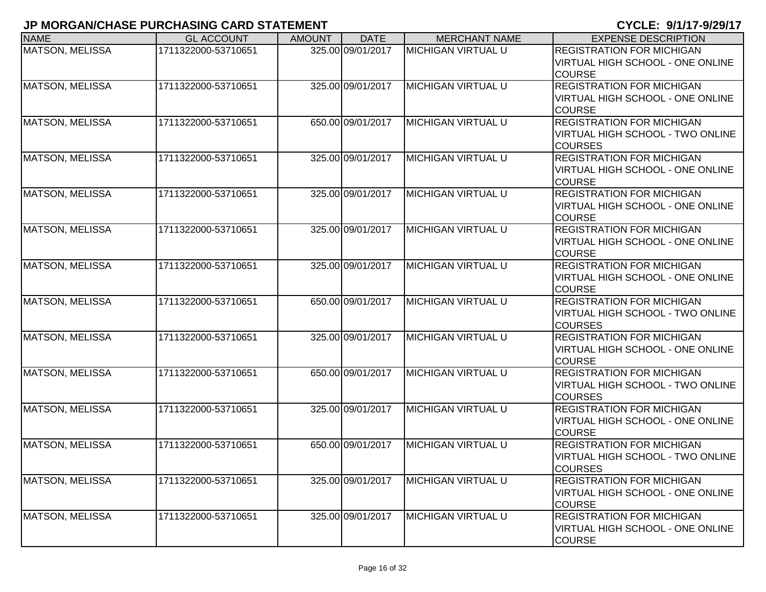| <b>NAME</b>            | <b>GL ACCOUNT</b>   | <b>AMOUNT</b> | <b>DATE</b>       | <b>MERCHANT NAME</b>       | <b>EXPENSE DESCRIPTION</b>                                                                   |
|------------------------|---------------------|---------------|-------------------|----------------------------|----------------------------------------------------------------------------------------------|
| <b>MATSON, MELISSA</b> | 1711322000-53710651 |               | 325.00 09/01/2017 | <b>MICHIGAN VIRTUAL U</b>  | <b>REGISTRATION FOR MICHIGAN</b><br>VIRTUAL HIGH SCHOOL - ONE ONLINE<br><b>COURSE</b>        |
| <b>MATSON, MELISSA</b> | 1711322000-53710651 |               | 325.00 09/01/2017 | <b>IMICHIGAN VIRTUAL U</b> | <b>REGISTRATION FOR MICHIGAN</b><br>VIRTUAL HIGH SCHOOL - ONE ONLINE<br><b>COURSE</b>        |
| <b>MATSON, MELISSA</b> | 1711322000-53710651 |               | 650.00 09/01/2017 | <b>MICHIGAN VIRTUAL U</b>  | <b>REGISTRATION FOR MICHIGAN</b><br>VIRTUAL HIGH SCHOOL - TWO ONLINE<br><b>COURSES</b>       |
| <b>MATSON, MELISSA</b> | 1711322000-53710651 |               | 325.00 09/01/2017 | <b>MICHIGAN VIRTUAL U</b>  | <b>REGISTRATION FOR MICHIGAN</b><br>VIRTUAL HIGH SCHOOL - ONE ONLINE<br><b>COURSE</b>        |
| <b>MATSON, MELISSA</b> | 1711322000-53710651 |               | 325.00 09/01/2017 | <b>MICHIGAN VIRTUAL U</b>  | <b>REGISTRATION FOR MICHIGAN</b><br>VIRTUAL HIGH SCHOOL - ONE ONLINE<br><b>COURSE</b>        |
| <b>MATSON, MELISSA</b> | 1711322000-53710651 |               | 325.00 09/01/2017 | <b>MICHIGAN VIRTUAL U</b>  | <b>REGISTRATION FOR MICHIGAN</b><br>VIRTUAL HIGH SCHOOL - ONE ONLINE<br><b>COURSE</b>        |
| <b>MATSON, MELISSA</b> | 1711322000-53710651 |               | 325.00 09/01/2017 | <b>MICHIGAN VIRTUAL U</b>  | <b>REGISTRATION FOR MICHIGAN</b><br><b>VIRTUAL HIGH SCHOOL - ONE ONLINE</b><br><b>COURSE</b> |
| <b>MATSON, MELISSA</b> | 1711322000-53710651 |               | 650.00 09/01/2017 | <b>MICHIGAN VIRTUAL U</b>  | <b>REGISTRATION FOR MICHIGAN</b><br>VIRTUAL HIGH SCHOOL - TWO ONLINE<br><b>COURSES</b>       |
| <b>MATSON, MELISSA</b> | 1711322000-53710651 |               | 325.00 09/01/2017 | <b>MICHIGAN VIRTUAL U</b>  | <b>REGISTRATION FOR MICHIGAN</b><br>VIRTUAL HIGH SCHOOL - ONE ONLINE<br><b>COURSE</b>        |
| <b>MATSON, MELISSA</b> | 1711322000-53710651 |               | 650.00 09/01/2017 | <b>MICHIGAN VIRTUAL U</b>  | <b>REGISTRATION FOR MICHIGAN</b><br>VIRTUAL HIGH SCHOOL - TWO ONLINE<br><b>COURSES</b>       |
| <b>MATSON, MELISSA</b> | 1711322000-53710651 |               | 325.00 09/01/2017 | <b>MICHIGAN VIRTUAL U</b>  | <b>REGISTRATION FOR MICHIGAN</b><br>VIRTUAL HIGH SCHOOL - ONE ONLINE<br><b>COURSE</b>        |
| <b>MATSON, MELISSA</b> | 1711322000-53710651 |               | 650.00 09/01/2017 | <b>MICHIGAN VIRTUAL U</b>  | <b>REGISTRATION FOR MICHIGAN</b><br>VIRTUAL HIGH SCHOOL - TWO ONLINE<br><b>COURSES</b>       |
| <b>MATSON, MELISSA</b> | 1711322000-53710651 |               | 325.00 09/01/2017 | <b>MICHIGAN VIRTUAL U</b>  | <b>REGISTRATION FOR MICHIGAN</b><br>VIRTUAL HIGH SCHOOL - ONE ONLINE<br><b>COURSE</b>        |
| <b>MATSON, MELISSA</b> | 1711322000-53710651 |               | 325.00 09/01/2017 | <b>MICHIGAN VIRTUAL U</b>  | <b>REGISTRATION FOR MICHIGAN</b><br>VIRTUAL HIGH SCHOOL - ONE ONLINE<br><b>COURSE</b>        |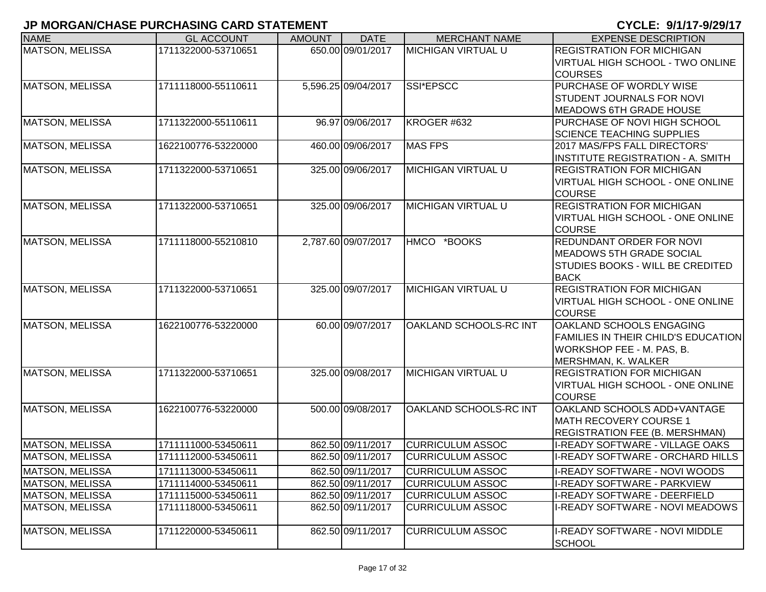| <b>NAME</b>            | <b>GL ACCOUNT</b>   | <b>AMOUNT</b> | <b>DATE</b>         | <b>MERCHANT NAME</b>      | <b>EXPENSE DESCRIPTION</b>                 |
|------------------------|---------------------|---------------|---------------------|---------------------------|--------------------------------------------|
| MATSON, MELISSA        | 1711322000-53710651 |               | 650.00 09/01/2017   | <b>MICHIGAN VIRTUAL U</b> | <b>REGISTRATION FOR MICHIGAN</b>           |
|                        |                     |               |                     |                           | <b>VIRTUAL HIGH SCHOOL - TWO ONLINE</b>    |
|                        |                     |               |                     |                           | <b>COURSES</b>                             |
| <b>MATSON, MELISSA</b> | 1711118000-55110611 |               | 5,596.25 09/04/2017 | SSI*EPSCC                 | PURCHASE OF WORDLY WISE                    |
|                        |                     |               |                     |                           | <b>STUDENT JOURNALS FOR NOVI</b>           |
|                        |                     |               |                     |                           | <b>MEADOWS 6TH GRADE HOUSE</b>             |
| MATSON, MELISSA        | 1711322000-55110611 |               | 96.97 09/06/2017    | KROGER #632               | PURCHASE OF NOVI HIGH SCHOOL               |
|                        |                     |               |                     |                           | <b>SCIENCE TEACHING SUPPLIES</b>           |
| MATSON, MELISSA        | 1622100776-53220000 |               | 460.00 09/06/2017   | <b>MAS FPS</b>            | 2017 MAS/FPS FALL DIRECTORS'               |
|                        |                     |               |                     |                           | <b>INSTITUTE REGISTRATION - A. SMITH</b>   |
| MATSON, MELISSA        | 1711322000-53710651 |               | 325.00 09/06/2017   | <b>MICHIGAN VIRTUAL U</b> | <b>REGISTRATION FOR MICHIGAN</b>           |
|                        |                     |               |                     |                           | <b>VIRTUAL HIGH SCHOOL - ONE ONLINE</b>    |
|                        |                     |               |                     |                           | <b>COURSE</b>                              |
| MATSON, MELISSA        | 1711322000-53710651 |               | 325.00 09/06/2017   | <b>MICHIGAN VIRTUAL U</b> | <b>REGISTRATION FOR MICHIGAN</b>           |
|                        |                     |               |                     |                           | <b>VIRTUAL HIGH SCHOOL - ONE ONLINE</b>    |
|                        |                     |               |                     |                           | <b>COURSE</b>                              |
| <b>MATSON, MELISSA</b> | 1711118000-55210810 |               | 2,787.60 09/07/2017 | HMCO *BOOKS               | <b>REDUNDANT ORDER FOR NOVI</b>            |
|                        |                     |               |                     |                           | <b>MEADOWS 5TH GRADE SOCIAL</b>            |
|                        |                     |               |                     |                           | <b>STUDIES BOOKS - WILL BE CREDITED</b>    |
|                        |                     |               |                     |                           | <b>BACK</b>                                |
| <b>MATSON, MELISSA</b> | 1711322000-53710651 |               | 325.00 09/07/2017   | <b>MICHIGAN VIRTUAL U</b> | <b>REGISTRATION FOR MICHIGAN</b>           |
|                        |                     |               |                     |                           | VIRTUAL HIGH SCHOOL - ONE ONLINE           |
|                        |                     |               |                     |                           | <b>COURSE</b>                              |
| <b>MATSON, MELISSA</b> | 1622100776-53220000 |               | 60.00 09/07/2017    | OAKLAND SCHOOLS-RC INT    | OAKLAND SCHOOLS ENGAGING                   |
|                        |                     |               |                     |                           | <b>FAMILIES IN THEIR CHILD'S EDUCATION</b> |
|                        |                     |               |                     |                           | <b>WORKSHOP FEE - M. PAS, B.</b>           |
|                        |                     |               |                     |                           | MERSHMAN, K. WALKER                        |
| <b>MATSON, MELISSA</b> | 1711322000-53710651 |               | 325.00 09/08/2017   | <b>MICHIGAN VIRTUAL U</b> | <b>REGISTRATION FOR MICHIGAN</b>           |
|                        |                     |               |                     |                           | <b>VIRTUAL HIGH SCHOOL - ONE ONLINE</b>    |
|                        |                     |               |                     |                           | <b>COURSE</b>                              |
| <b>MATSON, MELISSA</b> | 1622100776-53220000 |               | 500.00 09/08/2017   | OAKLAND SCHOOLS-RC INT    | OAKLAND SCHOOLS ADD+VANTAGE                |
|                        |                     |               |                     |                           | <b>MATH RECOVERY COURSE 1</b>              |
|                        |                     |               |                     |                           | <b>REGISTRATION FEE (B. MERSHMAN)</b>      |
| <b>MATSON, MELISSA</b> | 1711111000-53450611 |               | 862.50 09/11/2017   | <b>CURRICULUM ASSOC</b>   | I-READY SOFTWARE - VILLAGE OAKS            |
| MATSON, MELISSA        | 1711112000-53450611 |               | 862.50 09/11/2017   | <b>CURRICULUM ASSOC</b>   | I-READY SOFTWARE - ORCHARD HILLS           |
| <b>MATSON, MELISSA</b> | 1711113000-53450611 |               | 862.50 09/11/2017   | <b>CURRICULUM ASSOC</b>   | I-READY SOFTWARE - NOVI WOODS              |
| <b>MATSON, MELISSA</b> | 1711114000-53450611 |               | 862.50 09/11/2017   | <b>CURRICULUM ASSOC</b>   | <b>I-READY SOFTWARE - PARKVIEW</b>         |
| MATSON, MELISSA        | 1711115000-53450611 |               | 862.50 09/11/2017   | <b>CURRICULUM ASSOC</b>   | I-READY SOFTWARE - DEERFIELD               |
| <b>MATSON, MELISSA</b> | 1711118000-53450611 |               | 862.50 09/11/2017   | <b>CURRICULUM ASSOC</b>   | <b>I-READY SOFTWARE - NOVI MEADOWS</b>     |
|                        |                     |               |                     |                           |                                            |
| <b>MATSON, MELISSA</b> | 1711220000-53450611 |               | 862.50 09/11/2017   | <b>CURRICULUM ASSOC</b>   | <b>I-READY SOFTWARE - NOVI MIDDLE</b>      |
|                        |                     |               |                     |                           | <b>SCHOOL</b>                              |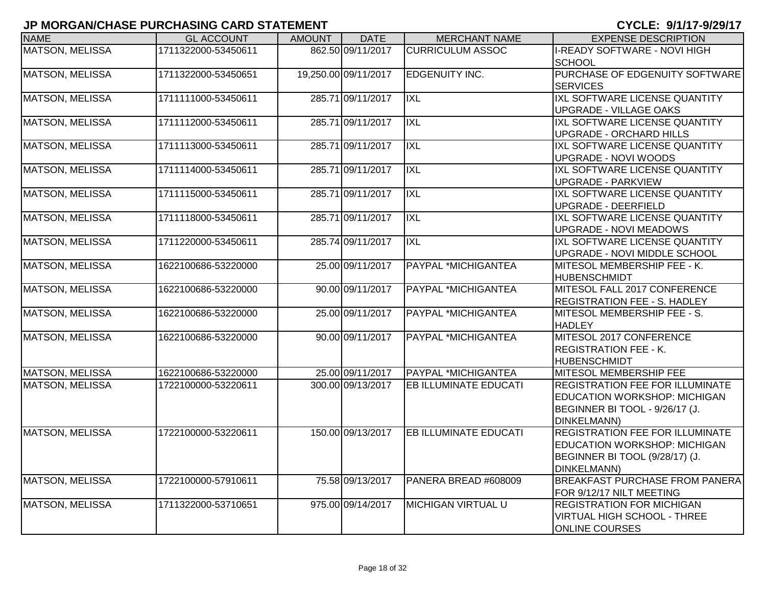| <b>NAME</b>            | <b>GL ACCOUNT</b>   | <b>AMOUNT</b> | <b>DATE</b>          | <b>MERCHANT NAME</b>         | <b>EXPENSE DESCRIPTION</b>                                                                                                            |
|------------------------|---------------------|---------------|----------------------|------------------------------|---------------------------------------------------------------------------------------------------------------------------------------|
| <b>MATSON, MELISSA</b> | 1711322000-53450611 |               | 862.50 09/11/2017    | <b>CURRICULUM ASSOC</b>      | <b>I-READY SOFTWARE - NOVI HIGH</b><br><b>SCHOOL</b>                                                                                  |
| <b>MATSON, MELISSA</b> | 1711322000-53450651 |               | 19,250.00 09/11/2017 | EDGENUITY INC.               | PURCHASE OF EDGENUITY SOFTWARE<br><b>SERVICES</b>                                                                                     |
| <b>MATSON, MELISSA</b> | 1711111000-53450611 |               | 285.71 09/11/2017    | <b>IXL</b>                   | IXL SOFTWARE LICENSE QUANTITY<br><b>UPGRADE - VILLAGE OAKS</b>                                                                        |
| <b>MATSON, MELISSA</b> | 1711112000-53450611 |               | 285.71 09/11/2017    | <b>IXL</b>                   | IXL SOFTWARE LICENSE QUANTITY<br><b>UPGRADE - ORCHARD HILLS</b>                                                                       |
| <b>MATSON, MELISSA</b> | 1711113000-53450611 |               | 285.71 09/11/2017    | <b>IXL</b>                   | IXL SOFTWARE LICENSE QUANTITY<br><b>UPGRADE - NOVI WOODS</b>                                                                          |
| <b>MATSON, MELISSA</b> | 1711114000-53450611 |               | 285.71 09/11/2017    | <b>IXL</b>                   | IXL SOFTWARE LICENSE QUANTITY<br><b>UPGRADE - PARKVIEW</b>                                                                            |
| <b>MATSON, MELISSA</b> | 1711115000-53450611 |               | 285.71 09/11/2017    | IXL                          | IXL SOFTWARE LICENSE QUANTITY<br><b>UPGRADE - DEERFIELD</b>                                                                           |
| <b>MATSON, MELISSA</b> | 1711118000-53450611 |               | 285.71 09/11/2017    | <b>IXL</b>                   | IXL SOFTWARE LICENSE QUANTITY<br><b>UPGRADE - NOVI MEADOWS</b>                                                                        |
| <b>MATSON, MELISSA</b> | 1711220000-53450611 |               | 285.74 09/11/2017    | <b>IXL</b>                   | IXL SOFTWARE LICENSE QUANTITY<br>UPGRADE - NOVI MIDDLE SCHOOL                                                                         |
| <b>MATSON, MELISSA</b> | 1622100686-53220000 |               | 25.00 09/11/2017     | <b>PAYPAL *MICHIGANTEA</b>   | MITESOL MEMBERSHIP FEE - K.<br><b>HUBENSCHMIDT</b>                                                                                    |
| <b>MATSON, MELISSA</b> | 1622100686-53220000 |               | 90.00 09/11/2017     | <b>PAYPAL *MICHIGANTEA</b>   | MITESOL FALL 2017 CONFERENCE<br><b>REGISTRATION FEE - S. HADLEY</b>                                                                   |
| MATSON, MELISSA        | 1622100686-53220000 |               | 25.00 09/11/2017     | PAYPAL *MICHIGANTEA          | MITESOL MEMBERSHIP FEE - S.<br><b>HADLEY</b>                                                                                          |
| <b>MATSON, MELISSA</b> | 1622100686-53220000 |               | 90.00 09/11/2017     | <b>PAYPAL *MICHIGANTEA</b>   | MITESOL 2017 CONFERENCE<br><b>REGISTRATION FEE - K.</b><br><b>HUBENSCHMIDT</b>                                                        |
| <b>MATSON, MELISSA</b> | 1622100686-53220000 |               | 25.00 09/11/2017     | PAYPAL *MICHIGANTEA          | MITESOL MEMBERSHIP FEE                                                                                                                |
| <b>MATSON, MELISSA</b> | 1722100000-53220611 |               | 300.00 09/13/2017    | EB ILLUMINATE EDUCATI        | <b>REGISTRATION FEE FOR ILLUMINATE</b><br><b>EDUCATION WORKSHOP: MICHIGAN</b><br>BEGINNER BI TOOL - 9/26/17 (J.<br><b>DINKELMANN)</b> |
| <b>MATSON, MELISSA</b> | 1722100000-53220611 |               | 150.00 09/13/2017    | <b>EB ILLUMINATE EDUCATI</b> | <b>REGISTRATION FEE FOR ILLUMINATE</b><br><b>EDUCATION WORKSHOP: MICHIGAN</b><br>BEGINNER BI TOOL (9/28/17) (J.<br>DINKELMANN)        |
| <b>MATSON, MELISSA</b> | 1722100000-57910611 |               | 75.58 09/13/2017     | PANERA BREAD #608009         | <b>BREAKFAST PURCHASE FROM PANERA</b><br>FOR 9/12/17 NILT MEETING                                                                     |
| <b>MATSON, MELISSA</b> | 1711322000-53710651 |               | 975.00 09/14/2017    | <b>MICHIGAN VIRTUAL U</b>    | <b>REGISTRATION FOR MICHIGAN</b><br><b>VIRTUAL HIGH SCHOOL - THREE</b><br><b>ONLINE COURSES</b>                                       |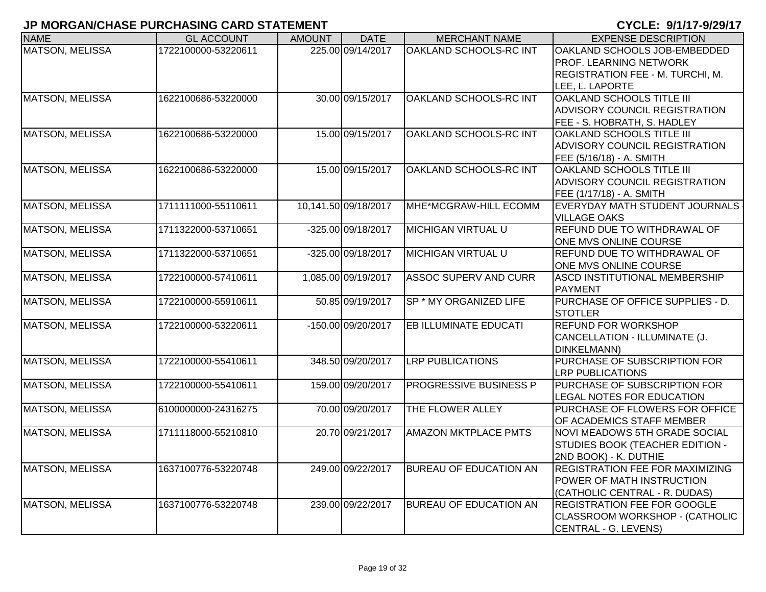| <b>NAME</b>            | <b>GL ACCOUNT</b>   | <b>AMOUNT</b> | <b>DATE</b>          | <b>MERCHANT NAME</b>          | <b>EXPENSE DESCRIPTION</b>                                                                                           |
|------------------------|---------------------|---------------|----------------------|-------------------------------|----------------------------------------------------------------------------------------------------------------------|
| <b>MATSON, MELISSA</b> | 1722100000-53220611 |               | 225.00 09/14/2017    | <b>OAKLAND SCHOOLS-RC INT</b> | OAKLAND SCHOOLS JOB-EMBEDDED<br>PROF. LEARNING NETWORK<br><b>REGISTRATION FEE - M. TURCHI, M.</b><br>LEE, L. LAPORTE |
| <b>MATSON, MELISSA</b> | 1622100686-53220000 |               | 30.00 09/15/2017     | OAKLAND SCHOOLS-RC INT        | OAKLAND SCHOOLS TITLE III<br>ADVISORY COUNCIL REGISTRATION<br>FEE - S. HOBRATH, S. HADLEY                            |
| <b>MATSON, MELISSA</b> | 1622100686-53220000 |               | 15.00 09/15/2017     | OAKLAND SCHOOLS-RC INT        | OAKLAND SCHOOLS TITLE III<br><b>ADVISORY COUNCIL REGISTRATION</b><br>FEE (5/16/18) - A. SMITH                        |
| <b>MATSON, MELISSA</b> | 1622100686-53220000 |               | 15.00 09/15/2017     | <b>OAKLAND SCHOOLS-RC INT</b> | <b>OAKLAND SCHOOLS TITLE III</b><br><b>ADVISORY COUNCIL REGISTRATION</b><br>FEE (1/17/18) - A. SMITH                 |
| <b>MATSON, MELISSA</b> | 1711111000-55110611 |               | 10,141.50 09/18/2017 | MHE*MCGRAW-HILL ECOMM         | EVERYDAY MATH STUDENT JOURNALS<br><b>VILLAGE OAKS</b>                                                                |
| <b>MATSON, MELISSA</b> | 1711322000-53710651 |               | -325.00 09/18/2017   | <b>MICHIGAN VIRTUAL U</b>     | REFUND DUE TO WITHDRAWAL OF<br>ONE MVS ONLINE COURSE                                                                 |
| <b>MATSON, MELISSA</b> | 1711322000-53710651 |               | -325.00 09/18/2017   | <b>MICHIGAN VIRTUAL U</b>     | REFUND DUE TO WITHDRAWAL OF<br>ONE MVS ONLINE COURSE                                                                 |
| <b>MATSON, MELISSA</b> | 1722100000-57410611 |               | 1,085.00 09/19/2017  | <b>ASSOC SUPERV AND CURR</b>  | ASCD INSTITUTIONAL MEMBERSHIP<br><b>PAYMENT</b>                                                                      |
| <b>MATSON, MELISSA</b> | 1722100000-55910611 |               | 50.85 09/19/2017     | SP * MY ORGANIZED LIFE        | PURCHASE OF OFFICE SUPPLIES - D.<br><b>STOTLER</b>                                                                   |
| <b>MATSON, MELISSA</b> | 1722100000-53220611 |               | -150.00 09/20/2017   | <b>EB ILLUMINATE EDUCATI</b>  | <b>REFUND FOR WORKSHOP</b><br>CANCELLATION - ILLUMINATE (J.<br><b>DINKELMANN)</b>                                    |
| <b>MATSON, MELISSA</b> | 1722100000-55410611 |               | 348.50 09/20/2017    | <b>LRP PUBLICATIONS</b>       | PURCHASE OF SUBSCRIPTION FOR<br><b>LRP PUBLICATIONS</b>                                                              |
| <b>MATSON, MELISSA</b> | 1722100000-55410611 |               | 159.00 09/20/2017    | <b>PROGRESSIVE BUSINESS P</b> | PURCHASE OF SUBSCRIPTION FOR<br>LEGAL NOTES FOR EDUCATION                                                            |
| <b>MATSON, MELISSA</b> | 6100000000-24316275 |               | 70.00 09/20/2017     | THE FLOWER ALLEY              | PURCHASE OF FLOWERS FOR OFFICE<br>OF ACADEMICS STAFF MEMBER                                                          |
| <b>MATSON, MELISSA</b> | 1711118000-55210810 |               | 20.70 09/21/2017     | <b>AMAZON MKTPLACE PMTS</b>   | <b>NOVI MEADOWS 5TH GRADE SOCIAL</b><br>STUDIES BOOK (TEACHER EDITION -<br>2ND BOOK) - K. DUTHIE                     |
| MATSON, MELISSA        | 1637100776-53220748 |               | 249.00 09/22/2017    | <b>BUREAU OF EDUCATION AN</b> | <b>REGISTRATION FEE FOR MAXIMIZING</b><br>POWER OF MATH INSTRUCTION<br>(CATHOLIC CENTRAL - R. DUDAS)                 |
| <b>MATSON, MELISSA</b> | 1637100776-53220748 |               | 239.00 09/22/2017    | <b>BUREAU OF EDUCATION AN</b> | <b>REGISTRATION FEE FOR GOOGLE</b><br>CLASSROOM WORKSHOP - (CATHOLIC<br>CENTRAL - G. LEVENS)                         |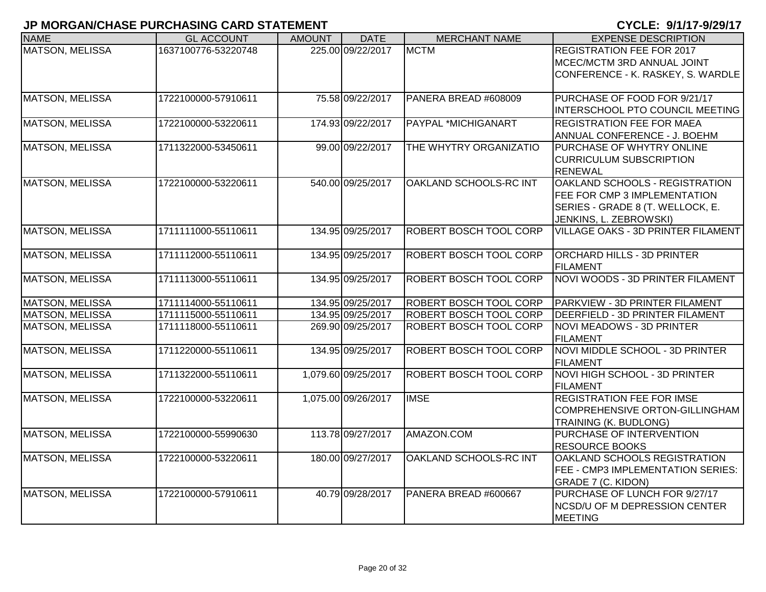| <b>NAME</b>            | <b>GL ACCOUNT</b>   | <b>AMOUNT</b> | <b>DATE</b>         | <b>MERCHANT NAME</b>          | <b>EXPENSE DESCRIPTION</b>                                                                                                   |
|------------------------|---------------------|---------------|---------------------|-------------------------------|------------------------------------------------------------------------------------------------------------------------------|
| <b>MATSON, MELISSA</b> | 1637100776-53220748 |               | 225.00 09/22/2017   | <b>MCTM</b>                   | <b>REGISTRATION FEE FOR 2017</b><br>MCEC/MCTM 3RD ANNUAL JOINT<br>CONFERENCE - K. RASKEY, S. WARDLE                          |
| <b>MATSON, MELISSA</b> | 1722100000-57910611 |               | 75.58 09/22/2017    | PANERA BREAD #608009          | PURCHASE OF FOOD FOR 9/21/17<br>INTERSCHOOL PTO COUNCIL MEETING                                                              |
| <b>MATSON, MELISSA</b> | 1722100000-53220611 |               | 174.93 09/22/2017   | PAYPAL *MICHIGANART           | <b>REGISTRATION FEE FOR MAEA</b><br>ANNUAL CONFERENCE - J. BOEHM                                                             |
| <b>MATSON, MELISSA</b> | 1711322000-53450611 |               | 99.00 09/22/2017    | THE WHYTRY ORGANIZATIO        | PURCHASE OF WHYTRY ONLINE<br><b>CURRICULUM SUBSCRIPTION</b><br><b>RENEWAL</b>                                                |
| <b>MATSON, MELISSA</b> | 1722100000-53220611 |               | 540.00 09/25/2017   | OAKLAND SCHOOLS-RC INT        | OAKLAND SCHOOLS - REGISTRATION<br>FEE FOR CMP 3 IMPLEMENTATION<br>SERIES - GRADE 8 (T. WELLOCK, E.<br>JENKINS, L. ZEBROWSKI) |
| <b>MATSON, MELISSA</b> | 1711111000-55110611 |               | 134.95 09/25/2017   | ROBERT BOSCH TOOL CORP        | <b>VILLAGE OAKS - 3D PRINTER FILAMENT</b>                                                                                    |
| <b>MATSON, MELISSA</b> | 1711112000-55110611 |               | 134.95 09/25/2017   | ROBERT BOSCH TOOL CORP        | <b>ORCHARD HILLS - 3D PRINTER</b><br><b>FILAMENT</b>                                                                         |
| <b>MATSON, MELISSA</b> | 1711113000-55110611 |               | 134.95 09/25/2017   | <b>ROBERT BOSCH TOOL CORP</b> | NOVI WOODS - 3D PRINTER FILAMENT                                                                                             |
| <b>MATSON, MELISSA</b> | 1711114000-55110611 |               | 134.95 09/25/2017   | <b>ROBERT BOSCH TOOL CORP</b> | PARKVIEW - 3D PRINTER FILAMENT                                                                                               |
| MATSON, MELISSA        | 1711115000-55110611 |               | 134.95 09/25/2017   | ROBERT BOSCH TOOL CORP        | DEERFIELD - 3D PRINTER FILAMENT                                                                                              |
| <b>MATSON, MELISSA</b> | 1711118000-55110611 |               | 269.90 09/25/2017   | ROBERT BOSCH TOOL CORP        | NOVI MEADOWS - 3D PRINTER<br><b>FILAMENT</b>                                                                                 |
| <b>MATSON, MELISSA</b> | 1711220000-55110611 |               | 134.95 09/25/2017   | ROBERT BOSCH TOOL CORP        | NOVI MIDDLE SCHOOL - 3D PRINTER<br><b>FILAMENT</b>                                                                           |
| MATSON, MELISSA        | 1711322000-55110611 |               | 1,079.60 09/25/2017 | ROBERT BOSCH TOOL CORP        | NOVI HIGH SCHOOL - 3D PRINTER<br><b>FILAMENT</b>                                                                             |
| MATSON, MELISSA        | 1722100000-53220611 |               | 1,075.00 09/26/2017 | <b>IMSE</b>                   | <b>REGISTRATION FEE FOR IMSE</b><br>COMPREHENSIVE ORTON-GILLINGHAM<br><b>TRAINING (K. BUDLONG)</b>                           |
| <b>MATSON, MELISSA</b> | 1722100000-55990630 |               | 113.78 09/27/2017   | AMAZON.COM                    | PURCHASE OF INTERVENTION<br><b>RESOURCE BOOKS</b>                                                                            |
| <b>MATSON, MELISSA</b> | 1722100000-53220611 |               | 180.00 09/27/2017   | OAKLAND SCHOOLS-RC INT        | OAKLAND SCHOOLS REGISTRATION<br>FEE - CMP3 IMPLEMENTATION SERIES:<br>GRADE 7 (C. KIDON)                                      |
| <b>MATSON, MELISSA</b> | 1722100000-57910611 |               | 40.79 09/28/2017    | PANERA BREAD #600667          | PURCHASE OF LUNCH FOR 9/27/17<br>NCSD/U OF M DEPRESSION CENTER<br><b>MEETING</b>                                             |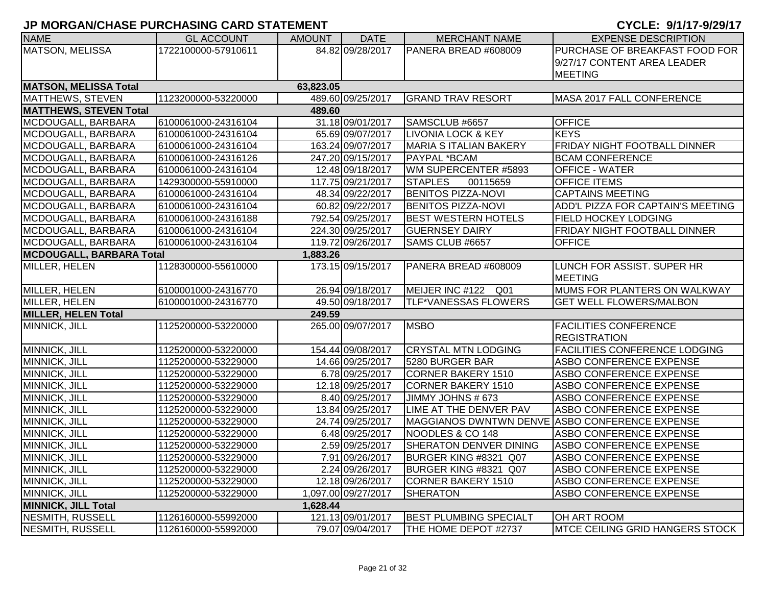| <b>NAME</b>                     | <b>GL ACCOUNT</b>   | <b>AMOUNT</b> | <b>DATE</b>         | <b>MERCHANT NAME</b>          | <b>EXPENSE DESCRIPTION</b>                     |
|---------------------------------|---------------------|---------------|---------------------|-------------------------------|------------------------------------------------|
| <b>MATSON, MELISSA</b>          | 1722100000-57910611 |               | 84.82 09/28/2017    | PANERA BREAD #608009          | PURCHASE OF BREAKFAST FOOD FOR                 |
|                                 |                     |               |                     |                               | 9/27/17 CONTENT AREA LEADER                    |
|                                 |                     |               |                     |                               | <b>MEETING</b>                                 |
| <b>MATSON, MELISSA Total</b>    |                     | 63,823.05     |                     |                               |                                                |
| MATTHEWS, STEVEN                | 1123200000-53220000 |               | 489.60 09/25/2017   | <b>GRAND TRAV RESORT</b>      | MASA 2017 FALL CONFERENCE                      |
| <b>MATTHEWS, STEVEN Total</b>   |                     | 489.60        |                     |                               |                                                |
| MCDOUGALL, BARBARA              | 6100061000-24316104 |               | 31.18 09/01/2017    | SAMSCLUB #6657                | <b>OFFICE</b>                                  |
| MCDOUGALL, BARBARA              | 6100061000-24316104 |               | 65.69 09/07/2017    | <b>LIVONIA LOCK &amp; KEY</b> | <b>KEYS</b>                                    |
| MCDOUGALL, BARBARA              | 6100061000-24316104 |               | 163.24 09/07/2017   | <b>MARIA S ITALIAN BAKERY</b> | FRIDAY NIGHT FOOTBALL DINNER                   |
| MCDOUGALL, BARBARA              | 6100061000-24316126 |               | 247.20 09/15/2017   | PAYPAL *BCAM                  | <b>BCAM CONFERENCE</b>                         |
| MCDOUGALL, BARBARA              | 6100061000-24316104 |               | 12.48 09/18/2017    | WM SUPERCENTER #5893          | OFFICE - WATER                                 |
| MCDOUGALL, BARBARA              | 1429300000-55910000 |               | 117.75 09/21/2017   | <b>STAPLES</b><br>00115659    | <b>OFFICE ITEMS</b>                            |
| MCDOUGALL, BARBARA              | 6100061000-24316104 |               | 48.34 09/22/2017    | <b>BENITOS PIZZA-NOVI</b>     | <b>CAPTAINS MEETING</b>                        |
| MCDOUGALL, BARBARA              | 6100061000-24316104 |               | 60.82 09/22/2017    | <b>BENITOS PIZZA-NOVI</b>     | ADD'L PIZZA FOR CAPTAIN'S MEETING              |
| MCDOUGALL, BARBARA              | 6100061000-24316188 |               | 792.54 09/25/2017   | <b>BEST WESTERN HOTELS</b>    | <b>FIELD HOCKEY LODGING</b>                    |
| MCDOUGALL, BARBARA              | 6100061000-24316104 |               | 224.30 09/25/2017   | <b>GUERNSEY DAIRY</b>         | FRIDAY NIGHT FOOTBALL DINNER                   |
| MCDOUGALL, BARBARA              | 6100061000-24316104 |               | 119.72 09/26/2017   | SAMS CLUB #6657               | <b>OFFICE</b>                                  |
| <b>MCDOUGALL, BARBARA Total</b> |                     | 1,883.26      |                     |                               |                                                |
| MILLER, HELEN                   | 1128300000-55610000 |               | 173.15 09/15/2017   | PANERA BREAD #608009          | LUNCH FOR ASSIST. SUPER HR                     |
|                                 |                     |               |                     |                               | <b>MEETING</b>                                 |
| MILLER, HELEN                   | 6100001000-24316770 |               | 26.94 09/18/2017    | MEIJER INC #122 Q01           | MUMS FOR PLANTERS ON WALKWAY                   |
| <b>MILLER, HELEN</b>            | 6100001000-24316770 |               | 49.50 09/18/2017    | <b>TLF*VANESSAS FLOWERS</b>   | <b>GET WELL FLOWERS/MALBON</b>                 |
| <b>MILLER, HELEN Total</b>      |                     | 249.59        |                     |                               |                                                |
| MINNICK, JILL                   | 1125200000-53220000 |               | 265.00 09/07/2017   | <b>MSBO</b>                   | <b>FACILITIES CONFERENCE</b>                   |
|                                 |                     |               |                     |                               | <b>REGISTRATION</b>                            |
| MINNICK, JILL                   | 1125200000-53220000 |               | 154.44 09/08/2017   | <b>CRYSTAL MTN LODGING</b>    | <b>FACILITIES CONFERENCE LODGING</b>           |
| MINNICK, JILL                   | 1125200000-53229000 |               | 14.66 09/25/2017    | 5280 BURGER BAR               | <b>ASBO CONFERENCE EXPENSE</b>                 |
| MINNICK, JILL                   | 1125200000-53229000 |               | 6.78 09/25/2017     | <b>CORNER BAKERY 1510</b>     | ASBO CONFERENCE EXPENSE                        |
| MINNICK, JILL                   | 1125200000-53229000 |               | 12.18 09/25/2017    | <b>CORNER BAKERY 1510</b>     | ASBO CONFERENCE EXPENSE                        |
| MINNICK, JILL                   | 1125200000-53229000 |               | 8.40 09/25/2017     | JIMMY JOHNS # 673             | ASBO CONFERENCE EXPENSE                        |
| MINNICK, JILL                   | 1125200000-53229000 |               | 13.84 09/25/2017    | LIME AT THE DENVER PAV        | ASBO CONFERENCE EXPENSE                        |
| MINNICK, JILL                   | 1125200000-53229000 |               | 24.74 09/25/2017    |                               | MAGGIANOS DWNTWN DENVE ASBO CONFERENCE EXPENSE |
| MINNICK, JILL                   | 1125200000-53229000 |               | 6.48 09/25/2017     | NOODLES & CO 148              | ASBO CONFERENCE EXPENSE                        |
| MINNICK, JILL                   | 1125200000-53229000 |               | 2.59 09/25/2017     | SHERATON DENVER DINING        | <b>ASBO CONFERENCE EXPENSE</b>                 |
| MINNICK, JILL                   | 1125200000-53229000 |               | 7.91 09/26/2017     | BURGER KING #8321 Q07         | <b>ASBO CONFERENCE EXPENSE</b>                 |
| MINNICK, JILL                   | 1125200000-53229000 |               | 2.24 09/26/2017     | BURGER KING #8321 Q07         | <b>ASBO CONFERENCE EXPENSE</b>                 |
| MINNICK, JILL                   | 1125200000-53229000 |               | 12.18 09/26/2017    | <b>CORNER BAKERY 1510</b>     | ASBO CONFERENCE EXPENSE                        |
| MINNICK, JILL                   | 1125200000-53229000 |               | 1,097.00 09/27/2017 | <b>SHERATON</b>               | ASBO CONFERENCE EXPENSE                        |
| <b>MINNICK, JILL Total</b>      |                     | 1,628.44      |                     |                               |                                                |
| NESMITH, RUSSELL                | 1126160000-55992000 |               | 121.13 09/01/2017   | <b>BEST PLUMBING SPECIALT</b> | OH ART ROOM                                    |
| NESMITH, RUSSELL                | 1126160000-55992000 |               | 79.07 09/04/2017    | THE HOME DEPOT #2737          | MTCE CEILING GRID HANGERS STOCK                |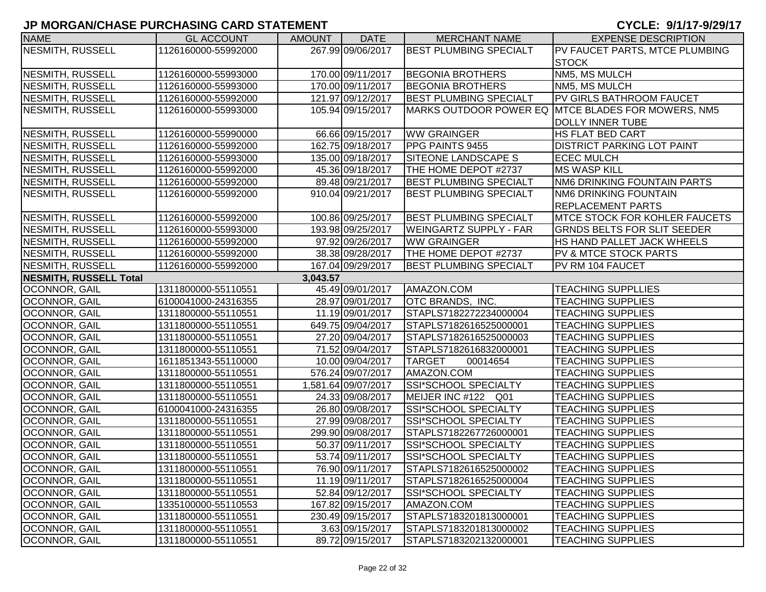| <b>NAME</b>             | <b>GL ACCOUNT</b>   | <b>AMOUNT</b> | <b>DATE</b>         | <b>MERCHANT NAME</b>          | <b>EXPENSE DESCRIPTION</b>                         |
|-------------------------|---------------------|---------------|---------------------|-------------------------------|----------------------------------------------------|
| NESMITH, RUSSELL        | 1126160000-55992000 |               | 267.99 09/06/2017   | <b>BEST PLUMBING SPECIALT</b> | PV FAUCET PARTS, MTCE PLUMBING                     |
|                         |                     |               |                     |                               | <b>STOCK</b>                                       |
| NESMITH, RUSSELL        | 1126160000-55993000 |               | 170.00 09/11/2017   | <b>BEGONIA BROTHERS</b>       | NM5, MS MULCH                                      |
| NESMITH, RUSSELL        | 1126160000-55993000 |               | 170.00 09/11/2017   | <b>BEGONIA BROTHERS</b>       | NM5, MS MULCH                                      |
| NESMITH, RUSSELL        | 1126160000-55992000 |               | 121.97 09/12/2017   | <b>BEST PLUMBING SPECIALT</b> | <b>PV GIRLS BATHROOM FAUCET</b>                    |
| NESMITH, RUSSELL        | 1126160000-55993000 |               | 105.94 09/15/2017   |                               | MARKS OUTDOOR POWER EQ MTCE BLADES FOR MOWERS, NM5 |
|                         |                     |               |                     |                               | DOLLY INNER TUBE                                   |
| NESMITH, RUSSELL        | 1126160000-55990000 |               | 66.66 09/15/2017    | <b>WW GRAINGER</b>            | <b>HS FLAT BED CART</b>                            |
| NESMITH, RUSSELL        | 1126160000-55992000 |               | 162.75 09/18/2017   | PPG PAINTS 9455               | <b>DISTRICT PARKING LOT PAINT</b>                  |
| NESMITH, RUSSELL        | 1126160000-55993000 |               | 135.00 09/18/2017   | SITEONE LANDSCAPE S           | <b>ECEC MULCH</b>                                  |
| <b>NESMITH, RUSSELL</b> | 1126160000-55992000 |               | 45.36 09/18/2017    | THE HOME DEPOT #2737          | <b>MS WASP KILL</b>                                |
| NESMITH, RUSSELL        | 1126160000-55992000 |               | 89.48 09/21/2017    | <b>BEST PLUMBING SPECIALT</b> | <b>NM6 DRINKING FOUNTAIN PARTS</b>                 |
| <b>NESMITH, RUSSELL</b> | 1126160000-55992000 |               | 910.04 09/21/2017   | <b>BEST PLUMBING SPECIALT</b> | <b>NM6 DRINKING FOUNTAIN</b>                       |
|                         |                     |               |                     |                               | <b>REPLACEMENT PARTS</b>                           |
| NESMITH, RUSSELL        | 1126160000-55992000 |               | 100.86 09/25/2017   | <b>BEST PLUMBING SPECIALT</b> | <b>MTCE STOCK FOR KOHLER FAUCETS</b>               |
| <b>NESMITH, RUSSELL</b> | 1126160000-55993000 |               | 193.98 09/25/2017   | <b>WEINGARTZ SUPPLY - FAR</b> | <b>GRNDS BELTS FOR SLIT SEEDER</b>                 |
| <b>NESMITH, RUSSELL</b> | 1126160000-55992000 |               | 97.92 09/26/2017    | <b>WW GRAINGER</b>            | <b>HS HAND PALLET JACK WHEELS</b>                  |
| NESMITH, RUSSELL        | 1126160000-55992000 |               | 38.38 09/28/2017    | THE HOME DEPOT #2737          | <b>PV &amp; MTCE STOCK PARTS</b>                   |
| NESMITH, RUSSELL        | 1126160000-55992000 |               | 167.04 09/29/2017   | <b>BEST PLUMBING SPECIALT</b> | PV RM 104 FAUCET                                   |
| NESMITH, RUSSELL Total  |                     | 3,043.57      |                     |                               |                                                    |
| OCONNOR, GAIL           | 1311800000-55110551 |               | 45.49 09/01/2017    | AMAZON.COM                    | <b>TEACHING SUPPLLIES</b>                          |
| <b>OCONNOR, GAIL</b>    | 6100041000-24316355 |               | 28.97 09/01/2017    | OTC BRANDS, INC.              | <b>TEACHING SUPPLIES</b>                           |
| OCONNOR, GAIL           | 1311800000-55110551 |               | 11.19 09/01/2017    | STAPLS7182272234000004        | <b>TEACHING SUPPLIES</b>                           |
| OCONNOR, GAIL           | 1311800000-55110551 |               | 649.75 09/04/2017   | STAPLS7182616525000001        | <b>TEACHING SUPPLIES</b>                           |
| OCONNOR, GAIL           | 1311800000-55110551 |               | 27.20 09/04/2017    | STAPLS7182616525000003        | <b>TEACHING SUPPLIES</b>                           |
| OCONNOR, GAIL           | 1311800000-55110551 |               | 71.52 09/04/2017    | STAPLS7182616832000001        | <b>TEACHING SUPPLIES</b>                           |
| OCONNOR, GAIL           | 1611851343-55110000 |               | 10.00 09/04/2017    | <b>TARGET</b><br>00014654     | <b>TEACHING SUPPLIES</b>                           |
| OCONNOR, GAIL           | 1311800000-55110551 |               | 576.24 09/07/2017   | AMAZON.COM                    | <b>TEACHING SUPPLIES</b>                           |
| OCONNOR, GAIL           | 1311800000-55110551 |               | 1,581.64 09/07/2017 | SSI*SCHOOL SPECIALTY          | <b>TEACHING SUPPLIES</b>                           |
| OCONNOR, GAIL           | 1311800000-55110551 |               | 24.33 09/08/2017    | MEIJER INC #122 Q01           | <b>TEACHING SUPPLIES</b>                           |
| <b>OCONNOR, GAIL</b>    | 6100041000-24316355 |               | 26.80 09/08/2017    | SSI*SCHOOL SPECIALTY          | <b>TEACHING SUPPLIES</b>                           |
| <b>OCONNOR, GAIL</b>    | 1311800000-55110551 |               | 27.99 09/08/2017    | <b>SSI*SCHOOL SPECIALTY</b>   | <b>TEACHING SUPPLIES</b>                           |
| <b>OCONNOR, GAIL</b>    | 1311800000-55110551 |               | 299.90 09/08/2017   | STAPLS7182267726000001        | <b>TEACHING SUPPLIES</b>                           |
| OCONNOR, GAIL           | 1311800000-55110551 |               | 50.37 09/11/2017    | <b>SSI*SCHOOL SPECIALTY</b>   | <b>TEACHING SUPPLIES</b>                           |
| <b>OCONNOR, GAIL</b>    | 1311800000-55110551 |               | 53.74 09/11/2017    | SSI*SCHOOL SPECIALTY          | <b>TEACHING SUPPLIES</b>                           |
| OCONNOR, GAIL           | 1311800000-55110551 |               | 76.90 09/11/2017    | STAPLS7182616525000002        | <b>TEACHING SUPPLIES</b>                           |
| OCONNOR, GAIL           | 1311800000-55110551 |               | 11.19 09/11/2017    | STAPLS7182616525000004        | <b>TEACHING SUPPLIES</b>                           |
| OCONNOR, GAIL           | 1311800000-55110551 |               | 52.84 09/12/2017    | SSI*SCHOOL SPECIALTY          | <b>TEACHING SUPPLIES</b>                           |
| OCONNOR, GAIL           | 1335100000-55110553 |               | 167.82 09/15/2017   | AMAZON.COM                    | <b>TEACHING SUPPLIES</b>                           |
| OCONNOR, GAIL           | 1311800000-55110551 |               | 230.49 09/15/2017   | STAPLS7183201813000001        | <b>TEACHING SUPPLIES</b>                           |
| OCONNOR, GAIL           | 1311800000-55110551 |               | 3.63 09/15/2017     | STAPLS7183201813000002        | <b>TEACHING SUPPLIES</b>                           |
| OCONNOR, GAIL           | 1311800000-55110551 |               | 89.72 09/15/2017    | STAPLS7183202132000001        | <b>TEACHING SUPPLIES</b>                           |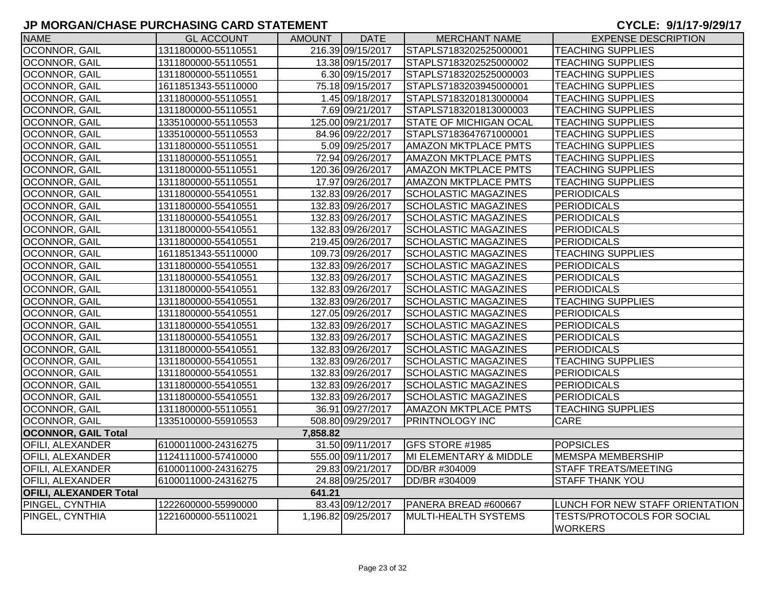| <b>NAME</b>                   | <b>GL ACCOUNT</b>   | AMOUNT   | <b>DATE</b>         | <b>MERCHANT NAME</b>          | <b>EXPENSE DESCRIPTION</b>                          |
|-------------------------------|---------------------|----------|---------------------|-------------------------------|-----------------------------------------------------|
| OCONNOR, GAIL                 | 1311800000-55110551 |          | 216.39 09/15/2017   | STAPLS7183202525000001        | <b>TEACHING SUPPLIES</b>                            |
| <b>OCONNOR, GAIL</b>          | 1311800000-55110551 |          | 13.38 09/15/2017    | STAPLS7183202525000002        | <b>TEACHING SUPPLIES</b>                            |
| OCONNOR, GAIL                 | 1311800000-55110551 |          | 6.30 09/15/2017     | STAPLS7183202525000003        | <b>TEACHING SUPPLIES</b>                            |
| OCONNOR, GAIL                 | 1611851343-55110000 |          | 75.18 09/15/2017    | STAPLS7183203945000001        | <b>TEACHING SUPPLIES</b>                            |
| OCONNOR, GAIL                 | 1311800000-55110551 |          | 1.45 09/18/2017     | STAPLS7183201813000004        | <b>TEACHING SUPPLIES</b>                            |
| OCONNOR, GAIL                 | 1311800000-55110551 |          | 7.69 09/21/2017     | STAPLS7183201813000003        | <b>TEACHING SUPPLIES</b>                            |
| OCONNOR, GAIL                 | 1335100000-55110553 |          | 125.00 09/21/2017   | <b>STATE OF MICHIGAN OCAL</b> | <b>TEACHING SUPPLIES</b>                            |
| OCONNOR, GAIL                 | 1335100000-55110553 |          | 84.96 09/22/2017    | STAPLS7183647671000001        | <b>TEACHING SUPPLIES</b>                            |
| OCONNOR, GAIL                 | 1311800000-55110551 |          | 5.09 09/25/2017     | <b>AMAZON MKTPLACE PMTS</b>   | <b>TEACHING SUPPLIES</b>                            |
| OCONNOR, GAIL                 | 1311800000-55110551 |          | 72.94 09/26/2017    | <b>AMAZON MKTPLACE PMTS</b>   | <b>TEACHING SUPPLIES</b>                            |
| OCONNOR, GAIL                 | 1311800000-55110551 |          | 120.36 09/26/2017   | <b>AMAZON MKTPLACE PMTS</b>   | <b>TEACHING SUPPLIES</b>                            |
| OCONNOR, GAIL                 | 1311800000-55110551 |          | 17.97 09/26/2017    | <b>AMAZON MKTPLACE PMTS</b>   | <b>TEACHING SUPPLIES</b>                            |
| OCONNOR, GAIL                 | 1311800000-55410551 |          | 132.83 09/26/2017   | <b>SCHOLASTIC MAGAZINES</b>   | PERIODICALS                                         |
| OCONNOR, GAIL                 | 1311800000-55410551 |          | 132.83 09/26/2017   | <b>SCHOLASTIC MAGAZINES</b>   | <b>PERIODICALS</b>                                  |
| OCONNOR, GAIL                 | 1311800000-55410551 |          | 132.83 09/26/2017   | <b>SCHOLASTIC MAGAZINES</b>   | <b>PERIODICALS</b>                                  |
| OCONNOR, GAIL                 | 1311800000-55410551 |          | 132.83 09/26/2017   | <b>SCHOLASTIC MAGAZINES</b>   | <b>PERIODICALS</b>                                  |
| OCONNOR, GAIL                 | 1311800000-55410551 |          | 219.45 09/26/2017   | <b>SCHOLASTIC MAGAZINES</b>   | PERIODICALS                                         |
| OCONNOR, GAIL                 | 1611851343-55110000 |          | 109.73 09/26/2017   | <b>SCHOLASTIC MAGAZINES</b>   | <b>TEACHING SUPPLIES</b>                            |
| OCONNOR, GAIL                 | 1311800000-55410551 |          | 132.83 09/26/2017   | <b>SCHOLASTIC MAGAZINES</b>   | PERIODICALS                                         |
| <b>OCONNOR, GAIL</b>          | 1311800000-55410551 |          | 132.83 09/26/2017   | <b>SCHOLASTIC MAGAZINES</b>   | <b>PERIODICALS</b>                                  |
| <b>OCONNOR, GAIL</b>          | 1311800000-55410551 |          | 132.83 09/26/2017   | <b>SCHOLASTIC MAGAZINES</b>   | PERIODICALS                                         |
| OCONNOR, GAIL                 | 1311800000-55410551 |          | 132.83 09/26/2017   | <b>SCHOLASTIC MAGAZINES</b>   | <b>TEACHING SUPPLIES</b>                            |
| <b>OCONNOR, GAIL</b>          | 1311800000-55410551 |          | 127.05 09/26/2017   | <b>SCHOLASTIC MAGAZINES</b>   | <b>PERIODICALS</b>                                  |
| OCONNOR, GAIL                 | 1311800000-55410551 |          | 132.83 09/26/2017   | <b>SCHOLASTIC MAGAZINES</b>   | <b>PERIODICALS</b>                                  |
| OCONNOR, GAIL                 | 1311800000-55410551 |          | 132.83 09/26/2017   | <b>SCHOLASTIC MAGAZINES</b>   | <b>PERIODICALS</b>                                  |
| OCONNOR, GAIL                 | 1311800000-55410551 |          | 132.83 09/26/2017   | <b>SCHOLASTIC MAGAZINES</b>   | PERIODICALS                                         |
| OCONNOR, GAIL                 | 1311800000-55410551 |          | 132.83 09/26/2017   | <b>SCHOLASTIC MAGAZINES</b>   | <b>TEACHING SUPPLIES</b>                            |
| OCONNOR, GAIL                 | 1311800000-55410551 |          | 132.83 09/26/2017   | <b>SCHOLASTIC MAGAZINES</b>   | PERIODICALS                                         |
| OCONNOR, GAIL                 | 1311800000-55410551 |          | 132.83 09/26/2017   | <b>SCHOLASTIC MAGAZINES</b>   | PERIODICALS                                         |
| OCONNOR, GAIL                 | 1311800000-55410551 |          | 132.83 09/26/2017   | <b>SCHOLASTIC MAGAZINES</b>   | <b>PERIODICALS</b>                                  |
| OCONNOR, GAIL                 | 1311800000-55110551 |          | 36.91 09/27/2017    | <b>AMAZON MKTPLACE PMTS</b>   | <b>TEACHING SUPPLIES</b>                            |
| OCONNOR, GAIL                 | 1335100000-55910553 |          | 508.80 09/29/2017   | <b>PRINTNOLOGY INC</b>        | CARE                                                |
| <b>OCONNOR, GAIL Total</b>    |                     | 7,858.82 |                     |                               |                                                     |
| <b>OFILI, ALEXANDER</b>       | 6100011000-24316275 |          | 31.50 09/11/2017    | GFS STORE #1985               | <b>POPSICLES</b>                                    |
| <b>OFILI, ALEXANDER</b>       | 1124111000-57410000 |          | 555.00 09/11/2017   | MI ELEMENTARY & MIDDLE        | <b>MEMSPA MEMBERSHIP</b>                            |
| <b>OFILI, ALEXANDER</b>       | 6100011000-24316275 |          | 29.83 09/21/2017    | DD/BR #304009                 | <b>STAFF TREATS/MEETING</b>                         |
| <b>OFILI, ALEXANDER</b>       | 6100011000-24316275 |          | 24.88 09/25/2017    | DD/BR #304009                 | <b>STAFF THANK YOU</b>                              |
| <b>OFILI, ALEXANDER Total</b> |                     | 641.21   |                     |                               |                                                     |
| PINGEL, CYNTHIA               | 1222600000-55990000 |          | 83.43 09/12/2017    | PANERA BREAD #600667          | LUNCH FOR NEW STAFF ORIENTATION                     |
| PINGEL, CYNTHIA               | 1221600000-55110021 |          | 1.196.82 09/25/2017 | MULTI-HEALTH SYSTEMS          | <b>TESTS/PROTOCOLS FOR SOCIAL</b><br><b>WORKERS</b> |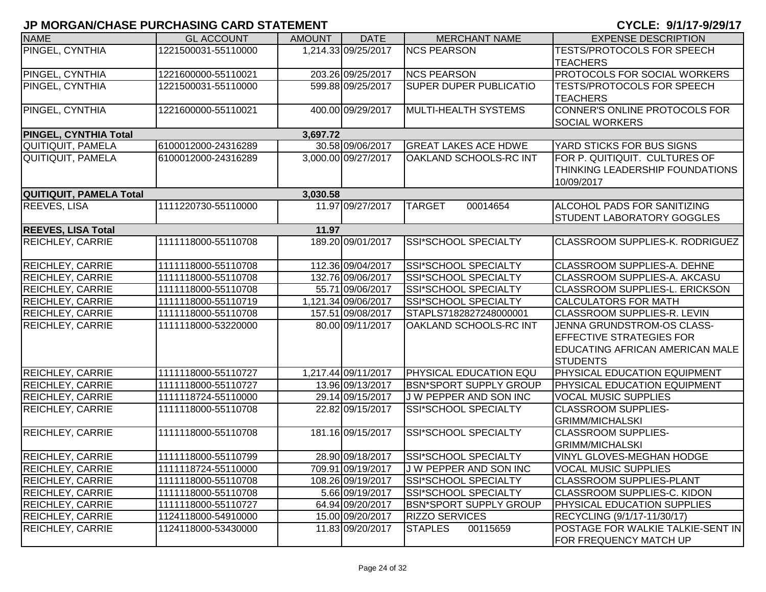| <b>NAME</b>                    | <b>GL ACCOUNT</b>   | <b>AMOUNT</b> | <b>DATE</b>         | <b>MERCHANT NAME</b>          | <b>EXPENSE DESCRIPTION</b>                           |
|--------------------------------|---------------------|---------------|---------------------|-------------------------------|------------------------------------------------------|
| PINGEL, CYNTHIA                | 1221500031-55110000 |               | 1,214.33 09/25/2017 | <b>NCS PEARSON</b>            | TESTS/PROTOCOLS FOR SPEECH                           |
|                                |                     |               |                     |                               | <b>TEACHERS</b>                                      |
| PINGEL, CYNTHIA                | 1221600000-55110021 |               | 203.26 09/25/2017   | <b>NCS PEARSON</b>            | PROTOCOLS FOR SOCIAL WORKERS                         |
| PINGEL, CYNTHIA                | 1221500031-55110000 |               | 599.88 09/25/2017   | <b>SUPER DUPER PUBLICATIO</b> | <b>TESTS/PROTOCOLS FOR SPEECH</b><br><b>TEACHERS</b> |
| PINGEL, CYNTHIA                | 1221600000-55110021 |               | 400.00 09/29/2017   | MULTI-HEALTH SYSTEMS          | CONNER'S ONLINE PROTOCOLS FOR                        |
|                                |                     |               |                     |                               | <b>SOCIAL WORKERS</b>                                |
| PINGEL, CYNTHIA Total          |                     | 3,697.72      |                     |                               |                                                      |
| QUITIQUIT, PAMELA              | 6100012000-24316289 |               | 30.58 09/06/2017    | <b>GREAT LAKES ACE HDWE</b>   | YARD STICKS FOR BUS SIGNS                            |
| QUITIQUIT, PAMELA              | 6100012000-24316289 |               | 3,000.00 09/27/2017 | OAKLAND SCHOOLS-RC INT        | FOR P. QUITIQUIT. CULTURES OF                        |
|                                |                     |               |                     |                               | THINKING LEADERSHIP FOUNDATIONS                      |
|                                |                     |               |                     |                               | 10/09/2017                                           |
| <b>QUITIQUIT, PAMELA Total</b> |                     | 3,030.58      |                     |                               |                                                      |
| REEVES, LISA                   | 1111220730-55110000 |               | 11.97 09/27/2017    | <b>TARGET</b><br>00014654     | ALCOHOL PADS FOR SANITIZING                          |
|                                |                     |               |                     |                               | STUDENT LABORATORY GOGGLES                           |
| <b>REEVES, LISA Total</b>      |                     | 11.97         |                     |                               |                                                      |
| <b>REICHLEY, CARRIE</b>        | 1111118000-55110708 |               | 189.20 09/01/2017   | SSI*SCHOOL SPECIALTY          | CLASSROOM SUPPLIES-K. RODRIGUEZ                      |
|                                |                     |               |                     |                               |                                                      |
| <b>REICHLEY, CARRIE</b>        | 1111118000-55110708 |               | 112.36 09/04/2017   | SSI*SCHOOL SPECIALTY          | CLASSROOM SUPPLIES-A. DEHNE                          |
| REICHLEY, CARRIE               | 1111118000-55110708 |               | 132.76 09/06/2017   | <b>SSI*SCHOOL SPECIALTY</b>   | CLASSROOM SUPPLIES-A. AKCASU                         |
| REICHLEY, CARRIE               | 1111118000-55110708 |               | 55.71 09/06/2017    | SSI*SCHOOL SPECIALTY          | CLASSROOM SUPPLIES-L. ERICKSON                       |
| <b>REICHLEY, CARRIE</b>        | 1111118000-55110719 |               | 1,121.34 09/06/2017 | <b>SSI*SCHOOL SPECIALTY</b>   | <b>CALCULATORS FOR MATH</b>                          |
| <b>REICHLEY, CARRIE</b>        | 1111118000-55110708 |               | 157.51 09/08/2017   | STAPLS7182827248000001        | CLASSROOM SUPPLIES-R. LEVIN                          |
| <b>REICHLEY, CARRIE</b>        | 1111118000-53220000 |               | 80.00 09/11/2017    | OAKLAND SCHOOLS-RC INT        | JENNA GRUNDSTROM-OS CLASS-                           |
|                                |                     |               |                     |                               | EFFECTIVE STRATEGIES FOR                             |
|                                |                     |               |                     |                               | EDUCATING AFRICAN AMERICAN MALE                      |
|                                |                     |               |                     |                               | <b>STUDENTS</b>                                      |
| REICHLEY, CARRIE               | 1111118000-55110727 |               | 1,217.44 09/11/2017 | <b>PHYSICAL EDUCATION EQU</b> | PHYSICAL EDUCATION EQUIPMENT                         |
| REICHLEY, CARRIE               | 1111118000-55110727 |               | 13.96 09/13/2017    | <b>BSN*SPORT SUPPLY GROUP</b> | PHYSICAL EDUCATION EQUIPMENT                         |
| <b>REICHLEY, CARRIE</b>        | 1111118724-55110000 |               | 29.14 09/15/2017    | J W PEPPER AND SON INC        | <b>VOCAL MUSIC SUPPLIES</b>                          |
| REICHLEY, CARRIE               | 1111118000-55110708 |               | 22.82 09/15/2017    | SSI*SCHOOL SPECIALTY          | <b>CLASSROOM SUPPLIES-</b>                           |
|                                |                     |               |                     |                               | <b>GRIMM/MICHALSKI</b>                               |
| <b>REICHLEY, CARRIE</b>        | 1111118000-55110708 |               | 181.16 09/15/2017   | SSI*SCHOOL SPECIALTY          | <b>CLASSROOM SUPPLIES-</b>                           |
|                                |                     |               |                     |                               | <b>GRIMM/MICHALSKI</b>                               |
| <b>REICHLEY, CARRIE</b>        | 1111118000-55110799 |               | 28.90 09/18/2017    | SSI*SCHOOL SPECIALTY          | VINYL GLOVES-MEGHAN HODGE                            |
| <b>REICHLEY, CARRIE</b>        | 1111118724-55110000 |               | 709.91 09/19/2017   | J W PEPPER AND SON INC        | <b>VOCAL MUSIC SUPPLIES</b>                          |
| <b>REICHLEY, CARRIE</b>        | 1111118000-55110708 |               | 108.26 09/19/2017   | <b>SSI*SCHOOL SPECIALTY</b>   | <b>CLASSROOM SUPPLIES-PLANT</b>                      |
| <b>REICHLEY, CARRIE</b>        | 1111118000-55110708 |               | 5.66 09/19/2017     | SSI*SCHOOL SPECIALTY          | CLASSROOM SUPPLIES-C. KIDON                          |
| <b>REICHLEY, CARRIE</b>        | 1111118000-55110727 |               | 64.94 09/20/2017    | <b>BSN*SPORT SUPPLY GROUP</b> | PHYSICAL EDUCATION SUPPLIES                          |
| <b>REICHLEY, CARRIE</b>        | 1124118000-54910000 |               | 15.00 09/20/2017    | <b>RIZZO SERVICES</b>         | RECYCLING (9/1/17-11/30/17)                          |
| <b>REICHLEY, CARRIE</b>        | 1124118000-53430000 |               | 11.83 09/20/2017    | <b>STAPLES</b><br>00115659    | POSTAGE FOR WALKIE TALKIE-SENT IN                    |
|                                |                     |               |                     |                               | FOR FREQUENCY MATCH UP                               |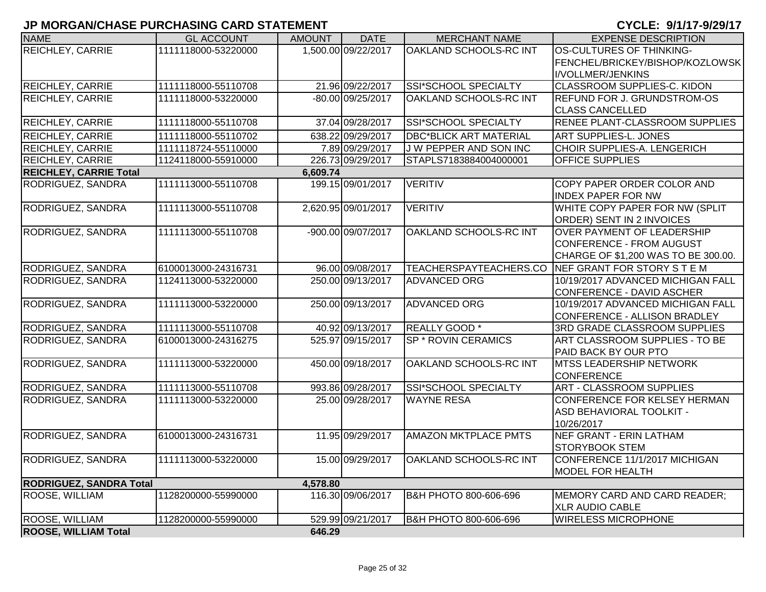| <b>NAME</b>                    | <b>GL ACCOUNT</b>   | <b>AMOUNT</b> | <b>DATE</b>         | <b>MERCHANT NAME</b>          | <b>EXPENSE DESCRIPTION</b>                              |
|--------------------------------|---------------------|---------------|---------------------|-------------------------------|---------------------------------------------------------|
| <b>REICHLEY, CARRIE</b>        | 1111118000-53220000 |               | 1,500.00 09/22/2017 | OAKLAND SCHOOLS-RC INT        | OS-CULTURES OF THINKING-                                |
|                                |                     |               |                     |                               | FENCHEL/BRICKEY/BISHOP/KOZLOWSK                         |
|                                |                     |               |                     |                               | I/VOLLMER/JENKINS                                       |
| <b>REICHLEY, CARRIE</b>        | 1111118000-55110708 |               | 21.96 09/22/2017    | <b>SSI*SCHOOL SPECIALTY</b>   | CLASSROOM SUPPLIES-C. KIDON                             |
| <b>REICHLEY, CARRIE</b>        | 1111118000-53220000 |               | -80.00 09/25/2017   | OAKLAND SCHOOLS-RC INT        | <b>REFUND FOR J. GRUNDSTROM-OS</b>                      |
|                                |                     |               |                     |                               | <b>CLASS CANCELLED</b>                                  |
| <b>REICHLEY, CARRIE</b>        | 1111118000-55110708 |               | 37.04 09/28/2017    | SSI*SCHOOL SPECIALTY          | RENEE PLANT-CLASSROOM SUPPLIES                          |
| <b>REICHLEY, CARRIE</b>        | 1111118000-55110702 |               | 638.22 09/29/2017   | <b>DBC*BLICK ART MATERIAL</b> | <b>ART SUPPLIES-L. JONES</b>                            |
| <b>REICHLEY, CARRIE</b>        | 1111118724-55110000 |               | 7.89 09/29/2017     | J W PEPPER AND SON INC        | CHOIR SUPPLIES-A. LENGERICH                             |
| <b>REICHLEY, CARRIE</b>        | 1124118000-55910000 |               | 226.73 09/29/2017   | STAPLS7183884004000001        | <b>OFFICE SUPPLIES</b>                                  |
| <b>REICHLEY, CARRIE Total</b>  |                     | 6,609.74      |                     |                               |                                                         |
| RODRIGUEZ, SANDRA              | 1111113000-55110708 |               | 199.15 09/01/2017   | <b>VERITIV</b>                | COPY PAPER ORDER COLOR AND<br><b>INDEX PAPER FOR NW</b> |
| RODRIGUEZ, SANDRA              | 1111113000-55110708 |               | 2,620.95 09/01/2017 | <b>VERITIV</b>                | WHITE COPY PAPER FOR NW (SPLIT                          |
|                                |                     |               |                     |                               | ORDER) SENT IN 2 INVOICES                               |
| RODRIGUEZ, SANDRA              | 1111113000-55110708 |               | -900.00 09/07/2017  | OAKLAND SCHOOLS-RC INT        | <b>OVER PAYMENT OF LEADERSHIP</b>                       |
|                                |                     |               |                     |                               | CONFERENCE - FROM AUGUST                                |
|                                |                     |               |                     |                               | CHARGE OF \$1,200 WAS TO BE 300.00.                     |
| RODRIGUEZ, SANDRA              | 6100013000-24316731 |               | 96.00 09/08/2017    |                               | TEACHERSPAYTEACHERS.CO NEF GRANT FOR STORY S T E M      |
| RODRIGUEZ, SANDRA              | 1124113000-53220000 |               | 250.00 09/13/2017   | <b>ADVANCED ORG</b>           | 10/19/2017 ADVANCED MICHIGAN FALL                       |
|                                |                     |               |                     |                               | CONFERENCE - DAVID ASCHER                               |
| RODRIGUEZ, SANDRA              | 1111113000-53220000 |               | 250.00 09/13/2017   | <b>ADVANCED ORG</b>           | 10/19/2017 ADVANCED MICHIGAN FALL                       |
|                                |                     |               |                     |                               | CONFERENCE - ALLISON BRADLEY                            |
| RODRIGUEZ, SANDRA              | 1111113000-55110708 |               | 40.92 09/13/2017    | REALLY GOOD *                 | 3RD GRADE CLASSROOM SUPPLIES                            |
| RODRIGUEZ, SANDRA              | 6100013000-24316275 |               | 525.97 09/15/2017   | <b>SP * ROVIN CERAMICS</b>    | ART CLASSROOM SUPPLIES - TO BE                          |
|                                |                     |               |                     |                               | PAID BACK BY OUR PTO                                    |
| RODRIGUEZ, SANDRA              | 1111113000-53220000 |               | 450.00 09/18/2017   | OAKLAND SCHOOLS-RC INT        | <b>MTSS LEADERSHIP NETWORK</b>                          |
|                                |                     |               |                     |                               | <b>CONFERENCE</b>                                       |
| RODRIGUEZ, SANDRA              | 1111113000-55110708 |               | 993.86 09/28/2017   | SSI*SCHOOL SPECIALTY          | <b>ART - CLASSROOM SUPPLIES</b>                         |
| RODRIGUEZ, SANDRA              | 1111113000-53220000 |               | 25.00 09/28/2017    | <b>WAYNE RESA</b>             | <b>CONFERENCE FOR KELSEY HERMAN</b>                     |
|                                |                     |               |                     |                               | ASD BEHAVIORAL TOOLKIT -                                |
|                                |                     |               |                     |                               | 10/26/2017                                              |
| RODRIGUEZ, SANDRA              | 6100013000-24316731 |               | 11.95 09/29/2017    | <b>AMAZON MKTPLACE PMTS</b>   | <b>NEF GRANT - ERIN LATHAM</b>                          |
|                                |                     |               |                     |                               | <b>STORYBOOK STEM</b>                                   |
| RODRIGUEZ, SANDRA              | 1111113000-53220000 |               | 15.00 09/29/2017    | <b>OAKLAND SCHOOLS-RC INT</b> | CONFERENCE 11/1/2017 MICHIGAN                           |
|                                |                     |               |                     |                               | <b>MODEL FOR HEALTH</b>                                 |
| <b>RODRIGUEZ, SANDRA Total</b> |                     | 4,578.80      |                     |                               |                                                         |
| <b>ROOSE, WILLIAM</b>          | 1128200000-55990000 |               | 116.30 09/06/2017   | B&H PHOTO 800-606-696         | MEMORY CARD AND CARD READER;                            |
|                                |                     |               |                     |                               | <b>XLR AUDIO CABLE</b>                                  |
| <b>ROOSE, WILLIAM</b>          | 1128200000-55990000 |               | 529.99 09/21/2017   | B&H PHOTO 800-606-696         | <b>WIRELESS MICROPHONE</b>                              |
| <b>ROOSE, WILLIAM Total</b>    |                     | 646.29        |                     |                               |                                                         |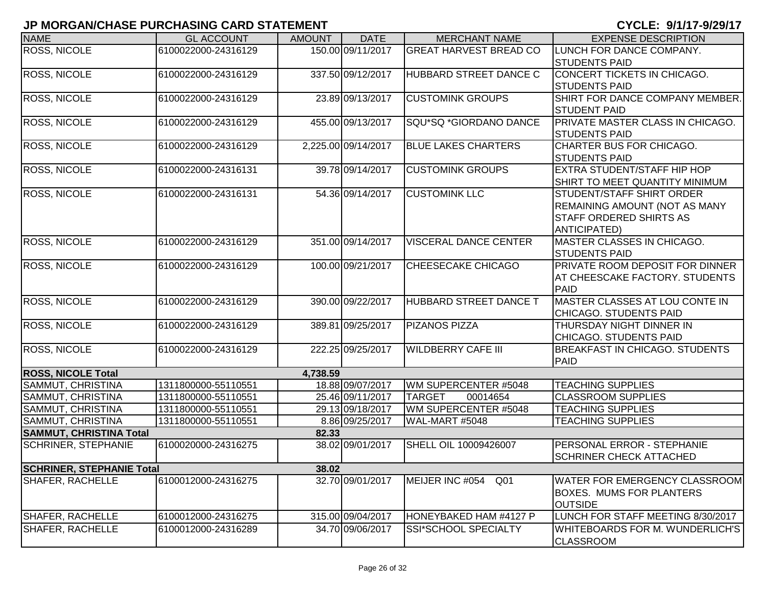| <b>NAME</b>                      | <b>GL ACCOUNT</b>   | <b>AMOUNT</b> | <b>DATE</b>         | <b>MERCHANT NAME</b>          | <b>EXPENSE DESCRIPTION</b>                          |
|----------------------------------|---------------------|---------------|---------------------|-------------------------------|-----------------------------------------------------|
| <b>ROSS, NICOLE</b>              | 6100022000-24316129 |               | 150.00 09/11/2017   | <b>GREAT HARVEST BREAD CO</b> | LUNCH FOR DANCE COMPANY.                            |
|                                  |                     |               |                     |                               | <b>STUDENTS PAID</b>                                |
| <b>ROSS, NICOLE</b>              | 6100022000-24316129 |               | 337.50 09/12/2017   | HUBBARD STREET DANCE C        | CONCERT TICKETS IN CHICAGO.                         |
|                                  |                     |               |                     |                               | <b>STUDENTS PAID</b>                                |
| <b>ROSS, NICOLE</b>              | 6100022000-24316129 |               | 23.89 09/13/2017    | <b>CUSTOMINK GROUPS</b>       | SHIRT FOR DANCE COMPANY MEMBER.                     |
|                                  |                     |               |                     |                               | <b>STUDENT PAID</b>                                 |
| <b>ROSS, NICOLE</b>              | 6100022000-24316129 |               | 455.00 09/13/2017   | SQU*SQ *GIORDANO DANCE        | <b>PRIVATE MASTER CLASS IN CHICAGO.</b>             |
|                                  |                     |               |                     |                               | <b>STUDENTS PAID</b>                                |
| ROSS, NICOLE                     | 6100022000-24316129 |               | 2,225.00 09/14/2017 | <b>BLUE LAKES CHARTERS</b>    | CHARTER BUS FOR CHICAGO.                            |
|                                  |                     |               |                     |                               | <b>STUDENTS PAID</b>                                |
| ROSS, NICOLE                     | 6100022000-24316131 |               | 39.78 09/14/2017    | <b>CUSTOMINK GROUPS</b>       | <b>EXTRA STUDENT/STAFF HIP HOP</b>                  |
|                                  |                     |               |                     |                               | SHIRT TO MEET QUANTITY MINIMUM                      |
| ROSS, NICOLE                     | 6100022000-24316131 |               | 54.36 09/14/2017    | <b>CUSTOMINK LLC</b>          | STUDENT/STAFF SHIRT ORDER                           |
|                                  |                     |               |                     |                               | REMAINING AMOUNT (NOT AS MANY                       |
|                                  |                     |               |                     |                               | <b>STAFF ORDERED SHIRTS AS</b>                      |
| <b>ROSS, NICOLE</b>              | 6100022000-24316129 |               | 351.00 09/14/2017   | <b>VISCERAL DANCE CENTER</b>  | <b>ANTICIPATED)</b><br>MASTER CLASSES IN CHICAGO.   |
|                                  |                     |               |                     |                               | <b>STUDENTS PAID</b>                                |
| <b>ROSS, NICOLE</b>              | 6100022000-24316129 |               | 100.00 09/21/2017   | CHEESECAKE CHICAGO            | <b>PRIVATE ROOM DEPOSIT FOR DINNER</b>              |
|                                  |                     |               |                     |                               | AT CHEESCAKE FACTORY. STUDENTS                      |
|                                  |                     |               |                     |                               | PAID                                                |
| <b>ROSS, NICOLE</b>              | 6100022000-24316129 |               | 390.00 09/22/2017   | <b>HUBBARD STREET DANCE T</b> | MASTER CLASSES AT LOU CONTE IN                      |
|                                  |                     |               |                     |                               | CHICAGO. STUDENTS PAID                              |
| <b>ROSS, NICOLE</b>              | 6100022000-24316129 |               | 389.81 09/25/2017   | <b>PIZANOS PIZZA</b>          | THURSDAY NIGHT DINNER IN                            |
|                                  |                     |               |                     |                               | CHICAGO. STUDENTS PAID                              |
| <b>ROSS, NICOLE</b>              | 6100022000-24316129 |               | 222.25 09/25/2017   | <b>WILDBERRY CAFE III</b>     | <b>BREAKFAST IN CHICAGO. STUDENTS</b>               |
|                                  |                     |               |                     |                               | PAID                                                |
| <b>ROSS, NICOLE Total</b>        |                     | 4,738.59      |                     |                               |                                                     |
| SAMMUT, CHRISTINA                | 1311800000-55110551 |               | 18.88 09/07/2017    | WM SUPERCENTER #5048          | <b>TEACHING SUPPLIES</b>                            |
| SAMMUT, CHRISTINA                | 1311800000-55110551 |               | 25.46 09/11/2017    | <b>TARGET</b><br>00014654     | <b>CLASSROOM SUPPLIES</b>                           |
| SAMMUT, CHRISTINA                | 1311800000-55110551 |               | 29.13 09/18/2017    | WM SUPERCENTER #5048          | <b>TEACHING SUPPLIES</b>                            |
| SAMMUT, CHRISTINA                | 1311800000-55110551 |               | 8.86 09/25/2017     | WAL-MART #5048                | <b>TEACHING SUPPLIES</b>                            |
| <b>SAMMUT, CHRISTINA Total</b>   |                     | 82.33         |                     |                               |                                                     |
| <b>SCHRINER, STEPHANIE</b>       | 6100020000-24316275 |               | 38.02 09/01/2017    | SHELL OIL 10009426007         | PERSONAL ERROR - STEPHANIE                          |
|                                  |                     |               |                     |                               | <b>SCHRINER CHECK ATTACHED</b>                      |
| <b>SCHRINER, STEPHANIE Total</b> |                     | 38.02         |                     |                               |                                                     |
| <b>SHAFER, RACHELLE</b>          | 6100012000-24316275 |               | 32.70 09/01/2017    | MEIJER INC #054<br>Q01        | <b>WATER FOR EMERGENCY CLASSROOM</b>                |
|                                  |                     |               |                     |                               | <b>BOXES. MUMS FOR PLANTERS</b>                     |
|                                  |                     |               |                     |                               | <b>OUTSIDE</b>                                      |
| <b>SHAFER, RACHELLE</b>          | 6100012000-24316275 |               | 315.00 09/04/2017   | HONEYBAKED HAM #4127 P        | LUNCH FOR STAFF MEETING 8/30/2017                   |
| <b>SHAFER, RACHELLE</b>          | 6100012000-24316289 |               | 34.70 09/06/2017    | SSI*SCHOOL SPECIALTY          | WHITEBOARDS FOR M. WUNDERLICH'S<br><b>CLASSROOM</b> |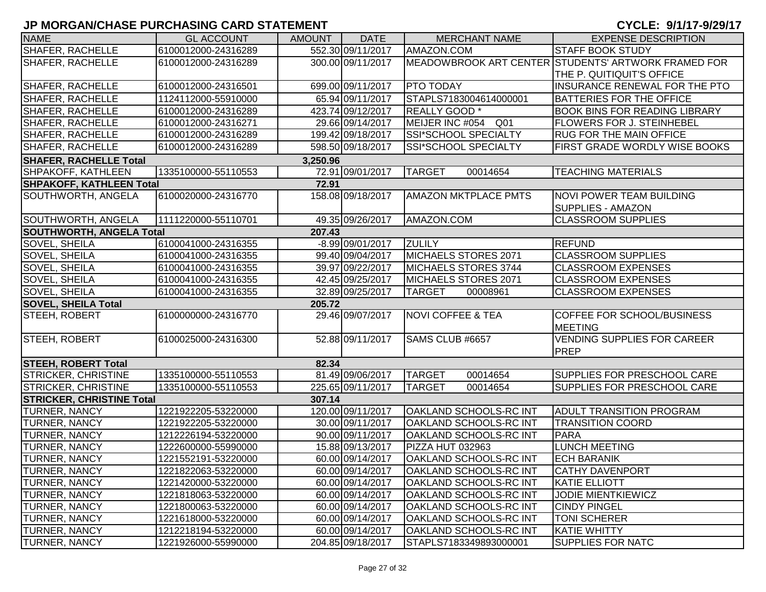| <b>NAME</b>                      | <b>GL ACCOUNT</b>   | <b>AMOUNT</b> | <b>DATE</b>       | <b>MERCHANT NAME</b>               | <b>EXPENSE DESCRIPTION</b>                          |
|----------------------------------|---------------------|---------------|-------------------|------------------------------------|-----------------------------------------------------|
| SHAFER, RACHELLE                 | 6100012000-24316289 |               | 552.30 09/11/2017 | AMAZON.COM                         | <b>STAFF BOOK STUDY</b>                             |
| SHAFER, RACHELLE                 | 6100012000-24316289 |               | 300.00 09/11/2017 |                                    | MEADOWBROOK ART CENTER STUDENTS' ARTWORK FRAMED FOR |
|                                  |                     |               |                   |                                    | THE P. QUITIQUIT'S OFFICE                           |
| SHAFER, RACHELLE                 | 6100012000-24316501 |               | 699.00 09/11/2017 | <b>PTO TODAY</b>                   | INSURANCE RENEWAL FOR THE PTO                       |
| SHAFER, RACHELLE                 | 1124112000-55910000 |               | 65.94 09/11/2017  | STAPLS7183004614000001             | <b>BATTERIES FOR THE OFFICE</b>                     |
| SHAFER, RACHELLE                 | 6100012000-24316289 |               | 423.74 09/12/2017 | REALLY GOOD *                      | <b>BOOK BINS FOR READING LIBRARY</b>                |
| SHAFER, RACHELLE                 | 6100012000-24316271 |               | 29.66 09/14/2017  | Q <sub>01</sub><br>MEIJER INC #054 | FLOWERS FOR J. STEINHEBEL                           |
| SHAFER, RACHELLE                 | 6100012000-24316289 |               | 199.42 09/18/2017 | SSI*SCHOOL SPECIALTY               | <b>RUG FOR THE MAIN OFFICE</b>                      |
| SHAFER, RACHELLE                 | 6100012000-24316289 |               | 598.50 09/18/2017 | <b>SSI*SCHOOL SPECIALTY</b>        | FIRST GRADE WORDLY WISE BOOKS                       |
| <b>SHAFER, RACHELLE Total</b>    |                     | 3,250.96      |                   |                                    |                                                     |
| SHPAKOFF, KATHLEEN               | 1335100000-55110553 |               | 72.91 09/01/2017  | <b>TARGET</b><br>00014654          | <b>TEACHING MATERIALS</b>                           |
| <b>SHPAKOFF, KATHLEEN Total</b>  |                     | 72.91         |                   |                                    |                                                     |
| SOUTHWORTH, ANGELA               | 6100020000-24316770 |               | 158.08 09/18/2017 | <b>AMAZON MKTPLACE PMTS</b>        | <b>NOVI POWER TEAM BUILDING</b>                     |
|                                  |                     |               |                   |                                    | <b>SUPPLIES - AMAZON</b>                            |
| SOUTHWORTH, ANGELA               | 1111220000-55110701 |               | 49.35 09/26/2017  | AMAZON.COM                         | <b>CLASSROOM SUPPLIES</b>                           |
| <b>SOUTHWORTH, ANGELA Total</b>  |                     | 207.43        |                   |                                    |                                                     |
| SOVEL, SHEILA                    | 6100041000-24316355 |               | -8.99 09/01/2017  | <b>ZULILY</b>                      | <b>REFUND</b>                                       |
| SOVEL, SHEILA                    | 6100041000-24316355 |               | 99.40 09/04/2017  | <b>MICHAELS STORES 2071</b>        | <b>CLASSROOM SUPPLIES</b>                           |
| SOVEL, SHEILA                    | 6100041000-24316355 |               | 39.97 09/22/2017  | MICHAELS STORES 3744               | <b>CLASSROOM EXPENSES</b>                           |
| SOVEL, SHEILA                    | 6100041000-24316355 |               | 42.45 09/25/2017  | MICHAELS STORES 2071               | <b>CLASSROOM EXPENSES</b>                           |
| SOVEL, SHEILA                    | 6100041000-24316355 |               | 32.89 09/25/2017  | <b>TARGET</b><br>00008961          | <b>CLASSROOM EXPENSES</b>                           |
| <b>SOVEL, SHEILA Total</b>       |                     | 205.72        |                   |                                    |                                                     |
| STEEH, ROBERT                    | 6100000000-24316770 |               | 29.46 09/07/2017  | <b>NOVI COFFEE &amp; TEA</b>       | COFFEE FOR SCHOOL/BUSINESS<br><b>MEETING</b>        |
| STEEH, ROBERT                    | 6100025000-24316300 |               | 52.88 09/11/2017  | SAMS CLUB #6657                    | <b>VENDING SUPPLIES FOR CAREER</b>                  |
|                                  |                     |               |                   |                                    | <b>PREP</b>                                         |
| <b>STEEH, ROBERT Total</b>       |                     | 82.34         |                   |                                    |                                                     |
| <b>STRICKER, CHRISTINE</b>       | 1335100000-55110553 |               | 81.49 09/06/2017  | <b>TARGET</b><br>00014654          | SUPPLIES FOR PRESCHOOL CARE                         |
| STRICKER, CHRISTINE              | 1335100000-55110553 |               | 225.65 09/11/2017 | <b>TARGET</b><br>00014654          | SUPPLIES FOR PRESCHOOL CARE                         |
| <b>STRICKER, CHRISTINE Total</b> |                     | 307.14        |                   |                                    |                                                     |
| TURNER, NANCY                    | 1221922205-53220000 |               | 120.00 09/11/2017 | <b>OAKLAND SCHOOLS-RC INT</b>      | <b>ADULT TRANSITION PROGRAM</b>                     |
| TURNER, NANCY                    | 1221922205-53220000 |               | 30.00 09/11/2017  | <b>OAKLAND SCHOOLS-RC INT</b>      | <b>TRANSITION COORD</b>                             |
| TURNER, NANCY                    | 1212226194-53220000 |               | 90.00 09/11/2017  | OAKLAND SCHOOLS-RC INT             | <b>PARA</b>                                         |
| TURNER, NANCY                    | 1222600000-55990000 |               | 15.88 09/13/2017  | PIZZA HUT 032963                   | <b>LUNCH MEETING</b>                                |
| <b>TURNER, NANCY</b>             | 1221552191-53220000 |               | 60.00 09/14/2017  | <b>OAKLAND SCHOOLS-RC INT</b>      | <b>ECH BARANIK</b>                                  |
| <b>TURNER, NANCY</b>             | 1221822063-53220000 |               | 60.00 09/14/2017  | OAKLAND SCHOOLS-RC INT             | <b>CATHY DAVENPORT</b>                              |
| <b>TURNER, NANCY</b>             | 1221420000-53220000 |               | 60.00 09/14/2017  | OAKLAND SCHOOLS-RC INT             | <b>KATIE ELLIOTT</b>                                |
| <b>TURNER, NANCY</b>             | 1221818063-53220000 |               | 60.00 09/14/2017  | OAKLAND SCHOOLS-RC INT             | <b>JODIE MIENTKIEWICZ</b>                           |
| <b>TURNER, NANCY</b>             | 1221800063-53220000 |               | 60.00 09/14/2017  | OAKLAND SCHOOLS-RC INT             | <b>CINDY PINGEL</b>                                 |
| TURNER, NANCY                    | 1221618000-53220000 |               | 60.00 09/14/2017  | OAKLAND SCHOOLS-RC INT             | <b>TONI SCHERER</b>                                 |
| <b>TURNER, NANCY</b>             | 1212218194-53220000 |               | 60.00 09/14/2017  | <b>OAKLAND SCHOOLS-RC INT</b>      | <b>KATIE WHITTY</b>                                 |
| <b>TURNER, NANCY</b>             | 1221926000-55990000 |               | 204.85 09/18/2017 | STAPLS7183349893000001             | <b>SUPPLIES FOR NATC</b>                            |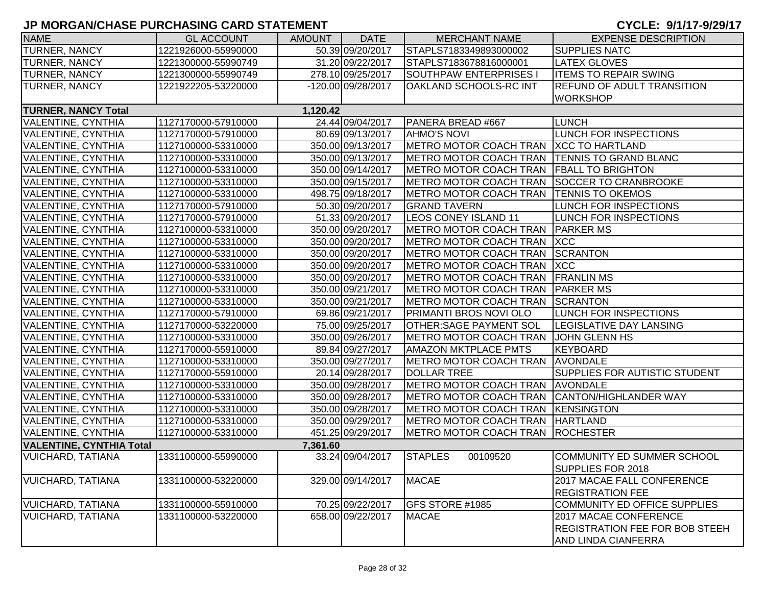| <b>NAME</b>                     | <b>GL ACCOUNT</b>   | AMOUNT   | <b>DATE</b>        | <b>MERCHANT NAME</b>                         | <b>EXPENSE DESCRIPTION</b>            |
|---------------------------------|---------------------|----------|--------------------|----------------------------------------------|---------------------------------------|
| <b>TURNER, NANCY</b>            | 1221926000-55990000 |          | 50.39 09/20/2017   | STAPLS7183349893000002                       | <b>SUPPLIES NATC</b>                  |
| <b>TURNER, NANCY</b>            | 1221300000-55990749 |          | 31.20 09/22/2017   | STAPLS7183678816000001                       | <b>LATEX GLOVES</b>                   |
| <b>TURNER, NANCY</b>            | 1221300000-55990749 |          | 278.10 09/25/2017  | SOUTHPAW ENTERPRISES I                       | <b>ITEMS TO REPAIR SWING</b>          |
| <b>TURNER, NANCY</b>            | 1221922205-53220000 |          | -120.00 09/28/2017 | <b>OAKLAND SCHOOLS-RC INT</b>                | <b>REFUND OF ADULT TRANSITION</b>     |
|                                 |                     |          |                    |                                              | <b>WORKSHOP</b>                       |
| <b>TURNER, NANCY Total</b>      |                     | 1,120.42 |                    |                                              |                                       |
| <b>VALENTINE, CYNTHIA</b>       | 1127170000-57910000 |          | 24.44 09/04/2017   | PANERA BREAD #667                            | <b>LUNCH</b>                          |
| <b>VALENTINE, CYNTHIA</b>       | 1127170000-57910000 |          | 80.69 09/13/2017   | <b>AHMO'S NOVI</b>                           | LUNCH FOR INSPECTIONS                 |
| <b>VALENTINE, CYNTHIA</b>       | 1127100000-53310000 |          | 350.00 09/13/2017  | METRO MOTOR COACH TRAN XCC TO HARTLAND       |                                       |
| <b>VALENTINE, CYNTHIA</b>       | 1127100000-53310000 |          | 350.00 09/13/2017  | METRO MOTOR COACH TRAN TENNIS TO GRAND BLANC |                                       |
| <b>VALENTINE, CYNTHIA</b>       | 1127100000-53310000 |          | 350.00 09/14/2017  | METRO MOTOR COACH TRAN FBALL TO BRIGHTON     |                                       |
| <b>VALENTINE, CYNTHIA</b>       | 1127100000-53310000 |          | 350.00 09/15/2017  | METRO MOTOR COACH TRAN SOCCER TO CRANBROOKE  |                                       |
| <b>VALENTINE, CYNTHIA</b>       | 1127100000-53310000 |          | 498.75 09/18/2017  | METRO MOTOR COACH TRAN                       | <b>TENNIS TO OKEMOS</b>               |
| <b>VALENTINE, CYNTHIA</b>       | 1127170000-57910000 |          | 50.30 09/20/2017   | <b>GRAND TAVERN</b>                          | LUNCH FOR INSPECTIONS                 |
| <b>VALENTINE, CYNTHIA</b>       | 1127170000-57910000 |          | 51.33 09/20/2017   | LEOS CONEY ISLAND 11                         | LUNCH FOR INSPECTIONS                 |
| <b>VALENTINE, CYNTHIA</b>       | 1127100000-53310000 |          | 350.00 09/20/2017  | METRO MOTOR COACH TRAN PARKER MS             |                                       |
| <b>VALENTINE, CYNTHIA</b>       | 1127100000-53310000 |          | 350.00 09/20/2017  | METRO MOTOR COACH TRAN XCC                   |                                       |
| <b>VALENTINE, CYNTHIA</b>       | 1127100000-53310000 |          | 350.00 09/20/2017  | METRO MOTOR COACH TRAN SCRANTON              |                                       |
| <b>VALENTINE, CYNTHIA</b>       | 1127100000-53310000 |          | 350.00 09/20/2017  | METRO MOTOR COACH TRAN XCC                   |                                       |
| <b>VALENTINE, CYNTHIA</b>       | 1127100000-53310000 |          | 350.00 09/20/2017  | METRO MOTOR COACH TRAN FRANLIN MS            |                                       |
| <b>VALENTINE, CYNTHIA</b>       | 1127100000-53310000 |          | 350.00 09/21/2017  | METRO MOTOR COACH TRAN                       | <b>PARKER MS</b>                      |
| <b>VALENTINE, CYNTHIA</b>       | 1127100000-53310000 |          | 350.00 09/21/2017  | METRO MOTOR COACH TRAN                       | <b>SCRANTON</b>                       |
| <b>VALENTINE, CYNTHIA</b>       | 1127170000-57910000 |          | 69.86 09/21/2017   | <b>PRIMANTI BROS NOVI OLO</b>                | <b>LUNCH FOR INSPECTIONS</b>          |
| <b>VALENTINE, CYNTHIA</b>       | 1127170000-53220000 |          | 75.00 09/25/2017   | <b>OTHER: SAGE PAYMENT SOL</b>               | <b>LEGISLATIVE DAY LANSING</b>        |
| <b>VALENTINE, CYNTHIA</b>       | 1127100000-53310000 |          | 350.00 09/26/2017  | METRO MOTOR COACH TRAN JJOHN GLENN HS        |                                       |
| <b>VALENTINE, CYNTHIA</b>       | 1127170000-55910000 |          | 89.84 09/27/2017   | <b>AMAZON MKTPLACE PMTS</b>                  | <b>KEYBOARD</b>                       |
| <b>VALENTINE, CYNTHIA</b>       | 1127100000-53310000 |          | 350.00 09/27/2017  | METRO MOTOR COACH TRAN AVONDALE              |                                       |
| <b>VALENTINE, CYNTHIA</b>       | 1127170000-55910000 |          | 20.14 09/28/2017   | <b>DOLLAR TREE</b>                           | SUPPLIES FOR AUTISTIC STUDENT         |
| <b>VALENTINE, CYNTHIA</b>       | 1127100000-53310000 |          | 350.00 09/28/2017  | METRO MOTOR COACH TRAN AVONDALE              |                                       |
| <b>VALENTINE, CYNTHIA</b>       | 1127100000-53310000 |          | 350.00 09/28/2017  | METRO MOTOR COACH TRAN CANTON/HIGHLANDER WAY |                                       |
| <b>VALENTINE, CYNTHIA</b>       | 1127100000-53310000 |          | 350.00 09/28/2017  | METRO MOTOR COACH TRAN KENSINGTON            |                                       |
| <b>VALENTINE, CYNTHIA</b>       | 1127100000-53310000 |          | 350.00 09/29/2017  | METRO MOTOR COACH TRAN HARTLAND              |                                       |
| <b>VALENTINE, CYNTHIA</b>       | 1127100000-53310000 |          | 451.25 09/29/2017  | METRO MOTOR COACH TRAN ROCHESTER             |                                       |
| <b>VALENTINE, CYNTHIA Total</b> |                     | 7,361.60 |                    |                                              |                                       |
| <b>VUICHARD, TATIANA</b>        | 1331100000-55990000 |          | 33.24 09/04/2017   | <b>STAPLES</b><br>00109520                   | <b>COMMUNITY ED SUMMER SCHOOL</b>     |
|                                 |                     |          |                    |                                              | SUPPLIES FOR 2018                     |
| <b>VUICHARD, TATIANA</b>        | 1331100000-53220000 |          | 329.00 09/14/2017  | <b>MACAE</b>                                 | 2017 MACAE FALL CONFERENCE            |
|                                 |                     |          |                    |                                              | <b>REGISTRATION FEE</b>               |
| <b>VUICHARD, TATIANA</b>        | 1331100000-55910000 |          | 70.25 09/22/2017   | GFS STORE #1985                              | COMMUNITY ED OFFICE SUPPLIES          |
| <b>VUICHARD, TATIANA</b>        | 1331100000-53220000 |          | 658.00 09/22/2017  | <b>MACAE</b>                                 | 2017 MACAE CONFERENCE                 |
|                                 |                     |          |                    |                                              | <b>REGISTRATION FEE FOR BOB STEEH</b> |
|                                 |                     |          |                    |                                              | AND LINDA CIANFERRA                   |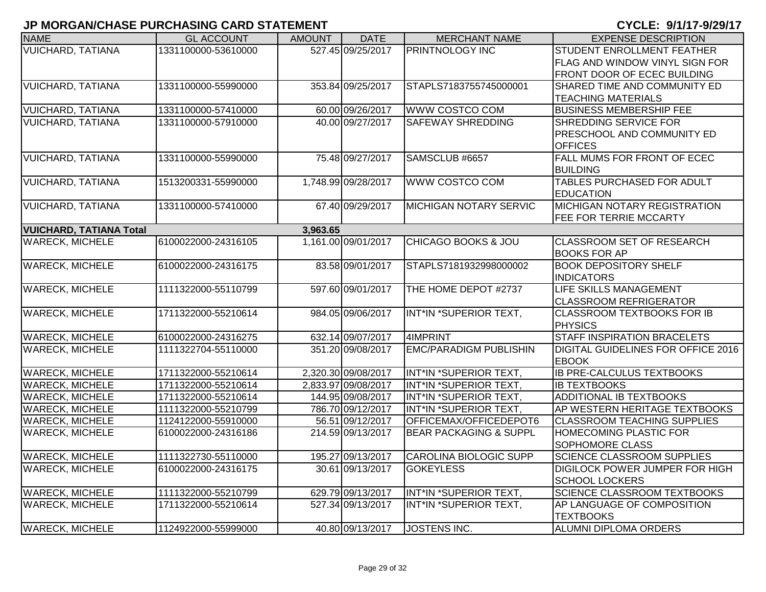| <b>NAME</b>                    | <b>GL ACCOUNT</b>   | <b>AMOUNT</b> | <b>DATE</b>         | <b>MERCHANT NAME</b>              | <b>EXPENSE DESCRIPTION</b>                |
|--------------------------------|---------------------|---------------|---------------------|-----------------------------------|-------------------------------------------|
| <b>VUICHARD, TATIANA</b>       | 1331100000-53610000 |               | 527.45 09/25/2017   | <b>PRINTNOLOGY INC</b>            | <b>STUDENT ENROLLMENT FEATHER</b>         |
|                                |                     |               |                     |                                   | <b>FLAG AND WINDOW VINYL SIGN FOR</b>     |
|                                |                     |               |                     |                                   | <b>FRONT DOOR OF ECEC BUILDING</b>        |
| <b>VUICHARD, TATIANA</b>       | 1331100000-55990000 |               | 353.84 09/25/2017   | STAPLS7183755745000001            | SHARED TIME AND COMMUNITY ED              |
|                                |                     |               |                     |                                   | <b>TEACHING MATERIALS</b>                 |
| <b>VUICHARD, TATIANA</b>       | 1331100000-57410000 |               | 60.00 09/26/2017    | WWW COSTCO COM                    | <b>BUSINESS MEMBERSHIP FEE</b>            |
| <b>VUICHARD, TATIANA</b>       | 1331100000-57910000 |               | 40.00 09/27/2017    | <b>SAFEWAY SHREDDING</b>          | SHREDDING SERVICE FOR                     |
|                                |                     |               |                     |                                   | <b>PRESCHOOL AND COMMUNITY ED</b>         |
|                                |                     |               |                     |                                   | <b>OFFICES</b>                            |
| <b>VUICHARD, TATIANA</b>       | 1331100000-55990000 |               | 75.48 09/27/2017    | SAMSCLUB #6657                    | FALL MUMS FOR FRONT OF ECEC               |
|                                |                     |               |                     |                                   | <b>BUILDING</b>                           |
| <b>VUICHARD, TATIANA</b>       | 1513200331-55990000 |               | 1,748.99 09/28/2017 | WWW COSTCO COM                    | <b>TABLES PURCHASED FOR ADULT</b>         |
|                                |                     |               |                     |                                   | <b>EDUCATION</b>                          |
| <b>VUICHARD, TATIANA</b>       | 1331100000-57410000 |               | 67.40 09/29/2017    | <b>MICHIGAN NOTARY SERVIC</b>     | <b>MICHIGAN NOTARY REGISTRATION</b>       |
|                                |                     |               |                     |                                   | <b>FEE FOR TERRIE MCCARTY</b>             |
| <b>VUICHARD, TATIANA Total</b> |                     | 3,963.65      |                     |                                   |                                           |
| <b>WARECK, MICHELE</b>         | 6100022000-24316105 |               | 1,161.00 09/01/2017 | <b>CHICAGO BOOKS &amp; JOU</b>    | <b>CLASSROOM SET OF RESEARCH</b>          |
|                                |                     |               |                     |                                   | <b>BOOKS FOR AP</b>                       |
| <b>WARECK, MICHELE</b>         | 6100022000-24316175 |               | 83.58 09/01/2017    | STAPLS7181932998000002            | <b>BOOK DEPOSITORY SHELF</b>              |
|                                |                     |               |                     |                                   | <b>INDICATORS</b>                         |
| <b>WARECK, MICHELE</b>         | 1111322000-55110799 |               | 597.60 09/01/2017   | THE HOME DEPOT #2737              | <b>LIFE SKILLS MANAGEMENT</b>             |
|                                |                     |               |                     |                                   | <b>CLASSROOM REFRIGERATOR</b>             |
| <b>WARECK, MICHELE</b>         | 1711322000-55210614 |               | 984.05 09/06/2017   | INT*IN *SUPERIOR TEXT,            | <b>CLASSROOM TEXTBOOKS FOR IB</b>         |
|                                |                     |               |                     |                                   | PHYSICS                                   |
| <b>WARECK, MICHELE</b>         | 6100022000-24316275 |               | 632.14 09/07/2017   | 4IMPRINT                          | <b>STAFF INSPIRATION BRACELETS</b>        |
| <b>WARECK, MICHELE</b>         | 1111322704-55110000 |               | 351.20 09/08/2017   | <b>EMC/PARADIGM PUBLISHIN</b>     | <b>DIGITAL GUIDELINES FOR OFFICE 2016</b> |
|                                |                     |               |                     |                                   | <b>EBOOK</b>                              |
| <b>WARECK, MICHELE</b>         | 1711322000-55210614 |               | 2,320.30 09/08/2017 | INT*IN *SUPERIOR TEXT,            | <b>IB PRE-CALCULUS TEXTBOOKS</b>          |
| <b>WARECK, MICHELE</b>         | 1711322000-55210614 |               | 2,833.97 09/08/2017 | INT*IN *SUPERIOR TEXT,            | <b>IB TEXTBOOKS</b>                       |
| <b>WARECK, MICHELE</b>         | 1711322000-55210614 |               | 144.95 09/08/2017   | INT*IN *SUPERIOR TEXT,            | ADDITIONAL IB TEXTBOOKS                   |
| <b>WARECK, MICHELE</b>         | 1111322000-55210799 |               | 786.70 09/12/2017   | INT*IN *SUPERIOR TEXT,            | AP WESTERN HERITAGE TEXTBOOKS             |
| <b>WARECK, MICHELE</b>         | 1124122000-55910000 |               | 56.51 09/12/2017    | OFFICEMAX/OFFICEDEPOT6            | <b>CLASSROOM TEACHING SUPPLIES</b>        |
| <b>WARECK, MICHELE</b>         | 6100022000-24316186 |               | 214.59 09/13/2017   | <b>BEAR PACKAGING &amp; SUPPL</b> | <b>HOMECOMING PLASTIC FOR</b>             |
|                                |                     |               |                     |                                   | <b>SOPHOMORE CLASS</b>                    |
| <b>WARECK, MICHELE</b>         | 1111322730-55110000 |               | 195.27 09/13/2017   | <b>CAROLINA BIOLOGIC SUPP</b>     | <b>SCIENCE CLASSROOM SUPPLIES</b>         |
| <b>WARECK, MICHELE</b>         | 6100022000-24316175 |               | 30.61 09/13/2017    | <b>GOKEYLESS</b>                  | <b>DIGILOCK POWER JUMPER FOR HIGH</b>     |
|                                |                     |               |                     |                                   | <b>SCHOOL LOCKERS</b>                     |
| <b>WARECK, MICHELE</b>         | 1111322000-55210799 |               | 629.79 09/13/2017   | INT*IN *SUPERIOR TEXT,            | <b>SCIENCE CLASSROOM TEXTBOOKS</b>        |
| <b>WARECK, MICHELE</b>         | 1711322000-55210614 |               | 527.34 09/13/2017   | INT*IN *SUPERIOR TEXT,            | AP LANGUAGE OF COMPOSITION                |
|                                |                     |               |                     |                                   | <b>TEXTBOOKS</b>                          |
| <b>WARECK, MICHELE</b>         | 1124922000-55999000 |               | 40.80 09/13/2017    | JOSTENS INC.                      | ALUMNI DIPLOMA ORDERS                     |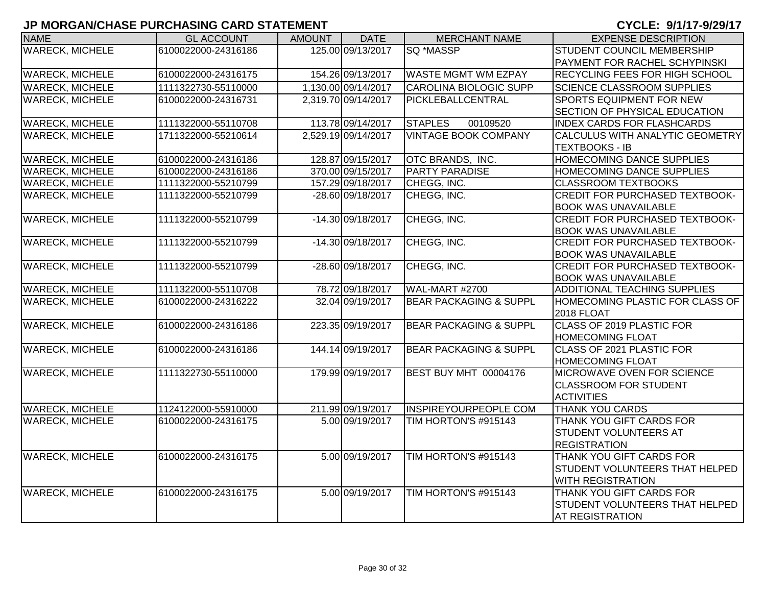| <b>WARECK, MICHELE</b><br>125.00 09/13/2017<br>SQ *MASSP<br>6100022000-24316186<br><b>STUDENT COUNCIL MEMBERSHIP</b><br>PAYMENT FOR RACHEL SCHYPINSKI<br><b>WARECK, MICHELE</b><br>154.26 09/13/2017<br><b>WASTE MGMT WM EZPAY</b><br>6100022000-24316175<br><b>RECYCLING FEES FOR HIGH SCHOOL</b><br>1,130.00 09/14/2017<br>1111322730-55110000<br><b>CAROLINA BIOLOGIC SUPP</b><br><b>SCIENCE CLASSROOM SUPPLIES</b><br><b>SPORTS EQUIPMENT FOR NEW</b><br><b>WARECK, MICHELE</b><br>2,319.70 09/14/2017<br>PICKLEBALLCENTRAL<br>6100022000-24316731<br>SECTION OF PHYSICAL EDUCATION<br>113.78 09/14/2017<br>1111322000-55110708<br><b>STAPLES</b><br>00109520<br><b>INDEX CARDS FOR FLASHCARDS</b><br><b>VINTAGE BOOK COMPANY</b><br><b>WARECK, MICHELE</b><br>2,529.19 09/14/2017<br>1711322000-55210614<br>CALCULUS WITH ANALYTIC GEOMETRY<br><b>TEXTBOOKS - IB</b><br><b>WARECK, MICHELE</b><br>128.87 09/15/2017<br>OTC BRANDS, INC.<br><b>HOMECOMING DANCE SUPPLIES</b><br>6100022000-24316186<br><b>WARECK, MICHELE</b><br>370.00 09/15/2017<br><b>PARTY PARADISE</b><br>6100022000-24316186<br>HOMECOMING DANCE SUPPLIES<br><b>WARECK, MICHELE</b><br>157.29 09/18/2017<br>CHEGG, INC.<br>1111322000-55210799<br><b>CLASSROOM TEXTBOOKS</b><br><b>WARECK, MICHELE</b><br>-28.60 09/18/2017<br>CHEGG, INC.<br><b>CREDIT FOR PURCHASED TEXTBOOK-</b><br>1111322000-55210799<br><b>BOOK WAS UNAVAILABLE</b><br><b>WARECK, MICHELE</b><br>1111322000-55210799<br>-14.30 09/18/2017<br>CHEGG, INC.<br><b>CREDIT FOR PURCHASED TEXTBOOK-</b><br><b>BOOK WAS UNAVAILABLE</b><br><b>WARECK, MICHELE</b><br>-14.30 09/18/2017<br>CHEGG, INC.<br><b>CREDIT FOR PURCHASED TEXTBOOK-</b><br>1111322000-55210799<br><b>BOOK WAS UNAVAILABLE</b><br><b>WARECK, MICHELE</b><br>CHEGG, INC.<br>1111322000-55210799<br>-28.60 09/18/2017<br><b>CREDIT FOR PURCHASED TEXTBOOK-</b><br><b>BOOK WAS UNAVAILABLE</b><br>78.72 09/18/2017<br><b>WARECK, MICHELE</b><br>1111322000-55110708<br><b>WAL-MART #2700</b><br><b>ADDITIONAL TEACHING SUPPLIES</b><br><b>BEAR PACKAGING &amp; SUPPL</b><br><b>WARECK, MICHELE</b><br>32.04 09/19/2017<br>HOMECOMING PLASTIC FOR CLASS OF<br>6100022000-24316222<br>2018 FLOAT<br><b>CLASS OF 2019 PLASTIC FOR</b><br>223.35 09/19/2017<br><b>BEAR PACKAGING &amp; SUPPL</b><br>6100022000-24316186<br><b>HOMECOMING FLOAT</b><br><b>WARECK, MICHELE</b><br>144.14 09/19/2017<br><b>BEAR PACKAGING &amp; SUPPL</b><br>6100022000-24316186<br><b>CLASS OF 2021 PLASTIC FOR</b><br><b>HOMECOMING FLOAT</b><br><b>WARECK, MICHELE</b><br>179.99 09/19/2017<br><b>BEST BUY MHT 00004176</b><br>1111322730-55110000<br><b>IMICROWAVE OVEN FOR SCIENCE</b><br><b>CLASSROOM FOR STUDENT</b><br><b>ACTIVITIES</b><br><b>WARECK, MICHELE</b><br>211.99 09/19/2017<br><b>INSPIREYOURPEOPLE COM</b><br><b>THANK YOU CARDS</b><br>1124122000-55910000<br>5.00 09/19/2017<br><b>WARECK, MICHELE</b><br>TIM HORTON'S #915143<br>THANK YOU GIFT CARDS FOR<br>6100022000-24316175<br><b>STUDENT VOLUNTEERS AT</b><br><b>REGISTRATION</b><br><b>WARECK, MICHELE</b><br>5.00 09/19/2017<br>TIM HORTON'S #915143<br>THANK YOU GIFT CARDS FOR<br>6100022000-24316175<br><b>STUDENT VOLUNTEERS THAT HELPED</b><br><b>WITH REGISTRATION</b><br><b>WARECK, MICHELE</b><br>5.00 09/19/2017<br>TIM HORTON'S #915143<br>THANK YOU GIFT CARDS FOR<br>6100022000-24316175<br><b>STUDENT VOLUNTEERS THAT HELPED</b> | <b>NAME</b>            | <b>GL ACCOUNT</b> | <b>AMOUNT</b> | <b>DATE</b> | <b>MERCHANT NAME</b> | <b>EXPENSE DESCRIPTION</b> |
|--------------------------------------------------------------------------------------------------------------------------------------------------------------------------------------------------------------------------------------------------------------------------------------------------------------------------------------------------------------------------------------------------------------------------------------------------------------------------------------------------------------------------------------------------------------------------------------------------------------------------------------------------------------------------------------------------------------------------------------------------------------------------------------------------------------------------------------------------------------------------------------------------------------------------------------------------------------------------------------------------------------------------------------------------------------------------------------------------------------------------------------------------------------------------------------------------------------------------------------------------------------------------------------------------------------------------------------------------------------------------------------------------------------------------------------------------------------------------------------------------------------------------------------------------------------------------------------------------------------------------------------------------------------------------------------------------------------------------------------------------------------------------------------------------------------------------------------------------------------------------------------------------------------------------------------------------------------------------------------------------------------------------------------------------------------------------------------------------------------------------------------------------------------------------------------------------------------------------------------------------------------------------------------------------------------------------------------------------------------------------------------------------------------------------------------------------------------------------------------------------------------------------------------------------------------------------------------------------------------------------------------------------------------------------------------------------------------------------------------------------------------------------------------------------------------------------------------------------------------------------------------------------------------------------------------------------------------------------------------------------------------------------------------------------------------------------------------------------------------------------------------------------------------------------------------------------------------------------------------------------------------------------------------------------------------------------------------------------------------------------------------------------------------------|------------------------|-------------------|---------------|-------------|----------------------|----------------------------|
|                                                                                                                                                                                                                                                                                                                                                                                                                                                                                                                                                                                                                                                                                                                                                                                                                                                                                                                                                                                                                                                                                                                                                                                                                                                                                                                                                                                                                                                                                                                                                                                                                                                                                                                                                                                                                                                                                                                                                                                                                                                                                                                                                                                                                                                                                                                                                                                                                                                                                                                                                                                                                                                                                                                                                                                                                                                                                                                                                                                                                                                                                                                                                                                                                                                                                                                                                                                                                    |                        |                   |               |             |                      |                            |
|                                                                                                                                                                                                                                                                                                                                                                                                                                                                                                                                                                                                                                                                                                                                                                                                                                                                                                                                                                                                                                                                                                                                                                                                                                                                                                                                                                                                                                                                                                                                                                                                                                                                                                                                                                                                                                                                                                                                                                                                                                                                                                                                                                                                                                                                                                                                                                                                                                                                                                                                                                                                                                                                                                                                                                                                                                                                                                                                                                                                                                                                                                                                                                                                                                                                                                                                                                                                                    |                        |                   |               |             |                      |                            |
|                                                                                                                                                                                                                                                                                                                                                                                                                                                                                                                                                                                                                                                                                                                                                                                                                                                                                                                                                                                                                                                                                                                                                                                                                                                                                                                                                                                                                                                                                                                                                                                                                                                                                                                                                                                                                                                                                                                                                                                                                                                                                                                                                                                                                                                                                                                                                                                                                                                                                                                                                                                                                                                                                                                                                                                                                                                                                                                                                                                                                                                                                                                                                                                                                                                                                                                                                                                                                    |                        |                   |               |             |                      |                            |
|                                                                                                                                                                                                                                                                                                                                                                                                                                                                                                                                                                                                                                                                                                                                                                                                                                                                                                                                                                                                                                                                                                                                                                                                                                                                                                                                                                                                                                                                                                                                                                                                                                                                                                                                                                                                                                                                                                                                                                                                                                                                                                                                                                                                                                                                                                                                                                                                                                                                                                                                                                                                                                                                                                                                                                                                                                                                                                                                                                                                                                                                                                                                                                                                                                                                                                                                                                                                                    | <b>WARECK, MICHELE</b> |                   |               |             |                      |                            |
|                                                                                                                                                                                                                                                                                                                                                                                                                                                                                                                                                                                                                                                                                                                                                                                                                                                                                                                                                                                                                                                                                                                                                                                                                                                                                                                                                                                                                                                                                                                                                                                                                                                                                                                                                                                                                                                                                                                                                                                                                                                                                                                                                                                                                                                                                                                                                                                                                                                                                                                                                                                                                                                                                                                                                                                                                                                                                                                                                                                                                                                                                                                                                                                                                                                                                                                                                                                                                    |                        |                   |               |             |                      |                            |
|                                                                                                                                                                                                                                                                                                                                                                                                                                                                                                                                                                                                                                                                                                                                                                                                                                                                                                                                                                                                                                                                                                                                                                                                                                                                                                                                                                                                                                                                                                                                                                                                                                                                                                                                                                                                                                                                                                                                                                                                                                                                                                                                                                                                                                                                                                                                                                                                                                                                                                                                                                                                                                                                                                                                                                                                                                                                                                                                                                                                                                                                                                                                                                                                                                                                                                                                                                                                                    |                        |                   |               |             |                      |                            |
|                                                                                                                                                                                                                                                                                                                                                                                                                                                                                                                                                                                                                                                                                                                                                                                                                                                                                                                                                                                                                                                                                                                                                                                                                                                                                                                                                                                                                                                                                                                                                                                                                                                                                                                                                                                                                                                                                                                                                                                                                                                                                                                                                                                                                                                                                                                                                                                                                                                                                                                                                                                                                                                                                                                                                                                                                                                                                                                                                                                                                                                                                                                                                                                                                                                                                                                                                                                                                    | <b>WARECK, MICHELE</b> |                   |               |             |                      |                            |
|                                                                                                                                                                                                                                                                                                                                                                                                                                                                                                                                                                                                                                                                                                                                                                                                                                                                                                                                                                                                                                                                                                                                                                                                                                                                                                                                                                                                                                                                                                                                                                                                                                                                                                                                                                                                                                                                                                                                                                                                                                                                                                                                                                                                                                                                                                                                                                                                                                                                                                                                                                                                                                                                                                                                                                                                                                                                                                                                                                                                                                                                                                                                                                                                                                                                                                                                                                                                                    |                        |                   |               |             |                      |                            |
|                                                                                                                                                                                                                                                                                                                                                                                                                                                                                                                                                                                                                                                                                                                                                                                                                                                                                                                                                                                                                                                                                                                                                                                                                                                                                                                                                                                                                                                                                                                                                                                                                                                                                                                                                                                                                                                                                                                                                                                                                                                                                                                                                                                                                                                                                                                                                                                                                                                                                                                                                                                                                                                                                                                                                                                                                                                                                                                                                                                                                                                                                                                                                                                                                                                                                                                                                                                                                    |                        |                   |               |             |                      |                            |
|                                                                                                                                                                                                                                                                                                                                                                                                                                                                                                                                                                                                                                                                                                                                                                                                                                                                                                                                                                                                                                                                                                                                                                                                                                                                                                                                                                                                                                                                                                                                                                                                                                                                                                                                                                                                                                                                                                                                                                                                                                                                                                                                                                                                                                                                                                                                                                                                                                                                                                                                                                                                                                                                                                                                                                                                                                                                                                                                                                                                                                                                                                                                                                                                                                                                                                                                                                                                                    |                        |                   |               |             |                      |                            |
|                                                                                                                                                                                                                                                                                                                                                                                                                                                                                                                                                                                                                                                                                                                                                                                                                                                                                                                                                                                                                                                                                                                                                                                                                                                                                                                                                                                                                                                                                                                                                                                                                                                                                                                                                                                                                                                                                                                                                                                                                                                                                                                                                                                                                                                                                                                                                                                                                                                                                                                                                                                                                                                                                                                                                                                                                                                                                                                                                                                                                                                                                                                                                                                                                                                                                                                                                                                                                    |                        |                   |               |             |                      |                            |
|                                                                                                                                                                                                                                                                                                                                                                                                                                                                                                                                                                                                                                                                                                                                                                                                                                                                                                                                                                                                                                                                                                                                                                                                                                                                                                                                                                                                                                                                                                                                                                                                                                                                                                                                                                                                                                                                                                                                                                                                                                                                                                                                                                                                                                                                                                                                                                                                                                                                                                                                                                                                                                                                                                                                                                                                                                                                                                                                                                                                                                                                                                                                                                                                                                                                                                                                                                                                                    |                        |                   |               |             |                      |                            |
|                                                                                                                                                                                                                                                                                                                                                                                                                                                                                                                                                                                                                                                                                                                                                                                                                                                                                                                                                                                                                                                                                                                                                                                                                                                                                                                                                                                                                                                                                                                                                                                                                                                                                                                                                                                                                                                                                                                                                                                                                                                                                                                                                                                                                                                                                                                                                                                                                                                                                                                                                                                                                                                                                                                                                                                                                                                                                                                                                                                                                                                                                                                                                                                                                                                                                                                                                                                                                    |                        |                   |               |             |                      |                            |
|                                                                                                                                                                                                                                                                                                                                                                                                                                                                                                                                                                                                                                                                                                                                                                                                                                                                                                                                                                                                                                                                                                                                                                                                                                                                                                                                                                                                                                                                                                                                                                                                                                                                                                                                                                                                                                                                                                                                                                                                                                                                                                                                                                                                                                                                                                                                                                                                                                                                                                                                                                                                                                                                                                                                                                                                                                                                                                                                                                                                                                                                                                                                                                                                                                                                                                                                                                                                                    |                        |                   |               |             |                      |                            |
|                                                                                                                                                                                                                                                                                                                                                                                                                                                                                                                                                                                                                                                                                                                                                                                                                                                                                                                                                                                                                                                                                                                                                                                                                                                                                                                                                                                                                                                                                                                                                                                                                                                                                                                                                                                                                                                                                                                                                                                                                                                                                                                                                                                                                                                                                                                                                                                                                                                                                                                                                                                                                                                                                                                                                                                                                                                                                                                                                                                                                                                                                                                                                                                                                                                                                                                                                                                                                    |                        |                   |               |             |                      |                            |
|                                                                                                                                                                                                                                                                                                                                                                                                                                                                                                                                                                                                                                                                                                                                                                                                                                                                                                                                                                                                                                                                                                                                                                                                                                                                                                                                                                                                                                                                                                                                                                                                                                                                                                                                                                                                                                                                                                                                                                                                                                                                                                                                                                                                                                                                                                                                                                                                                                                                                                                                                                                                                                                                                                                                                                                                                                                                                                                                                                                                                                                                                                                                                                                                                                                                                                                                                                                                                    |                        |                   |               |             |                      |                            |
|                                                                                                                                                                                                                                                                                                                                                                                                                                                                                                                                                                                                                                                                                                                                                                                                                                                                                                                                                                                                                                                                                                                                                                                                                                                                                                                                                                                                                                                                                                                                                                                                                                                                                                                                                                                                                                                                                                                                                                                                                                                                                                                                                                                                                                                                                                                                                                                                                                                                                                                                                                                                                                                                                                                                                                                                                                                                                                                                                                                                                                                                                                                                                                                                                                                                                                                                                                                                                    |                        |                   |               |             |                      |                            |
|                                                                                                                                                                                                                                                                                                                                                                                                                                                                                                                                                                                                                                                                                                                                                                                                                                                                                                                                                                                                                                                                                                                                                                                                                                                                                                                                                                                                                                                                                                                                                                                                                                                                                                                                                                                                                                                                                                                                                                                                                                                                                                                                                                                                                                                                                                                                                                                                                                                                                                                                                                                                                                                                                                                                                                                                                                                                                                                                                                                                                                                                                                                                                                                                                                                                                                                                                                                                                    |                        |                   |               |             |                      |                            |
|                                                                                                                                                                                                                                                                                                                                                                                                                                                                                                                                                                                                                                                                                                                                                                                                                                                                                                                                                                                                                                                                                                                                                                                                                                                                                                                                                                                                                                                                                                                                                                                                                                                                                                                                                                                                                                                                                                                                                                                                                                                                                                                                                                                                                                                                                                                                                                                                                                                                                                                                                                                                                                                                                                                                                                                                                                                                                                                                                                                                                                                                                                                                                                                                                                                                                                                                                                                                                    |                        |                   |               |             |                      |                            |
|                                                                                                                                                                                                                                                                                                                                                                                                                                                                                                                                                                                                                                                                                                                                                                                                                                                                                                                                                                                                                                                                                                                                                                                                                                                                                                                                                                                                                                                                                                                                                                                                                                                                                                                                                                                                                                                                                                                                                                                                                                                                                                                                                                                                                                                                                                                                                                                                                                                                                                                                                                                                                                                                                                                                                                                                                                                                                                                                                                                                                                                                                                                                                                                                                                                                                                                                                                                                                    |                        |                   |               |             |                      |                            |
|                                                                                                                                                                                                                                                                                                                                                                                                                                                                                                                                                                                                                                                                                                                                                                                                                                                                                                                                                                                                                                                                                                                                                                                                                                                                                                                                                                                                                                                                                                                                                                                                                                                                                                                                                                                                                                                                                                                                                                                                                                                                                                                                                                                                                                                                                                                                                                                                                                                                                                                                                                                                                                                                                                                                                                                                                                                                                                                                                                                                                                                                                                                                                                                                                                                                                                                                                                                                                    |                        |                   |               |             |                      |                            |
|                                                                                                                                                                                                                                                                                                                                                                                                                                                                                                                                                                                                                                                                                                                                                                                                                                                                                                                                                                                                                                                                                                                                                                                                                                                                                                                                                                                                                                                                                                                                                                                                                                                                                                                                                                                                                                                                                                                                                                                                                                                                                                                                                                                                                                                                                                                                                                                                                                                                                                                                                                                                                                                                                                                                                                                                                                                                                                                                                                                                                                                                                                                                                                                                                                                                                                                                                                                                                    | <b>WARECK, MICHELE</b> |                   |               |             |                      |                            |
|                                                                                                                                                                                                                                                                                                                                                                                                                                                                                                                                                                                                                                                                                                                                                                                                                                                                                                                                                                                                                                                                                                                                                                                                                                                                                                                                                                                                                                                                                                                                                                                                                                                                                                                                                                                                                                                                                                                                                                                                                                                                                                                                                                                                                                                                                                                                                                                                                                                                                                                                                                                                                                                                                                                                                                                                                                                                                                                                                                                                                                                                                                                                                                                                                                                                                                                                                                                                                    |                        |                   |               |             |                      |                            |
|                                                                                                                                                                                                                                                                                                                                                                                                                                                                                                                                                                                                                                                                                                                                                                                                                                                                                                                                                                                                                                                                                                                                                                                                                                                                                                                                                                                                                                                                                                                                                                                                                                                                                                                                                                                                                                                                                                                                                                                                                                                                                                                                                                                                                                                                                                                                                                                                                                                                                                                                                                                                                                                                                                                                                                                                                                                                                                                                                                                                                                                                                                                                                                                                                                                                                                                                                                                                                    |                        |                   |               |             |                      |                            |
|                                                                                                                                                                                                                                                                                                                                                                                                                                                                                                                                                                                                                                                                                                                                                                                                                                                                                                                                                                                                                                                                                                                                                                                                                                                                                                                                                                                                                                                                                                                                                                                                                                                                                                                                                                                                                                                                                                                                                                                                                                                                                                                                                                                                                                                                                                                                                                                                                                                                                                                                                                                                                                                                                                                                                                                                                                                                                                                                                                                                                                                                                                                                                                                                                                                                                                                                                                                                                    |                        |                   |               |             |                      |                            |
|                                                                                                                                                                                                                                                                                                                                                                                                                                                                                                                                                                                                                                                                                                                                                                                                                                                                                                                                                                                                                                                                                                                                                                                                                                                                                                                                                                                                                                                                                                                                                                                                                                                                                                                                                                                                                                                                                                                                                                                                                                                                                                                                                                                                                                                                                                                                                                                                                                                                                                                                                                                                                                                                                                                                                                                                                                                                                                                                                                                                                                                                                                                                                                                                                                                                                                                                                                                                                    |                        |                   |               |             |                      |                            |
|                                                                                                                                                                                                                                                                                                                                                                                                                                                                                                                                                                                                                                                                                                                                                                                                                                                                                                                                                                                                                                                                                                                                                                                                                                                                                                                                                                                                                                                                                                                                                                                                                                                                                                                                                                                                                                                                                                                                                                                                                                                                                                                                                                                                                                                                                                                                                                                                                                                                                                                                                                                                                                                                                                                                                                                                                                                                                                                                                                                                                                                                                                                                                                                                                                                                                                                                                                                                                    |                        |                   |               |             |                      |                            |
|                                                                                                                                                                                                                                                                                                                                                                                                                                                                                                                                                                                                                                                                                                                                                                                                                                                                                                                                                                                                                                                                                                                                                                                                                                                                                                                                                                                                                                                                                                                                                                                                                                                                                                                                                                                                                                                                                                                                                                                                                                                                                                                                                                                                                                                                                                                                                                                                                                                                                                                                                                                                                                                                                                                                                                                                                                                                                                                                                                                                                                                                                                                                                                                                                                                                                                                                                                                                                    |                        |                   |               |             |                      |                            |
|                                                                                                                                                                                                                                                                                                                                                                                                                                                                                                                                                                                                                                                                                                                                                                                                                                                                                                                                                                                                                                                                                                                                                                                                                                                                                                                                                                                                                                                                                                                                                                                                                                                                                                                                                                                                                                                                                                                                                                                                                                                                                                                                                                                                                                                                                                                                                                                                                                                                                                                                                                                                                                                                                                                                                                                                                                                                                                                                                                                                                                                                                                                                                                                                                                                                                                                                                                                                                    |                        |                   |               |             |                      |                            |
|                                                                                                                                                                                                                                                                                                                                                                                                                                                                                                                                                                                                                                                                                                                                                                                                                                                                                                                                                                                                                                                                                                                                                                                                                                                                                                                                                                                                                                                                                                                                                                                                                                                                                                                                                                                                                                                                                                                                                                                                                                                                                                                                                                                                                                                                                                                                                                                                                                                                                                                                                                                                                                                                                                                                                                                                                                                                                                                                                                                                                                                                                                                                                                                                                                                                                                                                                                                                                    |                        |                   |               |             |                      |                            |
|                                                                                                                                                                                                                                                                                                                                                                                                                                                                                                                                                                                                                                                                                                                                                                                                                                                                                                                                                                                                                                                                                                                                                                                                                                                                                                                                                                                                                                                                                                                                                                                                                                                                                                                                                                                                                                                                                                                                                                                                                                                                                                                                                                                                                                                                                                                                                                                                                                                                                                                                                                                                                                                                                                                                                                                                                                                                                                                                                                                                                                                                                                                                                                                                                                                                                                                                                                                                                    |                        |                   |               |             |                      |                            |
|                                                                                                                                                                                                                                                                                                                                                                                                                                                                                                                                                                                                                                                                                                                                                                                                                                                                                                                                                                                                                                                                                                                                                                                                                                                                                                                                                                                                                                                                                                                                                                                                                                                                                                                                                                                                                                                                                                                                                                                                                                                                                                                                                                                                                                                                                                                                                                                                                                                                                                                                                                                                                                                                                                                                                                                                                                                                                                                                                                                                                                                                                                                                                                                                                                                                                                                                                                                                                    |                        |                   |               |             |                      |                            |
|                                                                                                                                                                                                                                                                                                                                                                                                                                                                                                                                                                                                                                                                                                                                                                                                                                                                                                                                                                                                                                                                                                                                                                                                                                                                                                                                                                                                                                                                                                                                                                                                                                                                                                                                                                                                                                                                                                                                                                                                                                                                                                                                                                                                                                                                                                                                                                                                                                                                                                                                                                                                                                                                                                                                                                                                                                                                                                                                                                                                                                                                                                                                                                                                                                                                                                                                                                                                                    |                        |                   |               |             |                      |                            |
|                                                                                                                                                                                                                                                                                                                                                                                                                                                                                                                                                                                                                                                                                                                                                                                                                                                                                                                                                                                                                                                                                                                                                                                                                                                                                                                                                                                                                                                                                                                                                                                                                                                                                                                                                                                                                                                                                                                                                                                                                                                                                                                                                                                                                                                                                                                                                                                                                                                                                                                                                                                                                                                                                                                                                                                                                                                                                                                                                                                                                                                                                                                                                                                                                                                                                                                                                                                                                    |                        |                   |               |             |                      |                            |
|                                                                                                                                                                                                                                                                                                                                                                                                                                                                                                                                                                                                                                                                                                                                                                                                                                                                                                                                                                                                                                                                                                                                                                                                                                                                                                                                                                                                                                                                                                                                                                                                                                                                                                                                                                                                                                                                                                                                                                                                                                                                                                                                                                                                                                                                                                                                                                                                                                                                                                                                                                                                                                                                                                                                                                                                                                                                                                                                                                                                                                                                                                                                                                                                                                                                                                                                                                                                                    |                        |                   |               |             |                      |                            |
|                                                                                                                                                                                                                                                                                                                                                                                                                                                                                                                                                                                                                                                                                                                                                                                                                                                                                                                                                                                                                                                                                                                                                                                                                                                                                                                                                                                                                                                                                                                                                                                                                                                                                                                                                                                                                                                                                                                                                                                                                                                                                                                                                                                                                                                                                                                                                                                                                                                                                                                                                                                                                                                                                                                                                                                                                                                                                                                                                                                                                                                                                                                                                                                                                                                                                                                                                                                                                    |                        |                   |               |             |                      |                            |
| <b>AT REGISTRATION</b>                                                                                                                                                                                                                                                                                                                                                                                                                                                                                                                                                                                                                                                                                                                                                                                                                                                                                                                                                                                                                                                                                                                                                                                                                                                                                                                                                                                                                                                                                                                                                                                                                                                                                                                                                                                                                                                                                                                                                                                                                                                                                                                                                                                                                                                                                                                                                                                                                                                                                                                                                                                                                                                                                                                                                                                                                                                                                                                                                                                                                                                                                                                                                                                                                                                                                                                                                                                             |                        |                   |               |             |                      |                            |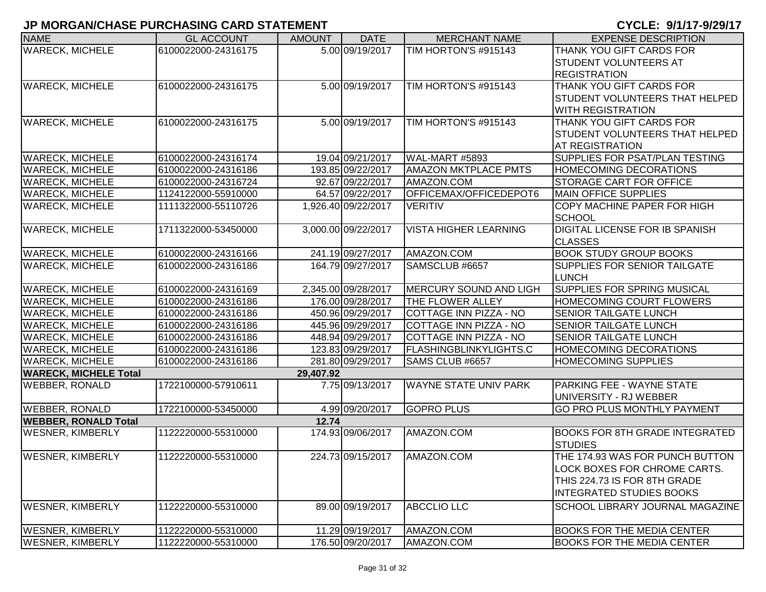| <b>NAME</b>                  | <b>GL ACCOUNT</b>   | <b>AMOUNT</b> | <b>DATE</b>         | <b>MERCHANT NAME</b>          | <b>EXPENSE DESCRIPTION</b>             |
|------------------------------|---------------------|---------------|---------------------|-------------------------------|----------------------------------------|
| <b>WARECK, MICHELE</b>       | 6100022000-24316175 |               | 5.00 09/19/2017     | TIM HORTON'S #915143          | THANK YOU GIFT CARDS FOR               |
|                              |                     |               |                     |                               | <b>STUDENT VOLUNTEERS AT</b>           |
|                              |                     |               |                     |                               | <b>REGISTRATION</b>                    |
| <b>WARECK, MICHELE</b>       | 6100022000-24316175 |               | 5.00 09/19/2017     | TIM HORTON'S #915143          | THANK YOU GIFT CARDS FOR               |
|                              |                     |               |                     |                               | <b>STUDENT VOLUNTEERS THAT HELPED</b>  |
|                              |                     |               |                     |                               | <b>WITH REGISTRATION</b>               |
| <b>WARECK, MICHELE</b>       | 6100022000-24316175 |               | 5.00 09/19/2017     | TIM HORTON'S #915143          | THANK YOU GIFT CARDS FOR               |
|                              |                     |               |                     |                               | STUDENT VOLUNTEERS THAT HELPED         |
|                              |                     |               |                     |                               | AT REGISTRATION                        |
| <b>WARECK, MICHELE</b>       | 6100022000-24316174 |               | 19.04 09/21/2017    | WAL-MART #5893                | SUPPLIES FOR PSAT/PLAN TESTING         |
| <b>WARECK, MICHELE</b>       | 6100022000-24316186 |               | 193.85 09/22/2017   | <b>AMAZON MKTPLACE PMTS</b>   | <b>HOMECOMING DECORATIONS</b>          |
| <b>WARECK, MICHELE</b>       | 6100022000-24316724 |               | 92.67 09/22/2017    | AMAZON.COM                    | <b>STORAGE CART FOR OFFICE</b>         |
| <b>WARECK, MICHELE</b>       | 1124122000-55910000 |               | 64.57 09/22/2017    | OFFICEMAX/OFFICEDEPOT6        | <b>MAIN OFFICE SUPPLIES</b>            |
| <b>WARECK, MICHELE</b>       | 1111322000-55110726 |               | 1,926.40 09/22/2017 | <b>VERITIV</b>                | <b>COPY MACHINE PAPER FOR HIGH</b>     |
|                              |                     |               |                     |                               | <b>SCHOOL</b>                          |
| <b>WARECK, MICHELE</b>       | 1711322000-53450000 |               | 3,000.00 09/22/2017 | <b>VISTA HIGHER LEARNING</b>  | <b>DIGITAL LICENSE FOR IB SPANISH</b>  |
|                              |                     |               |                     |                               | <b>CLASSES</b>                         |
| <b>WARECK, MICHELE</b>       | 6100022000-24316166 |               | 241.19 09/27/2017   | AMAZON.COM                    | <b>BOOK STUDY GROUP BOOKS</b>          |
| <b>WARECK, MICHELE</b>       | 6100022000-24316186 |               | 164.79 09/27/2017   | SAMSCLUB #6657                | <b>SUPPLIES FOR SENIOR TAILGATE</b>    |
|                              |                     |               |                     |                               | <b>LUNCH</b>                           |
| <b>WARECK, MICHELE</b>       | 6100022000-24316169 |               | 2,345.00 09/28/2017 | <b>MERCURY SOUND AND LIGH</b> | <b>SUPPLIES FOR SPRING MUSICAL</b>     |
| <b>WARECK, MICHELE</b>       | 6100022000-24316186 |               | 176.00 09/28/2017   | THE FLOWER ALLEY              | <b>HOMECOMING COURT FLOWERS</b>        |
| <b>WARECK, MICHELE</b>       | 6100022000-24316186 |               | 450.96 09/29/2017   | COTTAGE INN PIZZA - NO        | <b>SENIOR TAILGATE LUNCH</b>           |
| <b>WARECK, MICHELE</b>       | 6100022000-24316186 |               | 445.96 09/29/2017   | COTTAGE INN PIZZA - NO        | <b>SENIOR TAILGATE LUNCH</b>           |
| <b>WARECK, MICHELE</b>       | 6100022000-24316186 |               | 448.94 09/29/2017   | COTTAGE INN PIZZA - NO        | <b>SENIOR TAILGATE LUNCH</b>           |
| <b>WARECK, MICHELE</b>       | 6100022000-24316186 |               | 123.83 09/29/2017   | <b>FLASHINGBLINKYLIGHTS.C</b> | <b>HOMECOMING DECORATIONS</b>          |
| <b>WARECK, MICHELE</b>       | 6100022000-24316186 |               | 281.80 09/29/2017   | SAMS CLUB #6657               | <b>HOMECOMING SUPPLIES</b>             |
| <b>WARECK, MICHELE Total</b> |                     | 29,407.92     |                     |                               |                                        |
| <b>WEBBER, RONALD</b>        | 1722100000-57910611 |               | 7.75 09/13/2017     | <b>WAYNE STATE UNIV PARK</b>  | <b>PARKING FEE - WAYNE STATE</b>       |
|                              |                     |               |                     |                               | UNIVERSITY - RJ WEBBER                 |
| <b>WEBBER, RONALD</b>        | 1722100000-53450000 |               | 4.99 09/20/2017     | <b>GOPRO PLUS</b>             | <b>GO PRO PLUS MONTHLY PAYMENT</b>     |
| <b>WEBBER, RONALD Total</b>  |                     | 12.74         |                     |                               |                                        |
| <b>WESNER, KIMBERLY</b>      | 1122220000-55310000 |               | 174.93 09/06/2017   | AMAZON.COM                    | BOOKS FOR 8TH GRADE INTEGRATED         |
|                              |                     |               |                     |                               | <b>STUDIES</b>                         |
| <b>WESNER, KIMBERLY</b>      | 1122220000-55310000 |               | 224.73 09/15/2017   | AMAZON.COM                    | THE 174.93 WAS FOR PUNCH BUTTON        |
|                              |                     |               |                     |                               | LOCK BOXES FOR CHROME CARTS.           |
|                              |                     |               |                     |                               | THIS 224.73 IS FOR 8TH GRADE           |
|                              |                     |               |                     |                               | <b>INTEGRATED STUDIES BOOKS</b>        |
| <b>WESNER, KIMBERLY</b>      | 1122220000-55310000 |               | 89.00 09/19/2017    | <b>ABCCLIO LLC</b>            | <b>SCHOOL LIBRARY JOURNAL MAGAZINE</b> |
|                              |                     |               |                     |                               |                                        |
| <b>WESNER, KIMBERLY</b>      | 1122220000-55310000 |               | 11.29 09/19/2017    | AMAZON.COM                    | <b>BOOKS FOR THE MEDIA CENTER</b>      |
| <b>WESNER, KIMBERLY</b>      | 1122220000-55310000 |               | 176.50 09/20/2017   | AMAZON.COM                    | <b>BOOKS FOR THE MEDIA CENTER</b>      |